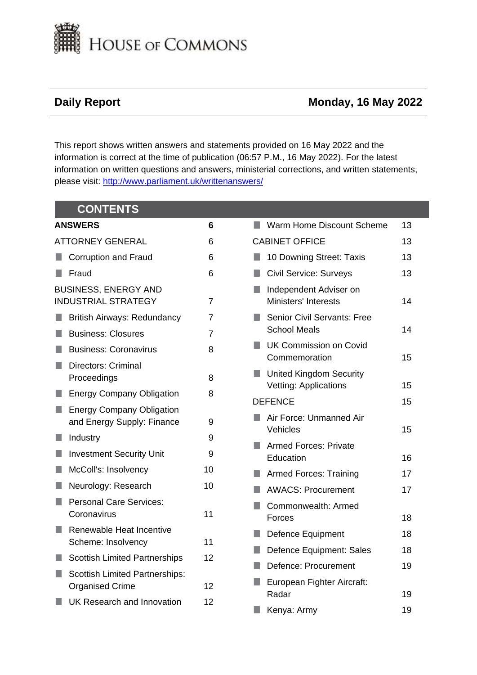

## **Daily Report Monday, 16 May 2022**

This report shows written answers and statements provided on 16 May 2022 and the information is correct at the time of publication (06:57 P.M., 16 May 2022). For the latest information on written questions and answers, ministerial corrections, and written statements, please visit: [http://www.parliament.uk/writtenanswers/](http://www.parliament.uk/writtenanswers)

|                | <b>CONTENTS</b>                                                 |                |                                                                |    |
|----------------|-----------------------------------------------------------------|----------------|----------------------------------------------------------------|----|
| <b>ANSWERS</b> |                                                                 | $6\phantom{1}$ | Warm Home Discount Scheme<br>n.                                | 13 |
|                | <b>ATTORNEY GENERAL</b>                                         | 6              | <b>CABINET OFFICE</b>                                          | 13 |
|                | <b>Corruption and Fraud</b>                                     | 6              | 10 Downing Street: Taxis<br>ш                                  | 13 |
|                | Fraud                                                           | 6              | <b>Civil Service: Surveys</b><br>L.                            | 13 |
|                | <b>BUSINESS, ENERGY AND</b><br><b>INDUSTRIAL STRATEGY</b>       | $\overline{7}$ | Independent Adviser on<br><b>Ministers' Interests</b>          | 14 |
|                | <b>British Airways: Redundancy</b>                              | $\overline{7}$ | <b>Senior Civil Servants: Free</b>                             |    |
|                | <b>Business: Closures</b>                                       | $\overline{7}$ | <b>School Meals</b>                                            | 14 |
|                | <b>Business: Coronavirus</b>                                    | 8              | <b>UK Commission on Covid</b><br>n.<br>Commemoration           | 15 |
|                | <b>Directors: Criminal</b><br>Proceedings                       | 8              | <b>United Kingdom Security</b><br><b>Vetting: Applications</b> | 15 |
|                | <b>Energy Company Obligation</b>                                | 8              | <b>DEFENCE</b>                                                 | 15 |
|                | <b>Energy Company Obligation</b><br>and Energy Supply: Finance  | 9              | Air Force: Unmanned Air<br>Vehicles                            |    |
|                | Industry                                                        | 9              | <b>Armed Forces: Private</b>                                   | 15 |
|                | <b>Investment Security Unit</b>                                 | 9              | Education                                                      | 16 |
|                | McColl's: Insolvency                                            | 10             | <b>Armed Forces: Training</b><br>n.                            | 17 |
|                | Neurology: Research                                             | 10             | <b>AWACS: Procurement</b>                                      | 17 |
|                | <b>Personal Care Services:</b><br>Coronavirus                   | 11             | Commonwealth: Armed<br>Forces                                  | 18 |
|                | Renewable Heat Incentive                                        |                | <b>Defence Equipment</b>                                       | 18 |
|                | Scheme: Insolvency                                              | 11             | Defence Equipment: Sales                                       | 18 |
|                | <b>Scottish Limited Partnerships</b>                            | 12             | Defence: Procurement<br>a a                                    | 19 |
|                | <b>Scottish Limited Partnerships:</b><br><b>Organised Crime</b> | 12             | European Fighter Aircraft:<br>Radar                            | 19 |
|                | UK Research and Innovation                                      | 12             | Kenya: Army                                                    | 19 |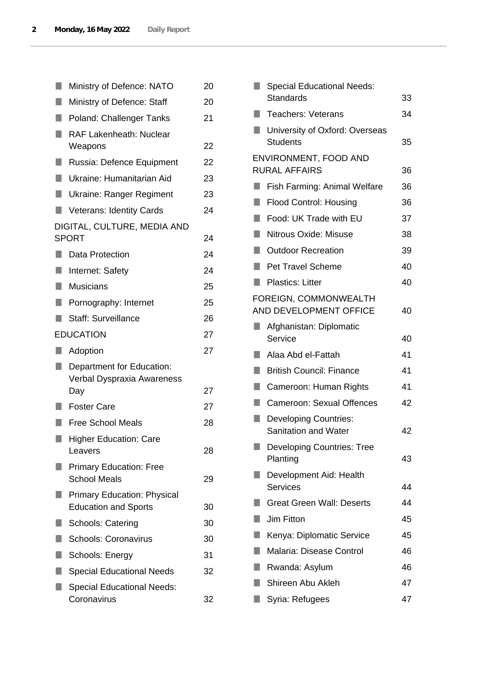|        | Ministry of Defence: NATO                                         | 20 |
|--------|-------------------------------------------------------------------|----|
|        | Ministry of Defence: Staff                                        | 20 |
| ٠      | Poland: Challenger Tanks                                          | 21 |
| ٠      | <b>RAF Lakenheath: Nuclear</b>                                    |    |
|        | Weapons                                                           | 22 |
|        | Russia: Defence Equipment                                         | 22 |
| U      | Ukraine: Humanitarian Aid                                         | 23 |
| L.     | Ukraine: Ranger Regiment                                          | 23 |
|        | <b>Veterans: Identity Cards</b>                                   | 24 |
|        | DIGITAL, CULTURE, MEDIA AND<br><b>SPORT</b>                       | 24 |
|        | Data Protection                                                   | 24 |
| ŋ      | Internet: Safety                                                  | 24 |
| $\Box$ | <b>Musicians</b>                                                  | 25 |
| ٠      | Pornography: Internet                                             | 25 |
|        | <b>Staff: Surveillance</b>                                        | 26 |
|        | <b>EDUCATION</b>                                                  | 27 |
|        | Adoption                                                          | 27 |
|        | Department for Education:                                         |    |
|        | Verbal Dyspraxia Awareness                                        |    |
|        | Day                                                               | 27 |
|        | <b>Foster Care</b>                                                | 27 |
|        | <b>Free School Meals</b>                                          | 28 |
|        | <b>Higher Education: Care</b>                                     |    |
|        | Leavers                                                           | 28 |
|        | <b>Primary Education: Free</b><br><b>School Meals</b>             | 29 |
|        | <b>Primary Education: Physical</b><br><b>Education and Sports</b> | 30 |
|        | <b>Schools: Catering</b>                                          | 30 |
|        | <b>Schools: Coronavirus</b>                                       | 30 |
|        | Schools: Energy                                                   | 31 |
|        | <b>Special Educational Needs</b>                                  | 32 |
|        | <b>Special Educational Needs:</b>                                 |    |

|    | <b>Special Educational Needs:</b>                           |    |
|----|-------------------------------------------------------------|----|
|    | <b>Standards</b>                                            | 33 |
|    | <b>Teachers: Veterans</b>                                   | 34 |
| ٦  | University of Oxford: Overseas<br><b>Students</b>           | 35 |
|    | ENVIRONMENT, FOOD AND                                       |    |
|    | <b>RURAL AFFAIRS</b>                                        | 36 |
|    | Fish Farming: Animal Welfare                                | 36 |
| H. | <b>Flood Control: Housing</b>                               | 36 |
| H  | Food: UK Trade with EU                                      | 37 |
| п  | <b>Nitrous Oxide: Misuse</b>                                | 38 |
| п  | <b>Outdoor Recreation</b>                                   | 39 |
|    | <b>Pet Travel Scheme</b>                                    | 40 |
|    | <b>Plastics: Litter</b>                                     | 40 |
|    | FOREIGN, COMMONWEALTH<br>AND DEVELOPMENT OFFICE             | 40 |
|    | Afghanistan: Diplomatic<br>Service                          | 40 |
|    | Alaa Abd el-Fattah                                          | 41 |
| H  | <b>British Council: Finance</b>                             | 41 |
|    | Cameroon: Human Rights                                      | 41 |
|    | <b>Cameroon: Sexual Offences</b>                            | 42 |
|    | <b>Developing Countries:</b><br><b>Sanitation and Water</b> | 42 |
|    | <b>Developing Countries: Tree</b><br>Planting               | 43 |
|    | Development Aid: Health<br><b>Services</b>                  | 44 |
|    | <b>Great Green Wall: Deserts</b>                            | 44 |
| H  | Jim Fitton                                                  | 45 |
| n  | Kenya: Diplomatic Service                                   | 45 |
|    | Malaria: Disease Control                                    | 46 |
| ×. | Rwanda: Asylum                                              | 46 |
|    | Shireen Abu Akleh                                           | 47 |
|    | Syria: Refugees                                             | 47 |
|    |                                                             |    |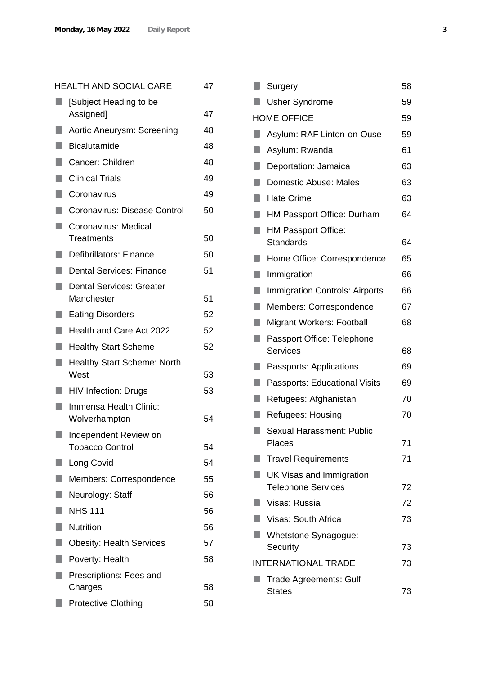|    | <b>HEALTH AND SOCIAL CARE</b>                   | 47 |
|----|-------------------------------------------------|----|
|    | [Subject Heading to be<br>Assigned]             | 47 |
| H  | Aortic Aneurysm: Screening                      | 48 |
| H. | <b>Bicalutamide</b>                             | 48 |
| ٠  | Cancer: Children                                | 48 |
| H  | <b>Clinical Trials</b>                          | 49 |
| H. | Coronavirus                                     | 49 |
| ٠  | Coronavirus: Disease Control                    | 50 |
| ٠  | Coronavirus: Medical<br>Treatments              | 50 |
|    | Defibrillators: Finance                         | 50 |
|    | Dental Services: Finance                        | 51 |
| ٠  | <b>Dental Services: Greater</b><br>Manchester   | 51 |
|    | <b>Eating Disorders</b>                         | 52 |
| ٠  | Health and Care Act 2022                        | 52 |
| ٠  | <b>Healthy Start Scheme</b>                     | 52 |
|    | <b>Healthy Start Scheme: North</b><br>West      | 53 |
|    | <b>HIV Infection: Drugs</b>                     | 53 |
|    | Immensa Health Clinic:<br>Wolverhampton         | 54 |
|    | Independent Review on<br><b>Tobacco Control</b> | 54 |
|    | Long Covid                                      | 54 |
| ٠  | Members: Correspondence                         | 55 |
|    | Neurology: Staff                                | 56 |
|    | <b>NHS 111</b>                                  | 56 |
| ۰  | <b>Nutrition</b>                                | 56 |
|    | <b>Obesity: Health Services</b>                 | 57 |
|    | Poverty: Health                                 | 58 |
|    | Prescriptions: Fees and<br>Charges              | 58 |
|    | <b>Protective Clothing</b>                      | 58 |

|    | Surgery                                        | 58 |
|----|------------------------------------------------|----|
|    | <b>Usher Syndrome</b>                          | 59 |
|    | <b>HOME OFFICE</b>                             | 59 |
|    | Asylum: RAF Linton-on-Ouse                     | 59 |
|    | Asylum: Rwanda                                 | 61 |
| ×. | Deportation: Jamaica                           | 63 |
|    | <b>Domestic Abuse: Males</b>                   | 63 |
|    | <b>Hate Crime</b>                              | 63 |
| ×. | HM Passport Office: Durham                     | 64 |
|    | HM Passport Office:<br>Standards               | 64 |
|    | Home Office: Correspondence                    | 65 |
| п  | Immigration                                    | 66 |
| ٠  | <b>Immigration Controls: Airports</b>          | 66 |
|    | Members: Correspondence                        | 67 |
| ×. | Migrant Workers: Football                      | 68 |
|    | Passport Office: Telephone<br>Services         | 68 |
|    | Passports: Applications                        | 69 |
| ŋ  | Passports: Educational Visits                  | 69 |
|    | Refugees: Afghanistan                          | 70 |
|    | Refugees: Housing                              | 70 |
|    | Sexual Harassment: Public<br>Places            | 71 |
|    | <b>Travel Requirements</b>                     | 71 |
|    | UK Visas and Immigration:                      |    |
|    | <b>Telephone Services</b>                      | 72 |
|    | Visas: Russia                                  | 72 |
|    | Visas: South Africa                            | 73 |
|    | Whetstone Synagogue:                           |    |
|    | Security                                       | 73 |
|    | <b>INTERNATIONAL TRADE</b>                     | 73 |
|    | <b>Trade Agreements: Gulf</b><br><b>States</b> | 73 |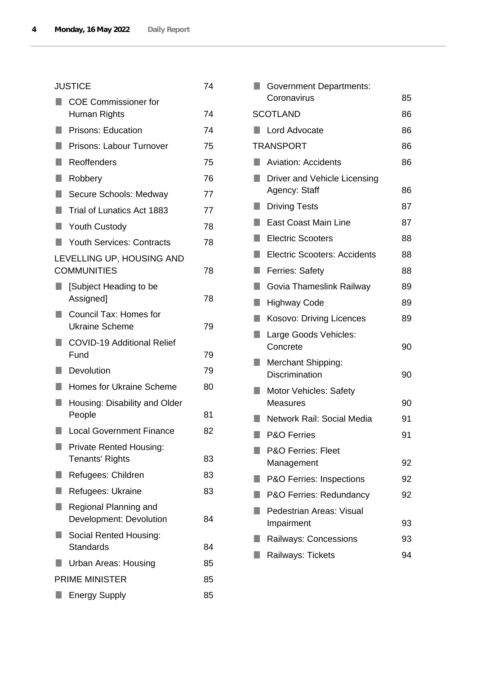|   | <b>JUSTICE</b>                                           | 74 |
|---|----------------------------------------------------------|----|
|   | <b>COE Commissioner for</b><br>Human Rights              | 74 |
|   | <b>Prisons: Education</b>                                | 74 |
| ٠ | Prisons: Labour Turnover                                 | 75 |
| ۰ | Reoffenders                                              | 75 |
| ٠ | Robbery                                                  | 76 |
| ٠ | Secure Schools: Medway                                   | 77 |
| п | Trial of Lunatics Act 1883                               | 77 |
| ш | <b>Youth Custody</b>                                     | 78 |
| ٠ | <b>Youth Services: Contracts</b>                         | 78 |
|   | LEVELLING UP, HOUSING AND<br><b>COMMUNITIES</b>          | 78 |
|   | [Subject Heading to be<br>Assigned]                      | 78 |
| ٠ | Council Tax: Homes for<br><b>Ukraine Scheme</b>          | 79 |
|   | <b>COVID-19 Additional Relief</b><br>Fund                | 79 |
|   | Devolution                                               | 79 |
| ٠ | <b>Homes for Ukraine Scheme</b>                          | 80 |
|   | Housing: Disability and Older<br>People                  | 81 |
|   | <b>Local Government Finance</b>                          | 82 |
|   | <b>Private Rented Housing:</b><br><b>Tenants' Rights</b> | 83 |
|   | Refugees: Children                                       | 83 |
|   | Refugees: Ukraine                                        | 83 |
|   | Regional Planning and<br>Development: Devolution         | 84 |
|   | Social Rented Housing:<br><b>Standards</b>               | 84 |
|   | Urban Areas: Housing                                     | 85 |
|   | <b>PRIME MINISTER</b>                                    | 85 |
|   | <b>Energy Supply</b>                                     | 85 |
|   |                                                          |    |

|   | <b>Government Departments:</b>                |    |
|---|-----------------------------------------------|----|
|   | Coronavirus                                   | 85 |
|   | <b>SCOTLAND</b>                               | 86 |
|   | Lord Advocate                                 | 86 |
|   | TRANSPORT                                     | 86 |
|   | <b>Aviation: Accidents</b>                    | 86 |
|   | Driver and Vehicle Licensing<br>Agency: Staff | 86 |
|   | <b>Driving Tests</b>                          | 87 |
| ٠ | <b>East Coast Main Line</b>                   | 87 |
|   | <b>Electric Scooters</b>                      | 88 |
| ۰ | <b>Electric Scooters: Accidents</b>           | 88 |
| ٠ | <b>Ferries: Safety</b>                        | 88 |
|   | Govia Thameslink Railway                      | 89 |
| ۰ | Highway Code                                  | 89 |
| ٠ | Kosovo: Driving Licences                      | 89 |
|   | Large Goods Vehicles:<br>Concrete             | 90 |
|   | Merchant Shipping:<br><b>Discrimination</b>   | 90 |
|   | Motor Vehicles: Safety<br><b>Measures</b>     | 90 |
|   | Network Rail: Social Media                    | 91 |
|   | <b>P&amp;O Ferries</b>                        | 91 |
|   | <b>P&amp;O Ferries: Fleet</b><br>Management   | 92 |
|   | P&O Ferries: Inspections                      | 92 |
|   | P&O Ferries: Redundancy                       | 92 |
|   | Pedestrian Areas: Visual<br>Impairment        | 93 |
|   | <b>Railways: Concessions</b>                  | 93 |
|   | Railways: Tickets                             | 94 |
|   |                                               |    |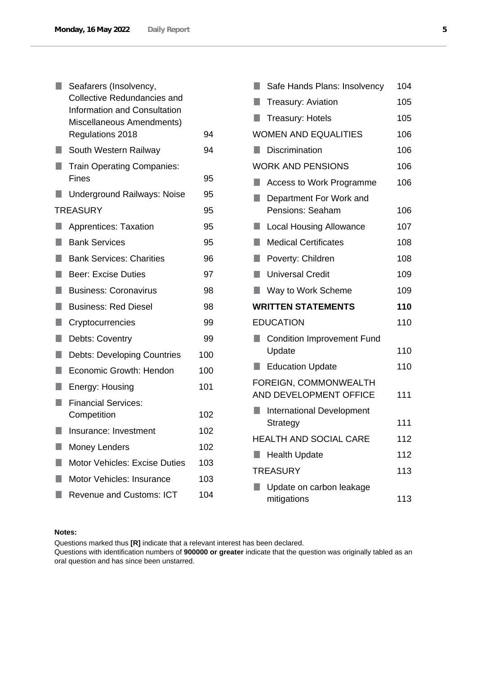|    | Seafarers (Insolvency,<br><b>Collective Redundancies and</b><br><b>Information and Consultation</b><br>Miscellaneous Amendments)<br>Regulations 2018 | 94  |
|----|------------------------------------------------------------------------------------------------------------------------------------------------------|-----|
|    | South Western Railway                                                                                                                                | 94  |
|    | <b>Train Operating Companies:</b><br>Fines                                                                                                           | 95  |
|    | <b>Underground Railways: Noise</b>                                                                                                                   | 95  |
|    | <b>TREASURY</b>                                                                                                                                      | 95  |
|    | <b>Apprentices: Taxation</b>                                                                                                                         | 95  |
|    | <b>Bank Services</b>                                                                                                                                 | 95  |
| H  | <b>Bank Services: Charities</b>                                                                                                                      | 96  |
| ٠  | <b>Beer: Excise Duties</b>                                                                                                                           | 97  |
| ۰  | <b>Business: Coronavirus</b>                                                                                                                         | 98  |
| H. | <b>Business: Red Diesel</b>                                                                                                                          | 98  |
| ٠  | Cryptocurrencies                                                                                                                                     | 99  |
|    | Debts: Coventry                                                                                                                                      | 99  |
| H. | <b>Debts: Developing Countries</b>                                                                                                                   | 100 |
| ٠  | <b>Economic Growth: Hendon</b>                                                                                                                       | 100 |
|    | Energy: Housing                                                                                                                                      | 101 |
|    | <b>Financial Services:</b><br>Competition                                                                                                            | 102 |
|    | Insurance: Investment                                                                                                                                | 102 |
|    | <b>Money Lenders</b>                                                                                                                                 | 102 |
|    | <b>Motor Vehicles: Excise Duties</b>                                                                                                                 | 103 |
|    | <b>Motor Vehicles: Insurance</b>                                                                                                                     | 103 |
|    | <b>Revenue and Customs: ICT</b>                                                                                                                      | 104 |
|    |                                                                                                                                                      |     |

| H  | Safe Hands Plans: Insolvency                    | 104 |
|----|-------------------------------------------------|-----|
|    | <b>Treasury: Aviation</b>                       | 105 |
| u  | <b>Treasury: Hotels</b>                         | 105 |
|    | <b>WOMEN AND EQUALITIES</b>                     | 106 |
|    | <b>Discrimination</b>                           | 106 |
|    | <b>WORK AND PENSIONS</b>                        | 106 |
| ×. | <b>Access to Work Programme</b>                 | 106 |
| ٠  | Department For Work and<br>Pensions: Seaham     | 106 |
| П  | <b>Local Housing Allowance</b>                  | 107 |
| П  | <b>Medical Certificates</b>                     | 108 |
| ٦  | Poverty: Children                               | 108 |
| Ħ  | <b>Universal Credit</b>                         | 109 |
| ŋ  | Way to Work Scheme                              | 109 |
|    | <b>WRITTEN STATEMENTS</b>                       | 110 |
|    | <b>EDUCATION</b>                                | 110 |
|    | <b>Condition Improvement Fund</b><br>Update     | 110 |
|    | <b>Education Update</b>                         | 110 |
|    | FOREIGN, COMMONWEALTH<br>AND DEVELOPMENT OFFICE | 111 |
|    | <b>International Development</b><br>Strategy    | 111 |
|    | <b>HEALTH AND SOCIAL CARE</b>                   | 112 |
|    | <b>Health Update</b>                            | 112 |
|    | <b>TREASURY</b>                                 | 113 |
|    | Update on carbon leakage<br>mitigations         | 113 |

## **Notes:**

Questions marked thus **[R]** indicate that a relevant interest has been declared.

Questions with identification numbers of **900000 or greater** indicate that the question was originally tabled as an oral question and has since been unstarred.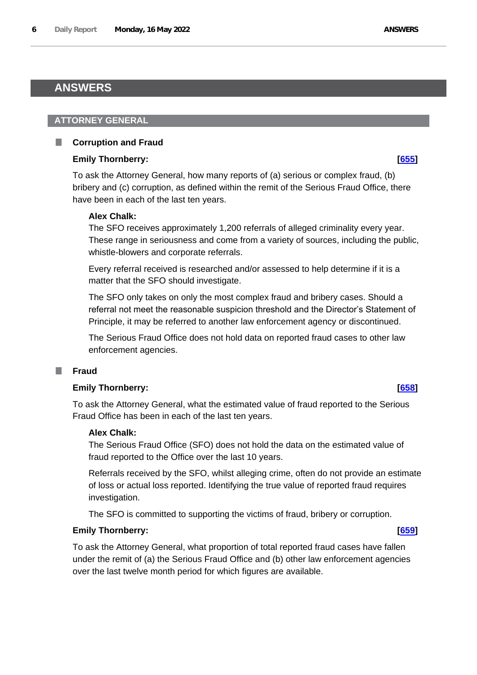## <span id="page-5-0"></span>**ANSWERS**

### <span id="page-5-1"></span>**ATTORNEY GENERAL**

## <span id="page-5-2"></span>**Corruption and Fraud**

## **Emily Thornberry: [\[655\]](http://www.parliament.uk/business/publications/written-questions-answers-statements/written-question/Commons/2022-05-11/655)**

To ask the Attorney General, how many reports of (a) serious or complex fraud, (b) bribery and (c) corruption, as defined within the remit of the Serious Fraud Office, there have been in each of the last ten years.

### **Alex Chalk:**

The SFO receives approximately 1,200 referrals of alleged criminality every year. These range in seriousness and come from a variety of sources, including the public, whistle-blowers and corporate referrals.

Every referral received is researched and/or assessed to help determine if it is a matter that the SFO should investigate.

The SFO only takes on only the most complex fraud and bribery cases. Should a referral not meet the reasonable suspicion threshold and the Director's Statement of Principle, it may be referred to another law enforcement agency or discontinued.

The Serious Fraud Office does not hold data on reported fraud cases to other law enforcement agencies.

#### <span id="page-5-3"></span>T. **Fraud**

### **Emily Thornberry: [\[658\]](http://www.parliament.uk/business/publications/written-questions-answers-statements/written-question/Commons/2022-05-11/658)**

To ask the Attorney General, what the estimated value of fraud reported to the Serious Fraud Office has been in each of the last ten years.

### **Alex Chalk:**

The Serious Fraud Office (SFO) does not hold the data on the estimated value of fraud reported to the Office over the last 10 years.

Referrals received by the SFO, whilst alleging crime, often do not provide an estimate of loss or actual loss reported. Identifying the true value of reported fraud requires investigation.

The SFO is committed to supporting the victims of fraud, bribery or corruption.

## **Emily Thornberry: [\[659\]](http://www.parliament.uk/business/publications/written-questions-answers-statements/written-question/Commons/2022-05-11/659)**

To ask the Attorney General, what proportion of total reported fraud cases have fallen under the remit of (a) the Serious Fraud Office and (b) other law enforcement agencies over the last twelve month period for which figures are available.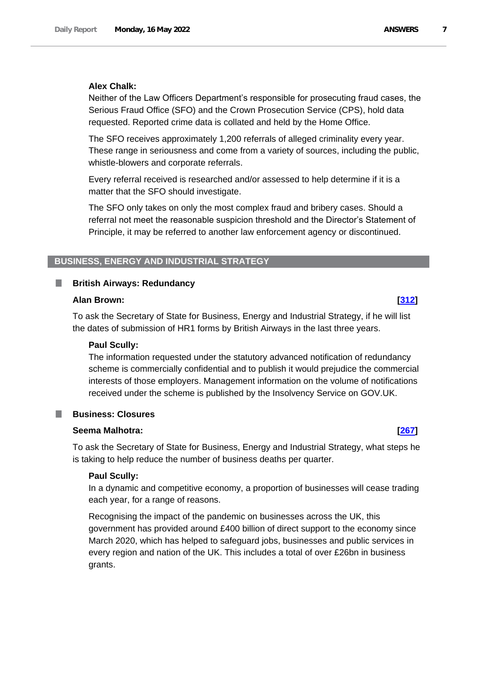#### **Alex Chalk:**

Neither of the Law Officers Department's responsible for prosecuting fraud cases, the Serious Fraud Office (SFO) and the Crown Prosecution Service (CPS), hold data requested. Reported crime data is collated and held by the Home Office.

The SFO receives approximately 1,200 referrals of alleged criminality every year. These range in seriousness and come from a variety of sources, including the public, whistle-blowers and corporate referrals.

Every referral received is researched and/or assessed to help determine if it is a matter that the SFO should investigate.

The SFO only takes on only the most complex fraud and bribery cases. Should a referral not meet the reasonable suspicion threshold and the Director's Statement of Principle, it may be referred to another law enforcement agency or discontinued.

### <span id="page-6-0"></span>**BUSINESS, ENERGY AND INDUSTRIAL STRATEGY**

### <span id="page-6-1"></span>**British Airways: Redundancy**

#### **Alan Brown: [\[312\]](http://www.parliament.uk/business/publications/written-questions-answers-statements/written-question/Commons/2022-05-10/312)**

To ask the Secretary of State for Business, Energy and Industrial Strategy, if he will list the dates of submission of HR1 forms by British Airways in the last three years.

#### **Paul Scully:**

The information requested under the statutory advanced notification of redundancy scheme is commercially confidential and to publish it would prejudice the commercial interests of those employers. Management information on the volume of notifications received under the scheme is published by the Insolvency Service on GOV.UK.

#### <span id="page-6-2"></span>**Business: Closures**

### **Seema Malhotra: [\[267\]](http://www.parliament.uk/business/publications/written-questions-answers-statements/written-question/Commons/2022-05-10/267)**

To ask the Secretary of State for Business, Energy and Industrial Strategy, what steps he is taking to help reduce the number of business deaths per quarter.

#### **Paul Scully:**

In a dynamic and competitive economy, a proportion of businesses will cease trading each year, for a range of reasons.

Recognising the impact of the pandemic on businesses across the UK, this government has provided around £400 billion of direct support to the economy since March 2020, which has helped to safeguard jobs, businesses and public services in every region and nation of the UK. This includes a total of over £26bn in business grants.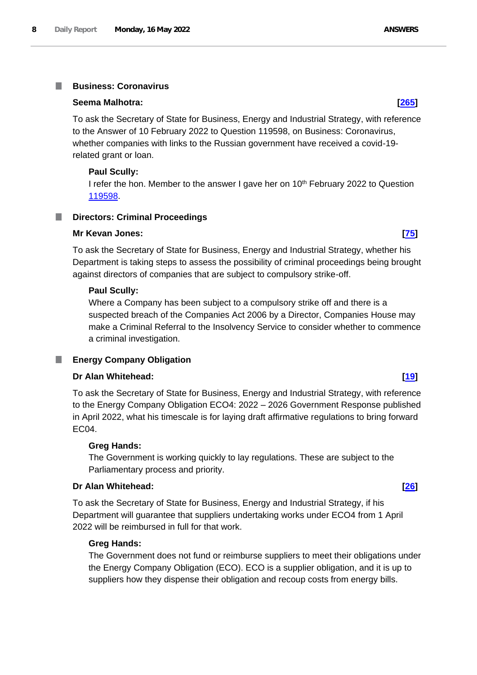#### <span id="page-7-0"></span>**Business: Coronavirus** I.

#### **Seema Malhotra: [\[265\]](http://www.parliament.uk/business/publications/written-questions-answers-statements/written-question/Commons/2022-05-10/265)**

To ask the Secretary of State for Business, Energy and Industrial Strategy, with reference to the Answer of 10 February 2022 to Question 119598, on Business: Coronavirus, whether companies with links to the Russian government have received a covid-19 related grant or loan.

### **Paul Scully:**

I refer the hon. Member to the answer I gave her on 10<sup>th</sup> February 2022 to Question 119598.

#### <span id="page-7-1"></span>**Directors: Criminal Proceedings** ш

#### **Mr Kevan Jones: [\[75\]](http://www.parliament.uk/business/publications/written-questions-answers-statements/written-question/Commons/2022-05-10/75)**

To ask the Secretary of State for Business, Energy and Industrial Strategy, whether his Department is taking steps to assess the possibility of criminal proceedings being brought against directors of companies that are subject to compulsory strike-off.

### **Paul Scully:**

Where a Company has been subject to a compulsory strike off and there is a suspected breach of the Companies Act 2006 by a Director, Companies House may make a Criminal Referral to the Insolvency Service to consider whether to commence a criminal investigation.

### <span id="page-7-2"></span>**Energy Company Obligation**

### **Dr Alan Whitehead: [\[19\]](http://www.parliament.uk/business/publications/written-questions-answers-statements/written-question/Commons/2022-05-10/19)**

To ask the Secretary of State for Business, Energy and Industrial Strategy, with reference to the Energy Company Obligation ECO4: 2022 – 2026 Government Response published in April 2022, what his timescale is for laying draft affirmative regulations to bring forward EC04.

#### **Greg Hands:**

The Government is working quickly to lay regulations. These are subject to the Parliamentary process and priority.

### **Dr Alan Whitehead: [\[26\]](http://www.parliament.uk/business/publications/written-questions-answers-statements/written-question/Commons/2022-05-10/26)**

To ask the Secretary of State for Business, Energy and Industrial Strategy, if his Department will guarantee that suppliers undertaking works under ECO4 from 1 April 2022 will be reimbursed in full for that work.

#### **Greg Hands:**

The Government does not fund or reimburse suppliers to meet their obligations under the Energy Company Obligation (ECO). ECO is a supplier obligation, and it is up to suppliers how they dispense their obligation and recoup costs from energy bills.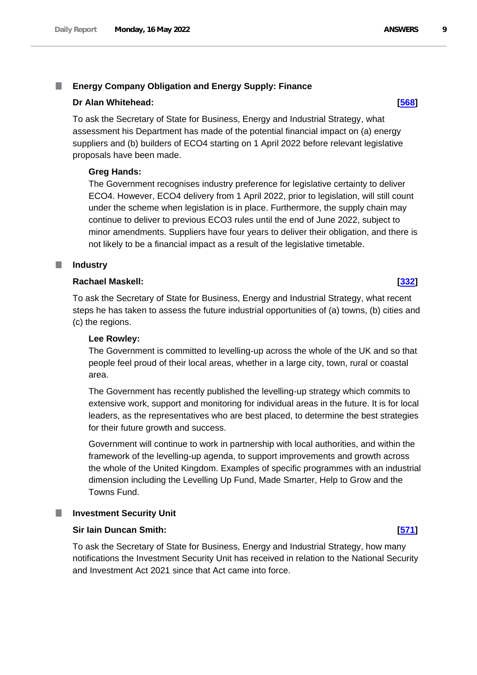#### <span id="page-8-0"></span>T. **Energy Company Obligation and Energy Supply: Finance**

### **Dr Alan Whitehead: [\[568\]](http://www.parliament.uk/business/publications/written-questions-answers-statements/written-question/Commons/2022-05-11/568)**

To ask the Secretary of State for Business, Energy and Industrial Strategy, what assessment his Department has made of the potential financial impact on (a) energy suppliers and (b) builders of ECO4 starting on 1 April 2022 before relevant legislative proposals have been made.

### **Greg Hands:**

The Government recognises industry preference for legislative certainty to deliver ECO4. However, ECO4 delivery from 1 April 2022, prior to legislation, will still count under the scheme when legislation is in place. Furthermore, the supply chain may continue to deliver to previous ECO3 rules until the end of June 2022, subject to minor amendments. Suppliers have four years to deliver their obligation, and there is not likely to be a financial impact as a result of the legislative timetable.

#### <span id="page-8-1"></span>**Industry**

#### **Rachael Maskell: [\[332\]](http://www.parliament.uk/business/publications/written-questions-answers-statements/written-question/Commons/2022-05-10/332)**

To ask the Secretary of State for Business, Energy and Industrial Strategy, what recent steps he has taken to assess the future industrial opportunities of (a) towns, (b) cities and (c) the regions.

#### **Lee Rowley:**

The Government is committed to levelling-up across the whole of the UK and so that people feel proud of their local areas, whether in a large city, town, rural or coastal area.

The Government has recently published the levelling-up strategy which commits to extensive work, support and monitoring for individual areas in the future. It is for local leaders, as the representatives who are best placed, to determine the best strategies for their future growth and success.

Government will continue to work in partnership with local authorities, and within the framework of the levelling-up agenda, to support improvements and growth across the whole of the United Kingdom. Examples of specific programmes with an industrial dimension including the Levelling Up Fund, Made Smarter, Help to Grow and the Towns Fund.

#### <span id="page-8-2"></span>**Investment Security Unit**

#### **Sir Iain Duncan Smith: [\[571\]](http://www.parliament.uk/business/publications/written-questions-answers-statements/written-question/Commons/2022-05-11/571)**

To ask the Secretary of State for Business, Energy and Industrial Strategy, how many notifications the Investment Security Unit has received in relation to the National Security and Investment Act 2021 since that Act came into force.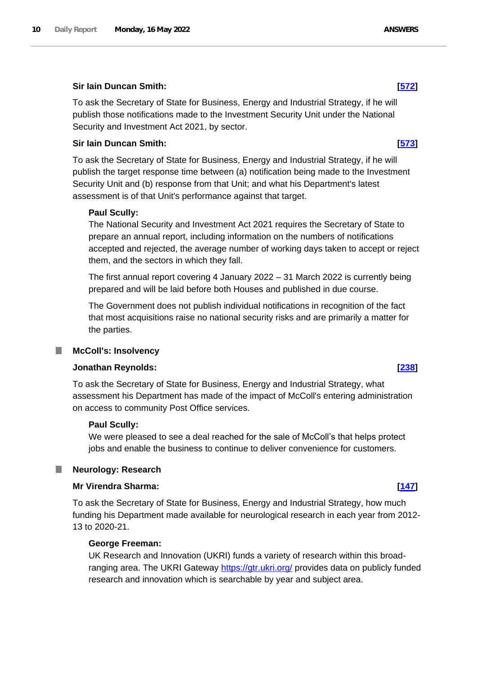#### **Sir Iain Duncan Smith: [\[572\]](http://www.parliament.uk/business/publications/written-questions-answers-statements/written-question/Commons/2022-05-11/572)**

To ask the Secretary of State for Business, Energy and Industrial Strategy, if he will publish those notifications made to the Investment Security Unit under the National Security and Investment Act 2021, by sector.

#### **Sir Iain Duncan Smith: [\[573\]](http://www.parliament.uk/business/publications/written-questions-answers-statements/written-question/Commons/2022-05-11/573)**

To ask the Secretary of State for Business, Energy and Industrial Strategy, if he will publish the target response time between (a) notification being made to the Investment Security Unit and (b) response from that Unit; and what his Department's latest assessment is of that Unit's performance against that target.

#### **Paul Scully:**

The National Security and Investment Act 2021 requires the Secretary of State to prepare an annual report, including information on the numbers of notifications accepted and rejected, the average number of working days taken to accept or reject them, and the sectors in which they fall.

The first annual report covering 4 January 2022 – 31 March 2022 is currently being prepared and will be laid before both Houses and published in due course.

The Government does not publish individual notifications in recognition of the fact that most acquisitions raise no national security risks and are primarily a matter for the parties.

#### <span id="page-9-0"></span>**McColl's: Insolvency**

#### **Jonathan Reynolds: [\[238\]](http://www.parliament.uk/business/publications/written-questions-answers-statements/written-question/Commons/2022-05-10/238)**

To ask the Secretary of State for Business, Energy and Industrial Strategy, what assessment his Department has made of the impact of McColl's entering administration on access to community Post Office services.

#### **Paul Scully:**

We were pleased to see a deal reached for the sale of McColl's that helps protect jobs and enable the business to continue to deliver convenience for customers.

#### <span id="page-9-1"></span>ш **Neurology: Research**

#### **Mr Virendra Sharma: [\[147\]](http://www.parliament.uk/business/publications/written-questions-answers-statements/written-question/Commons/2022-05-10/147)**

To ask the Secretary of State for Business, Energy and Industrial Strategy, how much funding his Department made available for neurological research in each year from 2012- 13 to 2020-21.

#### **George Freeman:**

UK Research and Innovation (UKRI) funds a variety of research within this broadranging area. The UKRI Gateway https://gtr.ukri.org/ provides data on publicly funded research and innovation which is searchable by year and subject area.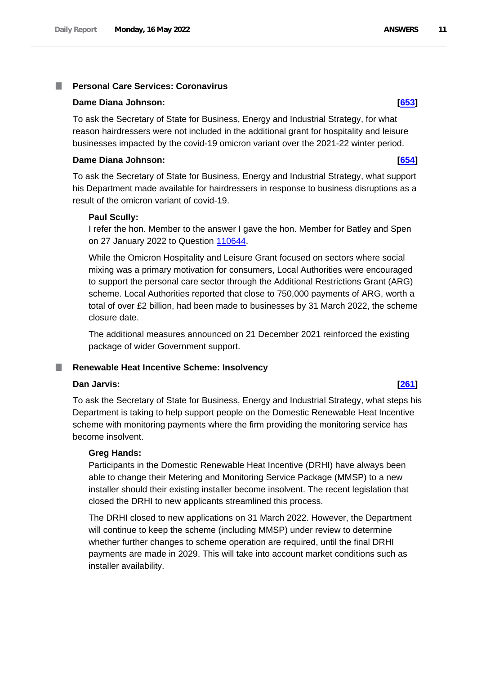#### <span id="page-10-0"></span>**Personal Care Services: Coronavirus** T.

#### **Dame Diana Johnson: [\[653\]](http://www.parliament.uk/business/publications/written-questions-answers-statements/written-question/Commons/2022-05-11/653)**

To ask the Secretary of State for Business, Energy and Industrial Strategy, for what reason hairdressers were not included in the additional grant for hospitality and leisure businesses impacted by the covid-19 omicron variant over the 2021-22 winter period.

### **Dame Diana Johnson: [\[654\]](http://www.parliament.uk/business/publications/written-questions-answers-statements/written-question/Commons/2022-05-11/654)**

To ask the Secretary of State for Business, Energy and Industrial Strategy, what support his Department made available for hairdressers in response to business disruptions as a result of the omicron variant of covid-19.

### **Paul Scully:**

I refer the hon. Member to the answer I gave the hon. Member for Batley and Spen on 27 January 2022 to Question 110644.

While the Omicron Hospitality and Leisure Grant focused on sectors where social mixing was a primary motivation for consumers, Local Authorities were encouraged to support the personal care sector through the Additional Restrictions Grant (ARG) scheme. Local Authorities reported that close to 750,000 payments of ARG, worth a total of over £2 billion, had been made to businesses by 31 March 2022, the scheme closure date.

The additional measures announced on 21 December 2021 reinforced the existing package of wider Government support.

#### <span id="page-10-1"></span>**Renewable Heat Incentive Scheme: Insolvency** ш

### **Dan Jarvis: [\[261\]](http://www.parliament.uk/business/publications/written-questions-answers-statements/written-question/Commons/2022-05-10/261)**

To ask the Secretary of State for Business, Energy and Industrial Strategy, what steps his Department is taking to help support people on the Domestic Renewable Heat Incentive scheme with monitoring payments where the firm providing the monitoring service has become insolvent.

### **Greg Hands:**

Participants in the Domestic Renewable Heat Incentive (DRHI) have always been able to change their Metering and Monitoring Service Package (MMSP) to a new installer should their existing installer become insolvent. The recent legislation that closed the DRHI to new applicants streamlined this process.

The DRHI closed to new applications on 31 March 2022. However, the Department will continue to keep the scheme (including MMSP) under review to determine whether further changes to scheme operation are required, until the final DRHI payments are made in 2029. This will take into account market conditions such as installer availability.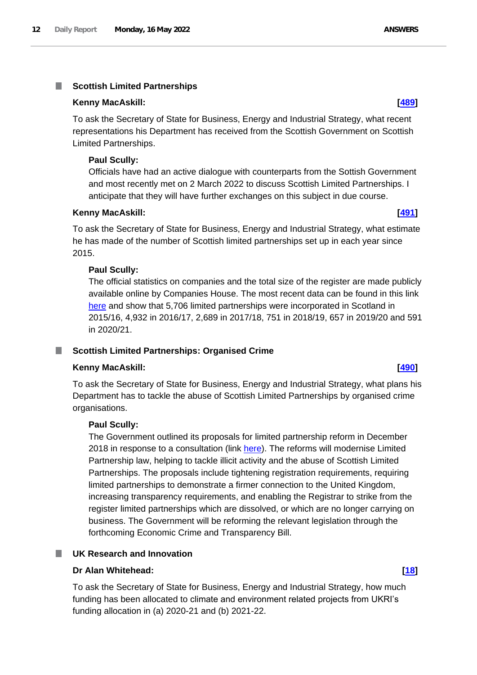#### <span id="page-11-0"></span>m. **Scottish Limited Partnerships**

#### **Kenny MacAskill: [\[489\]](http://www.parliament.uk/business/publications/written-questions-answers-statements/written-question/Commons/2022-05-10/489)**

To ask the Secretary of State for Business, Energy and Industrial Strategy, what recent representations his Department has received from the Scottish Government on Scottish Limited Partnerships.

#### **Paul Scully:**

Officials have had an active dialogue with counterparts from the Sottish Government and most recently met on 2 March 2022 to discuss Scottish Limited Partnerships. I anticipate that they will have further exchanges on this subject in due course.

#### **Kenny MacAskill: [\[491\]](http://www.parliament.uk/business/publications/written-questions-answers-statements/written-question/Commons/2022-05-10/491)**

To ask the Secretary of State for Business, Energy and Industrial Strategy, what estimate he has made of the number of Scottish limited partnerships set up in each year since 2015.

#### **Paul Scully:**

The official statistics on companies and the total size of the register are made publicly available online by Companies House. The most recent data can be found in this link here and show that 5,706 limited partnerships were incorporated in Scotland in 2015/16, 4,932 in 2016/17, 2,689 in 2017/18, 751 in 2018/19, 657 in 2019/20 and 591 in 2020/21.

### <span id="page-11-1"></span>**Scottish Limited Partnerships: Organised Crime**

### **Kenny MacAskill: [\[490\]](http://www.parliament.uk/business/publications/written-questions-answers-statements/written-question/Commons/2022-05-10/490)**

To ask the Secretary of State for Business, Energy and Industrial Strategy, what plans his Department has to tackle the abuse of Scottish Limited Partnerships by organised crime organisations.

#### **Paul Scully:**

The Government outlined its proposals for limited partnership reform in December 2018 in response to a consultation (link here). The reforms will modernise Limited Partnership law, helping to tackle illicit activity and the abuse of Scottish Limited Partnerships. The proposals include tightening registration requirements, requiring limited partnerships to demonstrate a firmer connection to the United Kingdom, increasing transparency requirements, and enabling the Registrar to strike from the register limited partnerships which are dissolved, or which are no longer carrying on business. The Government will be reforming the relevant legislation through the forthcoming Economic Crime and Transparency Bill.

### <span id="page-11-2"></span>**UK Research and Innovation**

#### **Dr Alan Whitehead: [\[18\]](http://www.parliament.uk/business/publications/written-questions-answers-statements/written-question/Commons/2022-05-10/18)**

To ask the Secretary of State for Business, Energy and Industrial Strategy, how much funding has been allocated to climate and environment related projects from UKRI's funding allocation in (a) 2020-21 and (b) 2021-22.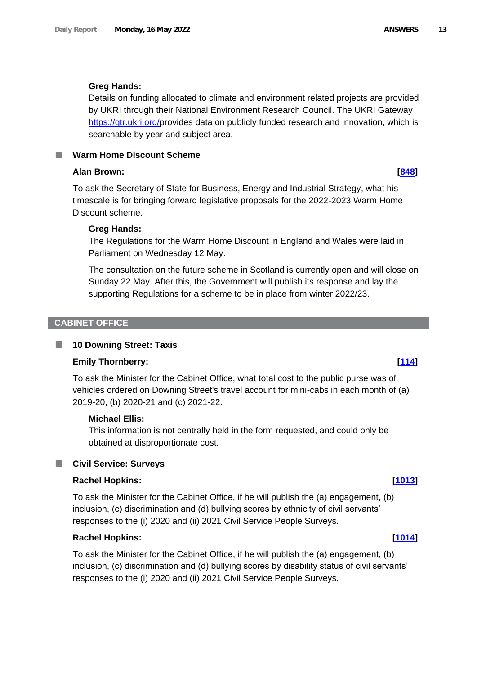### **Greg Hands:**

Details on funding allocated to climate and environment related projects are provided by UKRI through their National Environment Research Council. The UKRI Gateway https://gtr.ukri.org/provides data on publicly funded research and innovation, which is searchable by year and subject area.

<span id="page-12-0"></span>**Warm Home Discount Scheme**

### **Alan Brown: [\[848\]](http://www.parliament.uk/business/publications/written-questions-answers-statements/written-question/Commons/2022-05-11/848)**

To ask the Secretary of State for Business, Energy and Industrial Strategy, what his timescale is for bringing forward legislative proposals for the 2022-2023 Warm Home Discount scheme.

### **Greg Hands:**

The Regulations for the Warm Home Discount in England and Wales were laid in Parliament on Wednesday 12 May.

The consultation on the future scheme in Scotland is currently open and will close on Sunday 22 May. After this, the Government will publish its response and lay the supporting Regulations for a scheme to be in place from winter 2022/23.

### <span id="page-12-1"></span>**CABINET OFFICE**

#### <span id="page-12-2"></span>П **10 Downing Street: Taxis**

### **Emily Thornberry: [\[114\]](http://www.parliament.uk/business/publications/written-questions-answers-statements/written-question/Commons/2022-05-10/114)**

To ask the Minister for the Cabinet Office, what total cost to the public purse was of vehicles ordered on Downing Street's travel account for mini-cabs in each month of (a) 2019-20, (b) 2020-21 and (c) 2021-22.

### **Michael Ellis:**

This information is not centrally held in the form requested, and could only be obtained at disproportionate cost.

### <span id="page-12-3"></span>**Civil Service: Surveys**

### **Rachel Hopkins: [\[1013\]](http://www.parliament.uk/business/publications/written-questions-answers-statements/written-question/Commons/2022-05-11/1013)**

To ask the Minister for the Cabinet Office, if he will publish the (a) engagement, (b) inclusion, (c) discrimination and (d) bullying scores by ethnicity of civil servants' responses to the (i) 2020 and (ii) 2021 Civil Service People Surveys.

### **Rachel Hopkins: [\[1014\]](http://www.parliament.uk/business/publications/written-questions-answers-statements/written-question/Commons/2022-05-11/1014)**

To ask the Minister for the Cabinet Office, if he will publish the (a) engagement, (b) inclusion, (c) discrimination and (d) bullying scores by disability status of civil servants' responses to the (i) 2020 and (ii) 2021 Civil Service People Surveys.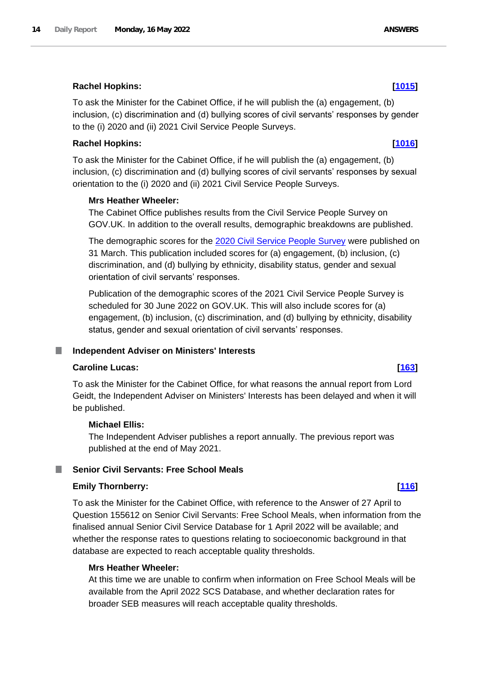# **Rachel Hopkins: [\[1015\]](http://www.parliament.uk/business/publications/written-questions-answers-statements/written-question/Commons/2022-05-11/1015)**

To ask the Minister for the Cabinet Office, if he will publish the (a) engagement, (b) inclusion, (c) discrimination and (d) bullying scores of civil servants' responses by gender to the (i) 2020 and (ii) 2021 Civil Service People Surveys.

## **Rachel Hopkins: [\[1016\]](http://www.parliament.uk/business/publications/written-questions-answers-statements/written-question/Commons/2022-05-11/1016)**

To ask the Minister for the Cabinet Office, if he will publish the (a) engagement, (b) inclusion, (c) discrimination and (d) bullying scores of civil servants' responses by sexual orientation to the (i) 2020 and (ii) 2021 Civil Service People Surveys.

### **Mrs Heather Wheeler:**

The Cabinet Office publishes results from the Civil Service People Survey on GOV.UK. In addition to the overall results, demographic breakdowns are published.

The demographic scores for the [2020 Civil Service People Survey](https://www.gov.uk/government/publications/civil-service-people-survey-2020-results) were published on 31 March. This publication included scores for (a) engagement, (b) inclusion, (c) discrimination, and (d) bullying by ethnicity, disability status, gender and sexual orientation of civil servants' responses.

Publication of the demographic scores of the 2021 Civil Service People Survey is scheduled for 30 June 2022 on GOV.UK. This will also include scores for (a) engagement, (b) inclusion, (c) discrimination, and (d) bullying by ethnicity, disability status, gender and sexual orientation of civil servants' responses.

## <span id="page-13-0"></span>**Independent Adviser on Ministers' Interests**

### **Caroline Lucas: [\[163\]](http://www.parliament.uk/business/publications/written-questions-answers-statements/written-question/Commons/2022-05-10/163)**

To ask the Minister for the Cabinet Office, for what reasons the annual report from Lord Geidt, the Independent Adviser on Ministers' Interests has been delayed and when it will be published.

### **Michael Ellis:**

The Independent Adviser publishes a report annually. The previous report was published at the end of May 2021.

#### <span id="page-13-1"></span>T. **Senior Civil Servants: Free School Meals**

### **Emily Thornberry: [\[116\]](http://www.parliament.uk/business/publications/written-questions-answers-statements/written-question/Commons/2022-05-10/116)**

To ask the Minister for the Cabinet Office, with reference to the Answer of 27 April to Question 155612 on Senior Civil Servants: Free School Meals, when information from the finalised annual Senior Civil Service Database for 1 April 2022 will be available; and whether the response rates to questions relating to socioeconomic background in that database are expected to reach acceptable quality thresholds.

## **Mrs Heather Wheeler:**

At this time we are unable to confirm when information on Free School Meals will be available from the April 2022 SCS Database, and whether declaration rates for broader SEB measures will reach acceptable quality thresholds.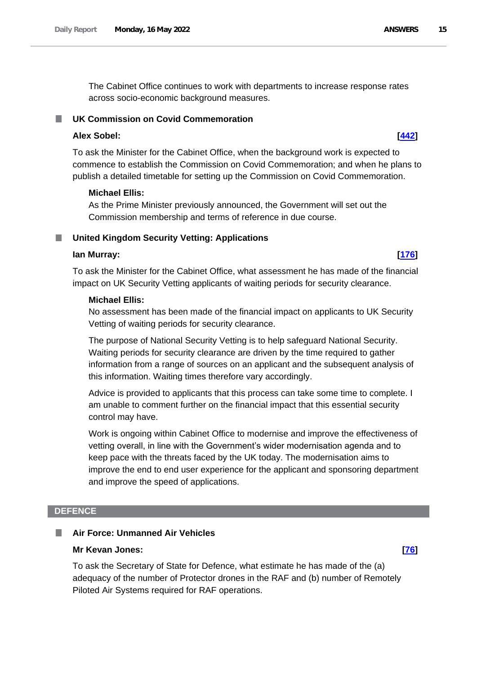The Cabinet Office continues to work with departments to increase response rates across socio-economic background measures.

### <span id="page-14-0"></span>**UK Commission on Covid Commemoration**

## **Alex Sobel: [\[442\]](http://www.parliament.uk/business/publications/written-questions-answers-statements/written-question/Commons/2022-05-10/442)**

To ask the Minister for the Cabinet Office, when the background work is expected to commence to establish the Commission on Covid Commemoration; and when he plans to publish a detailed timetable for setting up the Commission on Covid Commemoration.

### **Michael Ellis:**

As the Prime Minister previously announced, the Government will set out the Commission membership and terms of reference in due course.

### <span id="page-14-1"></span>**United Kingdom Security Vetting: Applications**

#### **Ian Murray: [\[176\]](http://www.parliament.uk/business/publications/written-questions-answers-statements/written-question/Commons/2022-05-10/176)**

To ask the Minister for the Cabinet Office, what assessment he has made of the financial impact on UK Security Vetting applicants of waiting periods for security clearance.

#### **Michael Ellis:**

No assessment has been made of the financial impact on applicants to UK Security Vetting of waiting periods for security clearance.

The purpose of National Security Vetting is to help safeguard National Security. Waiting periods for security clearance are driven by the time required to gather information from a range of sources on an applicant and the subsequent analysis of this information. Waiting times therefore vary accordingly.

Advice is provided to applicants that this process can take some time to complete. I am unable to comment further on the financial impact that this essential security control may have.

Work is ongoing within Cabinet Office to modernise and improve the effectiveness of vetting overall, in line with the Government's wider modernisation agenda and to keep pace with the threats faced by the UK today. The modernisation aims to improve the end to end user experience for the applicant and sponsoring department and improve the speed of applications.

### <span id="page-14-2"></span>**DEFENCE**

#### <span id="page-14-3"></span>**Air Force: Unmanned Air Vehicles** ш

### **Mr Kevan Jones: [\[76\]](http://www.parliament.uk/business/publications/written-questions-answers-statements/written-question/Commons/2022-05-10/76)**

To ask the Secretary of State for Defence, what estimate he has made of the (a) adequacy of the number of Protector drones in the RAF and (b) number of Remotely Piloted Air Systems required for RAF operations.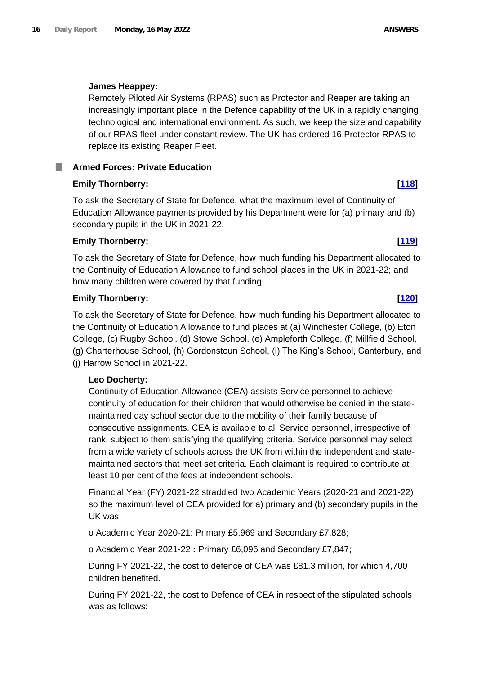#### **James Heappey:**

Remotely Piloted Air Systems (RPAS) such as Protector and Reaper are taking an increasingly important place in the Defence capability of the UK in a rapidly changing technological and international environment. As such, we keep the size and capability of our RPAS fleet under constant review. The UK has ordered 16 Protector RPAS to replace its existing Reaper Fleet.

## <span id="page-15-0"></span>**Armed Forces: Private Education**

### **Emily Thornberry: [\[118\]](http://www.parliament.uk/business/publications/written-questions-answers-statements/written-question/Commons/2022-05-10/118)**

To ask the Secretary of State for Defence, what the maximum level of Continuity of Education Allowance payments provided by his Department were for (a) primary and (b) secondary pupils in the UK in 2021-22.

## **Emily Thornberry: [\[119\]](http://www.parliament.uk/business/publications/written-questions-answers-statements/written-question/Commons/2022-05-10/119)**

To ask the Secretary of State for Defence, how much funding his Department allocated to the Continuity of Education Allowance to fund school places in the UK in 2021-22; and how many children were covered by that funding.

### **Emily Thornberry: [\[120\]](http://www.parliament.uk/business/publications/written-questions-answers-statements/written-question/Commons/2022-05-10/120)**

To ask the Secretary of State for Defence, how much funding his Department allocated to the Continuity of Education Allowance to fund places at (a) Winchester College, (b) Eton College, (c) Rugby School, (d) Stowe School, (e) Ampleforth College, (f) Millfield School, (g) Charterhouse School, (h) Gordonstoun School, (i) The King's School, Canterbury, and (j) Harrow School in 2021-22.

### **Leo Docherty:**

Continuity of Education Allowance (CEA) assists Service personnel to achieve continuity of education for their children that would otherwise be denied in the statemaintained day school sector due to the mobility of their family because of consecutive assignments. CEA is available to all Service personnel, irrespective of rank, subject to them satisfying the qualifying criteria. Service personnel may select from a wide variety of schools across the UK from within the independent and statemaintained sectors that meet set criteria. Each claimant is required to contribute at least 10 per cent of the fees at independent schools.

Financial Year (FY) 2021-22 straddled two Academic Years (2020-21 and 2021-22) so the maximum level of CEA provided for a) primary and (b) secondary pupils in the UK was:

o Academic Year 2020-21: Primary £5,969 and Secondary £7,828;

o Academic Year 2021-22 **:** Primary £6,096 and Secondary £7,847;

During FY 2021-22, the cost to defence of CEA was £81.3 million, for which 4,700 children benefited.

During FY 2021-22, the cost to Defence of CEA in respect of the stipulated schools was as follows: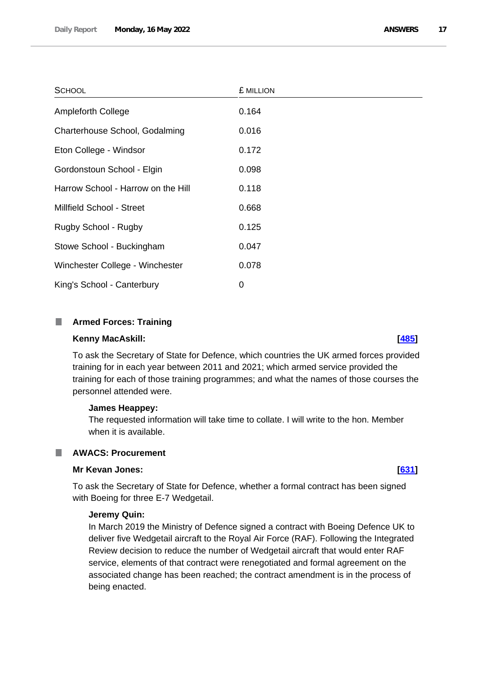| <b>SCHOOL</b>                      | £ MILLION |
|------------------------------------|-----------|
| <b>Ampleforth College</b>          | 0.164     |
| Charterhouse School, Godalming     | 0.016     |
| Eton College - Windsor             | 0.172     |
| Gordonstoun School - Elgin         | 0.098     |
| Harrow School - Harrow on the Hill | 0.118     |
| Millfield School - Street          | 0.668     |
| Rugby School - Rugby               | 0.125     |
| Stowe School - Buckingham          | 0.047     |
| Winchester College - Winchester    | 0.078     |
| King's School - Canterbury         | 0         |

### <span id="page-16-0"></span>**Armed Forces: Training**

#### **Kenny MacAskill: [\[485\]](http://www.parliament.uk/business/publications/written-questions-answers-statements/written-question/Commons/2022-05-10/485)**

To ask the Secretary of State for Defence, which countries the UK armed forces provided training for in each year between 2011 and 2021; which armed service provided the training for each of those training programmes; and what the names of those courses the personnel attended were.

#### **James Heappey:**

The requested information will take time to collate. I will write to the hon. Member when it is available.

<span id="page-16-1"></span>

## **Mr Kevan Jones: [\[631\]](http://www.parliament.uk/business/publications/written-questions-answers-statements/written-question/Commons/2022-05-11/631)**

To ask the Secretary of State for Defence, whether a formal contract has been signed with Boeing for three E-7 Wedgetail.

### **Jeremy Quin:**

In March 2019 the Ministry of Defence signed a contract with Boeing Defence UK to deliver five Wedgetail aircraft to the Royal Air Force (RAF). Following the Integrated Review decision to reduce the number of Wedgetail aircraft that would enter RAF service, elements of that contract were renegotiated and formal agreement on the associated change has been reached; the contract amendment is in the process of being enacted.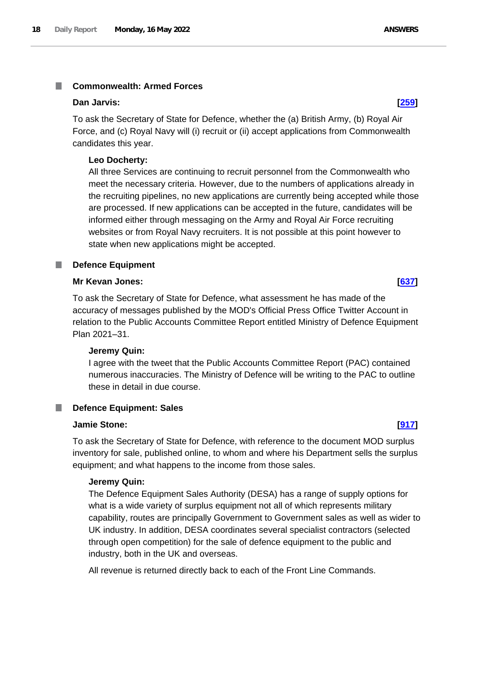#### <span id="page-17-0"></span>**Commonwealth: Armed Forces** T.

#### **Dan Jarvis: [\[259\]](http://www.parliament.uk/business/publications/written-questions-answers-statements/written-question/Commons/2022-05-10/259)**

To ask the Secretary of State for Defence, whether the (a) British Army, (b) Royal Air Force, and (c) Royal Navy will (i) recruit or (ii) accept applications from Commonwealth candidates this year.

#### **Leo Docherty:**

All three Services are continuing to recruit personnel from the Commonwealth who meet the necessary criteria. However, due to the numbers of applications already in the recruiting pipelines, no new applications are currently being accepted while those are processed. If new applications can be accepted in the future, candidates will be informed either through messaging on the Army and Royal Air Force recruiting websites or from Royal Navy recruiters. It is not possible at this point however to state when new applications might be accepted.

### <span id="page-17-1"></span>**Defence Equipment**

#### **Mr Kevan Jones: [\[637\]](http://www.parliament.uk/business/publications/written-questions-answers-statements/written-question/Commons/2022-05-11/637)**

To ask the Secretary of State for Defence, what assessment he has made of the accuracy of messages published by the MOD's Official Press Office Twitter Account in relation to the Public Accounts Committee Report entitled Ministry of Defence Equipment Plan 2021–31.

### **Jeremy Quin:**

I agree with the tweet that the Public Accounts Committee Report (PAC) contained numerous inaccuracies. The Ministry of Defence will be writing to the PAC to outline these in detail in due course.

#### <span id="page-17-2"></span>**Defence Equipment: Sales** T.

#### **Jamie Stone: [\[917\]](http://www.parliament.uk/business/publications/written-questions-answers-statements/written-question/Commons/2022-05-11/917)**

To ask the Secretary of State for Defence, with reference to the document MOD surplus inventory for sale, published online, to whom and where his Department sells the surplus equipment; and what happens to the income from those sales.

### **Jeremy Quin:**

The Defence Equipment Sales Authority (DESA) has a range of supply options for what is a wide variety of surplus equipment not all of which represents military capability, routes are principally Government to Government sales as well as wider to UK industry. In addition, DESA coordinates several specialist contractors (selected through open competition) for the sale of defence equipment to the public and industry, both in the UK and overseas.

All revenue is returned directly back to each of the Front Line Commands.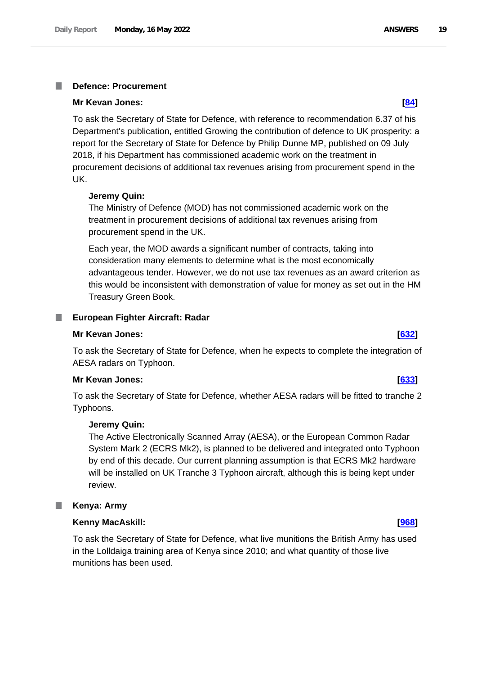#### <span id="page-18-0"></span>**Defence: Procurement** I.

#### **Mr Kevan Jones: [\[84\]](http://www.parliament.uk/business/publications/written-questions-answers-statements/written-question/Commons/2022-05-10/84)**

To ask the Secretary of State for Defence, with reference to recommendation 6.37 of his Department's publication, entitled Growing the contribution of defence to UK prosperity: a report for the Secretary of State for Defence by Philip Dunne MP, published on 09 July 2018, if his Department has commissioned academic work on the treatment in procurement decisions of additional tax revenues arising from procurement spend in the UK.

#### **Jeremy Quin:**

The Ministry of Defence (MOD) has not commissioned academic work on the treatment in procurement decisions of additional tax revenues arising from procurement spend in the UK.

Each year, the MOD awards a significant number of contracts, taking into consideration many elements to determine what is the most economically advantageous tender. However, we do not use tax revenues as an award criterion as this would be inconsistent with demonstration of value for money as set out in the HM Treasury Green Book.

#### <span id="page-18-1"></span>**European Fighter Aircraft: Radar**

#### **Mr Kevan Jones: [\[632\]](http://www.parliament.uk/business/publications/written-questions-answers-statements/written-question/Commons/2022-05-11/632)**

To ask the Secretary of State for Defence, when he expects to complete the integration of AESA radars on Typhoon.

#### **Mr Kevan Jones: [\[633\]](http://www.parliament.uk/business/publications/written-questions-answers-statements/written-question/Commons/2022-05-11/633)**

To ask the Secretary of State for Defence, whether AESA radars will be fitted to tranche 2 Typhoons.

#### **Jeremy Quin:**

The Active Electronically Scanned Array (AESA), or the European Common Radar System Mark 2 (ECRS Mk2), is planned to be delivered and integrated onto Typhoon by end of this decade. Our current planning assumption is that ECRS Mk2 hardware will be installed on UK Tranche 3 Typhoon aircraft, although this is being kept under review.

#### <span id="page-18-2"></span>L. **Kenya: Army**

### **Kenny MacAskill: [\[968\]](http://www.parliament.uk/business/publications/written-questions-answers-statements/written-question/Commons/2022-05-11/968)**

To ask the Secretary of State for Defence, what live munitions the British Army has used in the Lolldaiga training area of Kenya since 2010; and what quantity of those live munitions has been used.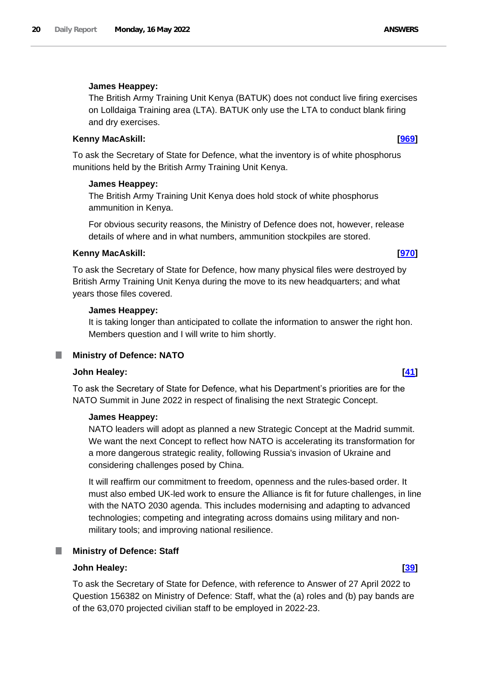### **James Heappey:**

The British Army Training Unit Kenya (BATUK) does not conduct live firing exercises on Lolldaiga Training area (LTA). BATUK only use the LTA to conduct blank firing and dry exercises.

### **Kenny MacAskill: [\[969\]](http://www.parliament.uk/business/publications/written-questions-answers-statements/written-question/Commons/2022-05-11/969)**

To ask the Secretary of State for Defence, what the inventory is of white phosphorus munitions held by the British Army Training Unit Kenya.

### **James Heappey:**

The British Army Training Unit Kenya does hold stock of white phosphorus ammunition in Kenya.

For obvious security reasons, the Ministry of Defence does not, however, release details of where and in what numbers, ammunition stockpiles are stored.

### **Kenny MacAskill: [\[970\]](http://www.parliament.uk/business/publications/written-questions-answers-statements/written-question/Commons/2022-05-11/970)**

To ask the Secretary of State for Defence, how many physical files were destroyed by British Army Training Unit Kenya during the move to its new headquarters; and what years those files covered.

### **James Heappey:**

It is taking longer than anticipated to collate the information to answer the right hon. Members question and I will write to him shortly.

## <span id="page-19-0"></span>**Ministry of Defence: NATO**

## **John Healey: [\[41\]](http://www.parliament.uk/business/publications/written-questions-answers-statements/written-question/Commons/2022-05-10/41)**

To ask the Secretary of State for Defence, what his Department's priorities are for the NATO Summit in June 2022 in respect of finalising the next Strategic Concept.

### **James Heappey:**

NATO leaders will adopt as planned a new Strategic Concept at the Madrid summit. We want the next Concept to reflect how NATO is accelerating its transformation for a more dangerous strategic reality, following Russia's invasion of Ukraine and considering challenges posed by China.

It will reaffirm our commitment to freedom, openness and the rules-based order. It must also embed UK-led work to ensure the Alliance is fit for future challenges, in line with the NATO 2030 agenda. This includes modernising and adapting to advanced technologies; competing and integrating across domains using military and nonmilitary tools; and improving national resilience.

## <span id="page-19-1"></span>**Ministry of Defence: Staff**

### **John Healey: [\[39\]](http://www.parliament.uk/business/publications/written-questions-answers-statements/written-question/Commons/2022-05-10/39)**

To ask the Secretary of State for Defence, with reference to Answer of 27 April 2022 to Question 156382 on Ministry of Defence: Staff, what the (a) roles and (b) pay bands are of the 63,070 projected civilian staff to be employed in 2022-23.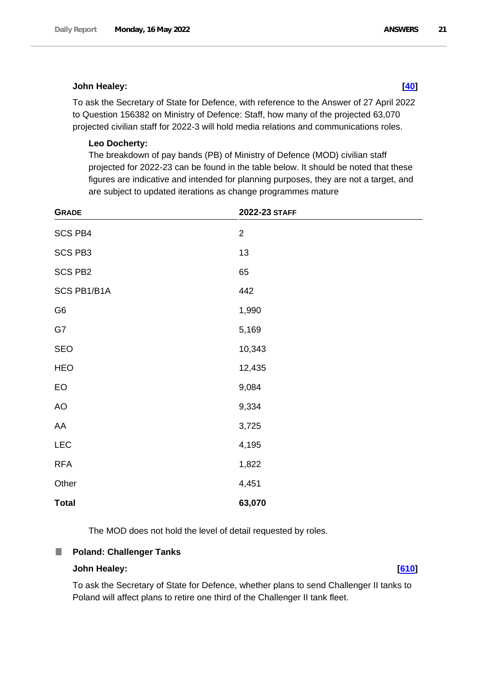### **John Healey: [\[40\]](http://www.parliament.uk/business/publications/written-questions-answers-statements/written-question/Commons/2022-05-10/40)**

To ask the Secretary of State for Defence, with reference to the Answer of 27 April 2022 to Question 156382 on Ministry of Defence: Staff, how many of the projected 63,070 projected civilian staff for 2022-3 will hold media relations and communications roles.

### **Leo Docherty:**

The breakdown of pay bands (PB) of Ministry of Defence (MOD) civilian staff projected for 2022-23 can be found in the table below. It should be noted that these figures are indicative and intended for planning purposes, they are not a target, and are subject to updated iterations as change programmes mature

| <b>GRADE</b>   | 2022-23 STAFF  |
|----------------|----------------|
| <b>SCS PB4</b> | $\overline{2}$ |
| <b>SCS PB3</b> | 13             |
| <b>SCS PB2</b> | 65             |
| SCS PB1/B1A    | 442            |
| G <sub>6</sub> | 1,990          |
| G7             | 5,169          |
| <b>SEO</b>     | 10,343         |
| <b>HEO</b>     | 12,435         |
| EO             | 9,084          |
| AO             | 9,334          |
| AA             | 3,725          |
| <b>LEC</b>     | 4,195          |
| <b>RFA</b>     | 1,822          |
| Other          | 4,451          |
| <b>Total</b>   | 63,070         |

The MOD does not hold the level of detail requested by roles.

#### <span id="page-20-0"></span>**Poland: Challenger Tanks** П

#### **John Healey: [\[610\]](http://www.parliament.uk/business/publications/written-questions-answers-statements/written-question/Commons/2022-05-11/610)**

To ask the Secretary of State for Defence, whether plans to send Challenger II tanks to Poland will affect plans to retire one third of the Challenger II tank fleet.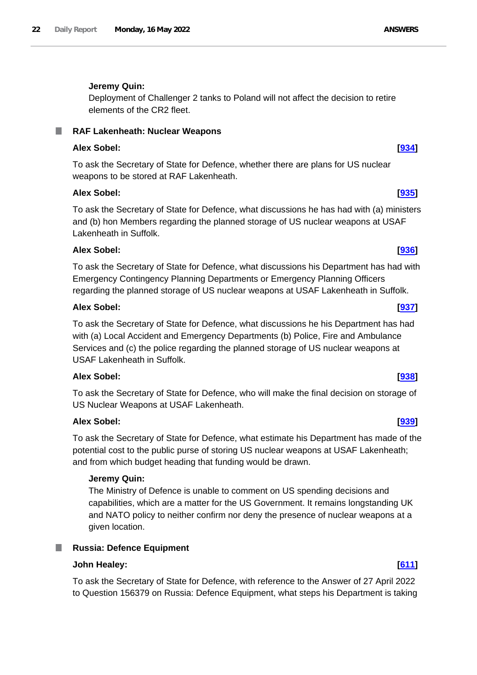## **Jeremy Quin:**

Deployment of Challenger 2 tanks to Poland will not affect the decision to retire elements of the CR2 fleet.

#### <span id="page-21-0"></span>**RAF Lakenheath: Nuclear Weapons** .

## **Alex Sobel: [\[934\]](http://www.parliament.uk/business/publications/written-questions-answers-statements/written-question/Commons/2022-05-11/934)**

To ask the Secretary of State for Defence, whether there are plans for US nuclear weapons to be stored at RAF Lakenheath.

## **Alex Sobel: [\[935\]](http://www.parliament.uk/business/publications/written-questions-answers-statements/written-question/Commons/2022-05-11/935)**

To ask the Secretary of State for Defence, what discussions he has had with (a) ministers and (b) hon Members regarding the planned storage of US nuclear weapons at USAF Lakenheath in Suffolk.

## **Alex Sobel: [\[936\]](http://www.parliament.uk/business/publications/written-questions-answers-statements/written-question/Commons/2022-05-11/936)**

To ask the Secretary of State for Defence, what discussions his Department has had with Emergency Contingency Planning Departments or Emergency Planning Officers regarding the planned storage of US nuclear weapons at USAF Lakenheath in Suffolk.

### **Alex Sobel: [\[937\]](http://www.parliament.uk/business/publications/written-questions-answers-statements/written-question/Commons/2022-05-11/937)**

To ask the Secretary of State for Defence, what discussions he his Department has had with (a) Local Accident and Emergency Departments (b) Police, Fire and Ambulance Services and (c) the police regarding the planned storage of US nuclear weapons at USAF Lakenheath in Suffolk.

## **Alex Sobel: [\[938\]](http://www.parliament.uk/business/publications/written-questions-answers-statements/written-question/Commons/2022-05-11/938)**

To ask the Secretary of State for Defence, who will make the final decision on storage of US Nuclear Weapons at USAF Lakenheath.

## **Alex Sobel: [\[939\]](http://www.parliament.uk/business/publications/written-questions-answers-statements/written-question/Commons/2022-05-11/939)**

To ask the Secretary of State for Defence, what estimate his Department has made of the potential cost to the public purse of storing US nuclear weapons at USAF Lakenheath; and from which budget heading that funding would be drawn.

## **Jeremy Quin:**

The Ministry of Defence is unable to comment on US spending decisions and capabilities, which are a matter for the US Government. It remains longstanding UK and NATO policy to neither confirm nor deny the presence of nuclear weapons at a given location.

## <span id="page-21-1"></span>**Russia: Defence Equipment**

## **John Healey: [\[611\]](http://www.parliament.uk/business/publications/written-questions-answers-statements/written-question/Commons/2022-05-11/611)**

To ask the Secretary of State for Defence, with reference to the Answer of 27 April 2022 to Question 156379 on Russia: Defence Equipment, what steps his Department is taking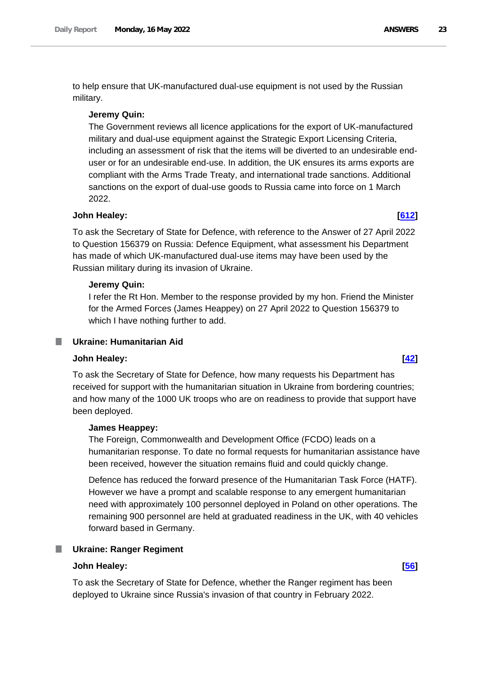to help ensure that UK-manufactured dual-use equipment is not used by the Russian military.

#### **Jeremy Quin:**

The Government reviews all licence applications for the export of UK-manufactured military and dual-use equipment against the Strategic Export Licensing Criteria, including an assessment of risk that the items will be diverted to an undesirable enduser or for an undesirable end-use. In addition, the UK ensures its arms exports are compliant with the Arms Trade Treaty, and international trade sanctions. Additional sanctions on the export of dual-use goods to Russia came into force on 1 March 2022.

#### **John Healey: [\[612\]](http://www.parliament.uk/business/publications/written-questions-answers-statements/written-question/Commons/2022-05-11/612)**

To ask the Secretary of State for Defence, with reference to the Answer of 27 April 2022 to Question 156379 on Russia: Defence Equipment, what assessment his Department has made of which UK-manufactured dual-use items may have been used by the Russian military during its invasion of Ukraine.

#### **Jeremy Quin:**

I refer the Rt Hon. Member to the response provided by my hon. Friend the Minister for the Armed Forces (James Heappey) on 27 April 2022 to Question 156379 to which I have nothing further to add.

#### <span id="page-22-0"></span>**Ukraine: Humanitarian Aid**

#### **John Healey: [\[42\]](http://www.parliament.uk/business/publications/written-questions-answers-statements/written-question/Commons/2022-05-10/42)**

To ask the Secretary of State for Defence, how many requests his Department has received for support with the humanitarian situation in Ukraine from bordering countries; and how many of the 1000 UK troops who are on readiness to provide that support have been deployed.

### **James Heappey:**

The Foreign, Commonwealth and Development Office (FCDO) leads on a humanitarian response. To date no formal requests for humanitarian assistance have been received, however the situation remains fluid and could quickly change.

Defence has reduced the forward presence of the Humanitarian Task Force (HATF). However we have a prompt and scalable response to any emergent humanitarian need with approximately 100 personnel deployed in Poland on other operations. The remaining 900 personnel are held at graduated readiness in the UK, with 40 vehicles forward based in Germany.

#### <span id="page-22-1"></span>**Ukraine: Ranger Regiment** ш

#### **John Healey: [\[56\]](http://www.parliament.uk/business/publications/written-questions-answers-statements/written-question/Commons/2022-05-10/56)**

To ask the Secretary of State for Defence, whether the Ranger regiment has been deployed to Ukraine since Russia's invasion of that country in February 2022.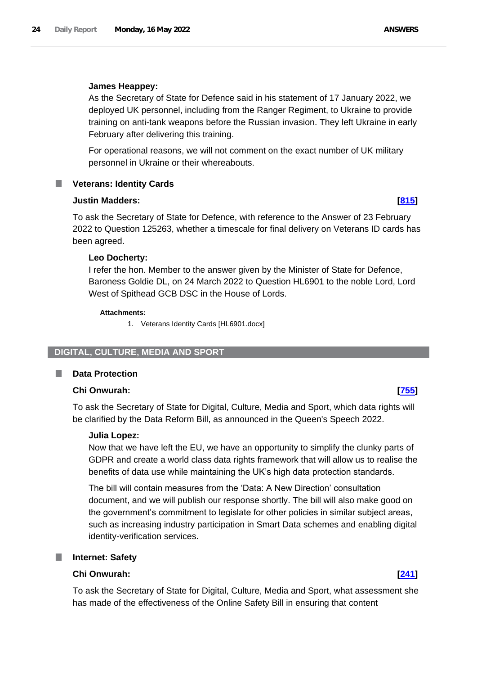#### **James Heappey:**

As the Secretary of State for Defence said in his statement of 17 January 2022, we deployed UK personnel, including from the Ranger Regiment, to Ukraine to provide training on anti-tank weapons before the Russian invasion. They left Ukraine in early February after delivering this training.

For operational reasons, we will not comment on the exact number of UK military personnel in Ukraine or their whereabouts.

#### <span id="page-23-0"></span>**Veterans: Identity Cards** .

#### **Justin Madders: [\[815\]](http://www.parliament.uk/business/publications/written-questions-answers-statements/written-question/Commons/2022-05-11/815)**

To ask the Secretary of State for Defence, with reference to the Answer of 23 February 2022 to Question 125263, whether a timescale for final delivery on Veterans ID cards has been agreed.

#### **Leo Docherty:**

I refer the hon. Member to the answer given by the Minister of State for Defence, Baroness Goldie DL, on 24 March 2022 to Question HL6901 to the noble Lord, Lord West of Spithead GCB DSC in the House of Lords.

#### **Attachments:**

1. Veterans Identity Cards [HL6901.docx]

#### <span id="page-23-1"></span>**DIGITAL, CULTURE, MEDIA AND SPORT**

#### <span id="page-23-2"></span>**Data Protection**

#### **Chi Onwurah: [\[755\]](http://www.parliament.uk/business/publications/written-questions-answers-statements/written-question/Commons/2022-05-11/755)**

To ask the Secretary of State for Digital, Culture, Media and Sport, which data rights will be clarified by the Data Reform Bill, as announced in the Queen's Speech 2022.

#### **Julia Lopez:**

Now that we have left the EU, we have an opportunity to simplify the clunky parts of GDPR and create a world class data rights framework that will allow us to realise the benefits of data use while maintaining the UK's high data protection standards.

The bill will contain measures from the 'Data: A New Direction' consultation document, and we will publish our response shortly. The bill will also make good on the government's commitment to legislate for other policies in similar subject areas, such as increasing industry participation in Smart Data schemes and enabling digital identity-verification services.

#### <span id="page-23-3"></span>**Internet: Safety**

### **Chi Onwurah: [\[241\]](http://www.parliament.uk/business/publications/written-questions-answers-statements/written-question/Commons/2022-05-10/241)**

To ask the Secretary of State for Digital, Culture, Media and Sport, what assessment she has made of the effectiveness of the Online Safety Bill in ensuring that content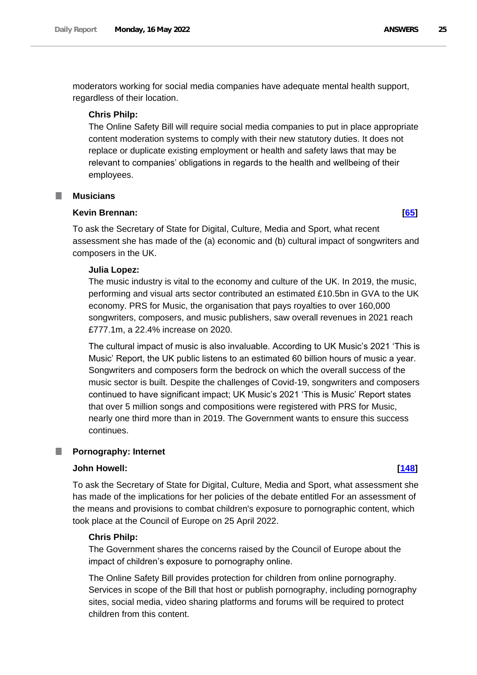moderators working for social media companies have adequate mental health support, regardless of their location.

#### **Chris Philp:**

The Online Safety Bill will require social media companies to put in place appropriate content moderation systems to comply with their new statutory duties. It does not replace or duplicate existing employment or health and safety laws that may be relevant to companies' obligations in regards to the health and wellbeing of their employees.

#### <span id="page-24-0"></span>**Musicians**

#### **Kevin Brennan: [\[65\]](http://www.parliament.uk/business/publications/written-questions-answers-statements/written-question/Commons/2022-05-10/65)**

To ask the Secretary of State for Digital, Culture, Media and Sport, what recent assessment she has made of the (a) economic and (b) cultural impact of songwriters and composers in the UK.

#### **Julia Lopez:**

The music industry is vital to the economy and culture of the UK. In 2019, the music, performing and visual arts sector contributed an estimated £10.5bn in GVA to the UK economy. PRS for Music, the organisation that pays royalties to over 160,000 songwriters, composers, and music publishers, saw overall revenues in 2021 reach £777.1m, a 22.4% increase on 2020.

The cultural impact of music is also invaluable. According to UK Music's 2021 'This is Music' Report, the UK public listens to an estimated 60 billion hours of music a year. Songwriters and composers form the bedrock on which the overall success of the music sector is built. Despite the challenges of Covid-19, songwriters and composers continued to have significant impact; UK Music's 2021 'This is Music' Report states that over 5 million songs and compositions were registered with PRS for Music, nearly one third more than in 2019. The Government wants to ensure this success continues.

#### <span id="page-24-1"></span>**Pornography: Internet** П

#### **John Howell: [\[148\]](http://www.parliament.uk/business/publications/written-questions-answers-statements/written-question/Commons/2022-05-10/148)**

To ask the Secretary of State for Digital, Culture, Media and Sport, what assessment she has made of the implications for her policies of the debate entitled For an assessment of the means and provisions to combat children's exposure to pornographic content, which took place at the Council of Europe on 25 April 2022.

#### **Chris Philp:**

The Government shares the concerns raised by the Council of Europe about the impact of children's exposure to pornography online.

The Online Safety Bill provides protection for children from online pornography. Services in scope of the Bill that host or publish pornography, including pornography sites, social media, video sharing platforms and forums will be required to protect children from this content.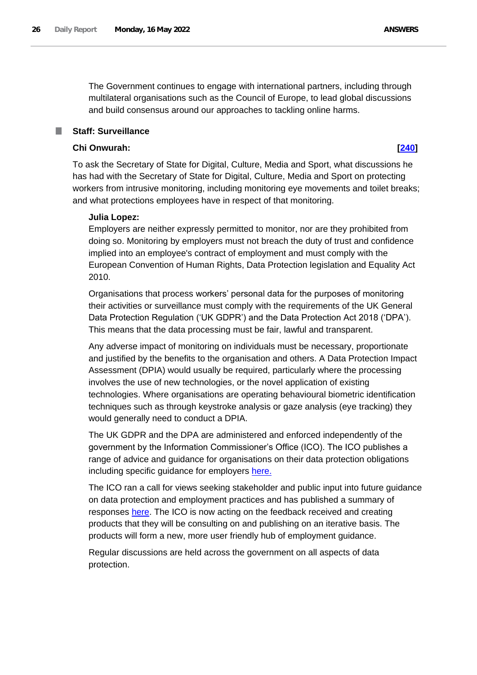The Government continues to engage with international partners, including through multilateral organisations such as the Council of Europe, to lead global discussions and build consensus around our approaches to tackling online harms.

### <span id="page-25-0"></span>**Staff: Surveillance**

#### **Chi Onwurah: [\[240\]](http://www.parliament.uk/business/publications/written-questions-answers-statements/written-question/Commons/2022-05-10/240)**

To ask the Secretary of State for Digital, Culture, Media and Sport, what discussions he has had with the Secretary of State for Digital, Culture, Media and Sport on protecting workers from intrusive monitoring, including monitoring eye movements and toilet breaks; and what protections employees have in respect of that monitoring.

#### **Julia Lopez:**

Employers are neither expressly permitted to monitor, nor are they prohibited from doing so. Monitoring by employers must not breach the duty of trust and confidence implied into an employee's contract of employment and must comply with the European Convention of Human Rights, Data Protection legislation and Equality Act 2010.

Organisations that process workers' personal data for the purposes of monitoring their activities or surveillance must comply with the requirements of the UK General Data Protection Regulation ('UK GDPR') and the Data Protection Act 2018 ('DPA'). This means that the data processing must be fair, lawful and transparent.

Any adverse impact of monitoring on individuals must be necessary, proportionate and justified by the benefits to the organisation and others. A Data Protection Impact Assessment (DPIA) would usually be required, particularly where the processing involves the use of new technologies, or the novel application of existing technologies. Where organisations are operating behavioural biometric identification techniques such as through keystroke analysis or gaze analysis (eye tracking) they would generally need to conduct a DPIA.

The UK GDPR and the DPA are administered and enforced independently of the government by the Information Commissioner's Office (ICO). The ICO publishes a range of advice and guidance for organisations on their data protection obligations including specific guidance for employers [here.](https://ico.org.uk/media/for-organisations/documents/1064/the_employment_practices_code.pdf)

The ICO ran a call for views seeking stakeholder and public input into future guidance on data protection and employment practices and has published a summary of responses [here.](https://ico.org.uk/about-the-ico/ico-and-stakeholder-consultations/ico-call-for-views-on-employment-practices/) The ICO is now acting on the feedback received and creating products that they will be consulting on and publishing on an iterative basis. The products will form a new, more user friendly hub of employment guidance.

Regular discussions are held across the government on all aspects of data protection.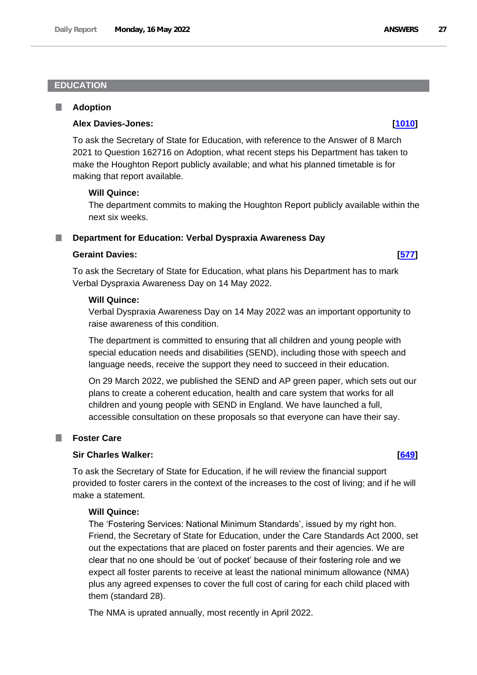#### <span id="page-26-0"></span>**EDUCATION**

#### <span id="page-26-1"></span>**Adoption** L.

#### **Alex Davies-Jones: [\[1010\]](http://www.parliament.uk/business/publications/written-questions-answers-statements/written-question/Commons/2022-05-11/1010)**

To ask the Secretary of State for Education, with reference to the Answer of 8 March 2021 to Question 162716 on Adoption, what recent steps his Department has taken to make the Houghton Report publicly available; and what his planned timetable is for making that report available.

#### **Will Quince:**

The department commits to making the Houghton Report publicly available within the next six weeks.

#### <span id="page-26-2"></span>**Department for Education: Verbal Dyspraxia Awareness Day**

#### **Geraint Davies: [\[577\]](http://www.parliament.uk/business/publications/written-questions-answers-statements/written-question/Commons/2022-05-11/577)**

To ask the Secretary of State for Education, what plans his Department has to mark Verbal Dyspraxia Awareness Day on 14 May 2022.

#### **Will Quince:**

Verbal Dyspraxia Awareness Day on 14 May 2022 was an important opportunity to raise awareness of this condition.

The department is committed to ensuring that all children and young people with special education needs and disabilities (SEND), including those with speech and language needs, receive the support they need to succeed in their education.

On 29 March 2022, we published the SEND and AP green paper, which sets out our plans to create a coherent education, health and care system that works for all children and young people with SEND in England. We have launched a full, accessible consultation on these proposals so that everyone can have their say.

#### <span id="page-26-3"></span>**Foster Care**

### **Sir Charles Walker: [\[649\]](http://www.parliament.uk/business/publications/written-questions-answers-statements/written-question/Commons/2022-05-11/649)**

To ask the Secretary of State for Education, if he will review the financial support provided to foster carers in the context of the increases to the cost of living; and if he will make a statement.

### **Will Quince:**

The 'Fostering Services: National Minimum Standards', issued by my right hon. Friend, the Secretary of State for Education, under the Care Standards Act 2000, set out the expectations that are placed on foster parents and their agencies. We are clear that no one should be 'out of pocket' because of their fostering role and we expect all foster parents to receive at least the national minimum allowance (NMA) plus any agreed expenses to cover the full cost of caring for each child placed with them (standard 28).

The NMA is uprated annually, most recently in April 2022.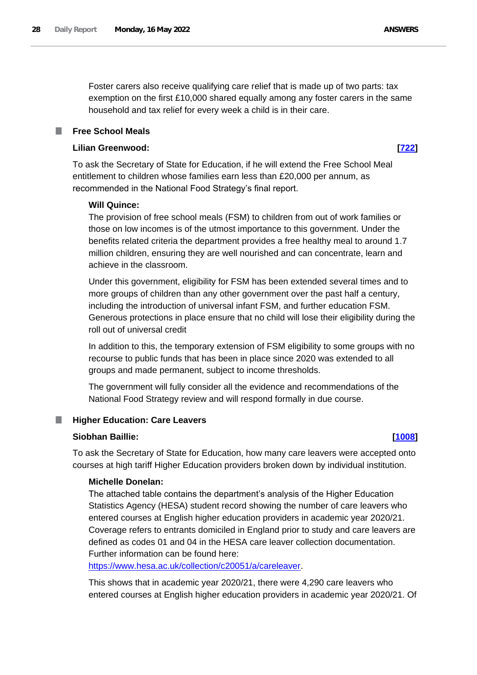Foster carers also receive qualifying care relief that is made up of two parts: tax exemption on the first £10,000 shared equally among any foster carers in the same household and tax relief for every week a child is in their care.

#### <span id="page-27-0"></span>**Free School Meals**

### **Lilian Greenwood: [\[722\]](http://www.parliament.uk/business/publications/written-questions-answers-statements/written-question/Commons/2022-05-11/722)**

To ask the Secretary of State for Education, if he will extend the Free School Meal entitlement to children whose families earn less than £20,000 per annum, as recommended in the National Food Strategy's final report.

#### **Will Quince:**

The provision of free school meals (FSM) to children from out of work families or those on low incomes is of the utmost importance to this government. Under the benefits related criteria the department provides a free healthy meal to around 1.7 million children, ensuring they are well nourished and can concentrate, learn and achieve in the classroom.

Under this government, eligibility for FSM has been extended several times and to more groups of children than any other government over the past half a century, including the introduction of universal infant FSM, and further education FSM. Generous protections in place ensure that no child will lose their eligibility during the roll out of universal credit

In addition to this, the temporary extension of FSM eligibility to some groups with no recourse to public funds that has been in place since 2020 was extended to all groups and made permanent, subject to income thresholds.

The government will fully consider all the evidence and recommendations of the National Food Strategy review and will respond formally in due course.

### <span id="page-27-1"></span>**Higher Education: Care Leavers**

#### **Siobhan Baillie: [\[1008\]](http://www.parliament.uk/business/publications/written-questions-answers-statements/written-question/Commons/2022-05-11/1008)**

To ask the Secretary of State for Education, how many care leavers were accepted onto courses at high tariff Higher Education providers broken down by individual institution.

#### **Michelle Donelan:**

The attached table contains the department's analysis of the Higher Education Statistics Agency (HESA) student record showing the number of care leavers who entered courses at English higher education providers in academic year 2020/21. Coverage refers to entrants domiciled in England prior to study and care leavers are defined as codes 01 and 04 in the HESA care leaver collection documentation. Further information can be found here:

https://www.hesa.ac.uk/collection/c20051/a/careleaver.

This shows that in academic year 2020/21, there were 4,290 care leavers who entered courses at English higher education providers in academic year 2020/21. Of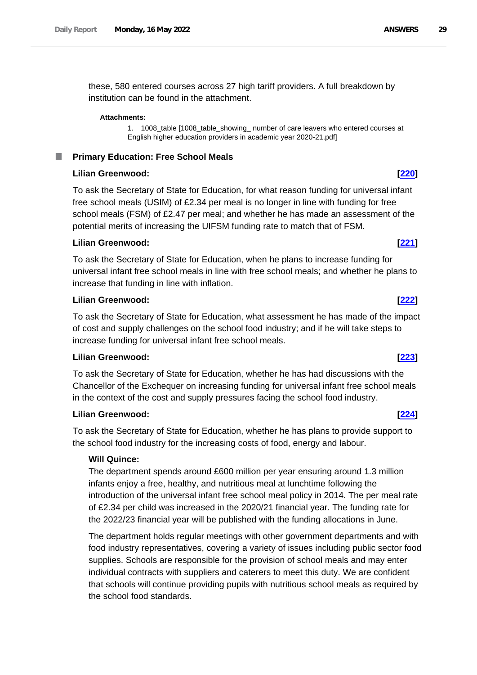these, 580 entered courses across 27 high tariff providers. A full breakdown by institution can be found in the attachment.

#### **Attachments:**

1. 1008\_table [1008\_table\_showing\_ number of care leavers who entered courses at English higher education providers in academic year 2020-21.pdf]

#### <span id="page-28-0"></span>**Primary Education: Free School Meals** .

### **Lilian Greenwood: [\[220\]](http://www.parliament.uk/business/publications/written-questions-answers-statements/written-question/Commons/2022-05-10/220)**

To ask the Secretary of State for Education, for what reason funding for universal infant free school meals (USIM) of £2.34 per meal is no longer in line with funding for free school meals (FSM) of £2.47 per meal; and whether he has made an assessment of the potential merits of increasing the UIFSM funding rate to match that of FSM.

### **Lilian Greenwood: [\[221\]](http://www.parliament.uk/business/publications/written-questions-answers-statements/written-question/Commons/2022-05-10/221)**

To ask the Secretary of State for Education, when he plans to increase funding for universal infant free school meals in line with free school meals; and whether he plans to increase that funding in line with inflation.

#### **Lilian Greenwood: [\[222\]](http://www.parliament.uk/business/publications/written-questions-answers-statements/written-question/Commons/2022-05-10/222)**

To ask the Secretary of State for Education, what assessment he has made of the impact of cost and supply challenges on the school food industry; and if he will take steps to increase funding for universal infant free school meals.

## **Lilian Greenwood: [\[223\]](http://www.parliament.uk/business/publications/written-questions-answers-statements/written-question/Commons/2022-05-10/223)**

To ask the Secretary of State for Education, whether he has had discussions with the Chancellor of the Exchequer on increasing funding for universal infant free school meals in the context of the cost and supply pressures facing the school food industry.

### **Lilian Greenwood: [\[224\]](http://www.parliament.uk/business/publications/written-questions-answers-statements/written-question/Commons/2022-05-10/224)**

To ask the Secretary of State for Education, whether he has plans to provide support to the school food industry for the increasing costs of food, energy and labour.

### **Will Quince:**

The department spends around £600 million per year ensuring around 1.3 million infants enjoy a free, healthy, and nutritious meal at lunchtime following the introduction of the universal infant free school meal policy in 2014. The per meal rate of £2.34 per child was increased in the 2020/21 financial year. The funding rate for the 2022/23 financial year will be published with the funding allocations in June.

The department holds regular meetings with other government departments and with food industry representatives, covering a variety of issues including public sector food supplies. Schools are responsible for the provision of school meals and may enter individual contracts with suppliers and caterers to meet this duty. We are confident that schools will continue providing pupils with nutritious school meals as required by the school food standards.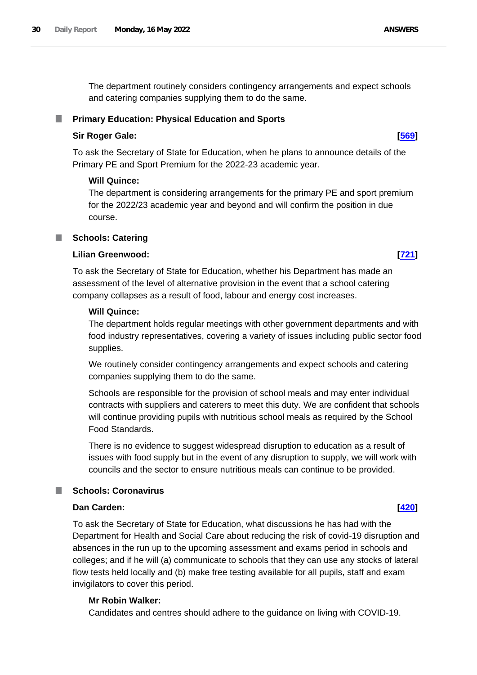The department routinely considers contingency arrangements and expect schools and catering companies supplying them to do the same.

### <span id="page-29-0"></span>**Primary Education: Physical Education and Sports**

### **Sir Roger Gale: [\[569\]](http://www.parliament.uk/business/publications/written-questions-answers-statements/written-question/Commons/2022-05-11/569)**

To ask the Secretary of State for Education, when he plans to announce details of the Primary PE and Sport Premium for the 2022-23 academic year.

### **Will Quince:**

The department is considering arrangements for the primary PE and sport premium for the 2022/23 academic year and beyond and will confirm the position in due course.

### <span id="page-29-1"></span>**Schools: Catering**

### **Lilian Greenwood: [\[721\]](http://www.parliament.uk/business/publications/written-questions-answers-statements/written-question/Commons/2022-05-11/721)**

To ask the Secretary of State for Education, whether his Department has made an assessment of the level of alternative provision in the event that a school catering company collapses as a result of food, labour and energy cost increases.

### **Will Quince:**

The department holds regular meetings with other government departments and with food industry representatives, covering a variety of issues including public sector food supplies.

We routinely consider contingency arrangements and expect schools and catering companies supplying them to do the same.

Schools are responsible for the provision of school meals and may enter individual contracts with suppliers and caterers to meet this duty. We are confident that schools will continue providing pupils with nutritious school meals as required by the School Food Standards.

There is no evidence to suggest widespread disruption to education as a result of issues with food supply but in the event of any disruption to supply, we will work with councils and the sector to ensure nutritious meals can continue to be provided.

## <span id="page-29-2"></span>**Schools: Coronavirus**

## **Dan Carden: [\[420\]](http://www.parliament.uk/business/publications/written-questions-answers-statements/written-question/Commons/2022-05-10/420)**

To ask the Secretary of State for Education, what discussions he has had with the Department for Health and Social Care about reducing the risk of covid-19 disruption and absences in the run up to the upcoming assessment and exams period in schools and colleges; and if he will (a) communicate to schools that they can use any stocks of lateral flow tests held locally and (b) make free testing available for all pupils, staff and exam invigilators to cover this period.

## **Mr Robin Walker:**

Candidates and centres should adhere to the guidance on living with COVID-19.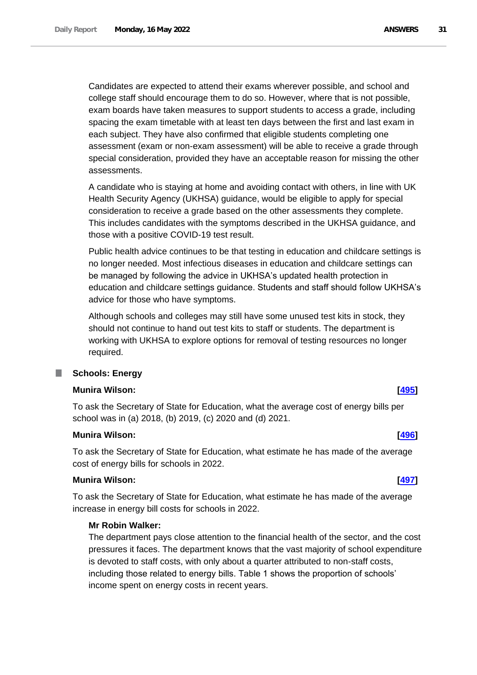Candidates are expected to attend their exams wherever possible, and school and college staff should encourage them to do so. However, where that is not possible, exam boards have taken measures to support students to access a grade, including spacing the exam timetable with at least ten days between the first and last exam in each subject. They have also confirmed that eligible students completing one assessment (exam or non-exam assessment) will be able to receive a grade through special consideration, provided they have an acceptable reason for missing the other assessments.

A candidate who is staying at home and avoiding contact with others, in line with UK Health Security Agency (UKHSA) guidance, would be eligible to apply for special consideration to receive a grade based on the other assessments they complete. This includes candidates with the symptoms described in the UKHSA guidance, and those with a positive COVID-19 test result.

Public health advice continues to be that testing in education and childcare settings is no longer needed. Most infectious diseases in education and childcare settings can be managed by following the advice in UKHSA's updated health protection in education and childcare settings guidance. Students and staff should follow UKHSA's advice for those who have symptoms.

Although schools and colleges may still have some unused test kits in stock, they should not continue to hand out test kits to staff or students. The department is working with UKHSA to explore options for removal of testing resources no longer required.

## <span id="page-30-0"></span>**Schools: Energy**

#### **Munira Wilson: [\[495\]](http://www.parliament.uk/business/publications/written-questions-answers-statements/written-question/Commons/2022-05-10/495)**

To ask the Secretary of State for Education, what the average cost of energy bills per school was in (a) 2018, (b) 2019, (c) 2020 and (d) 2021.

#### **Munira Wilson: [\[496\]](http://www.parliament.uk/business/publications/written-questions-answers-statements/written-question/Commons/2022-05-10/496)**

To ask the Secretary of State for Education, what estimate he has made of the average cost of energy bills for schools in 2022.

## **Munira Wilson: [\[497\]](http://www.parliament.uk/business/publications/written-questions-answers-statements/written-question/Commons/2022-05-10/497)**

To ask the Secretary of State for Education, what estimate he has made of the average increase in energy bill costs for schools in 2022.

#### **Mr Robin Walker:**

The department pays close attention to the financial health of the sector, and the cost pressures it faces. The department knows that the vast majority of school expenditure is devoted to staff costs, with only about a quarter attributed to non-staff costs, including those related to energy bills. Table 1 shows the proportion of schools' income spent on energy costs in recent years.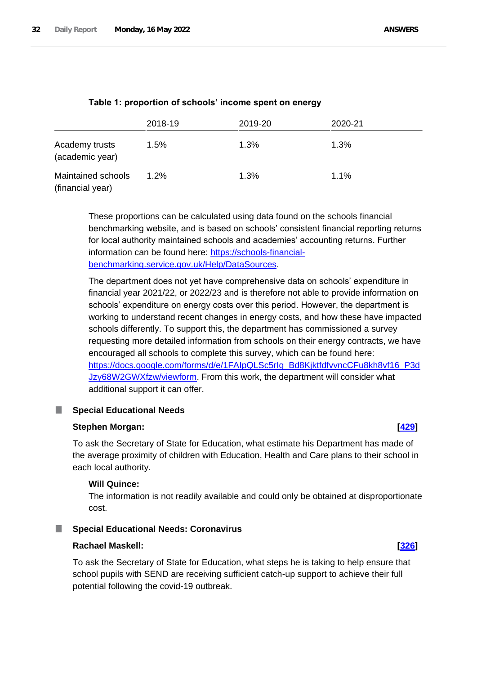|                                        | 2018-19 | 2019-20 | 2020-21 |
|----------------------------------------|---------|---------|---------|
| Academy trusts<br>(academic year)      | 1.5%    | 1.3%    | 1.3%    |
| Maintained schools<br>(financial year) | 1.2%    | 1.3%    | 1.1%    |

These proportions can be calculated using data found on the schools financial benchmarking website, and is based on schools' consistent financial reporting returns for local authority maintained schools and academies' accounting returns. Further information can be found here: [https://schools-financial](https://schools-financial-benchmarking.service.gov.uk/Help/DataSources)[benchmarking.service.gov.uk/Help/DataSources.](https://schools-financial-benchmarking.service.gov.uk/Help/DataSources)

The department does not yet have comprehensive data on schools' expenditure in financial year 2021/22, or 2022/23 and is therefore not able to provide information on schools' expenditure on energy costs over this period. However, the department is working to understand recent changes in energy costs, and how these have impacted schools differently. To support this, the department has commissioned a survey requesting more detailed information from schools on their energy contracts, we have encouraged all schools to complete this survey, which can be found here: [https://docs.google.com/forms/d/e/1FAIpQLSc5rIg\\_Bd8KjktfdfvvncCFu8kh8vf16\\_P3d](https://docs.google.com/forms/d/e/1FAIpQLSc5rIg_Bd8KjktfdfvvncCFu8kh8vf16_P3dJzy68W2GWXfzw/viewform) [Jzy68W2GWXfzw/viewform.](https://docs.google.com/forms/d/e/1FAIpQLSc5rIg_Bd8KjktfdfvvncCFu8kh8vf16_P3dJzy68W2GWXfzw/viewform) From this work, the department will consider what additional support it can offer.

#### <span id="page-31-0"></span>m. **Special Educational Needs**

#### **Stephen Morgan: [\[429\]](http://www.parliament.uk/business/publications/written-questions-answers-statements/written-question/Commons/2022-05-10/429)**

To ask the Secretary of State for Education, what estimate his Department has made of the average proximity of children with Education, Health and Care plans to their school in each local authority.

#### **Will Quince:**

The information is not readily available and could only be obtained at disproportionate cost.

#### <span id="page-31-1"></span>**Special Educational Needs: Coronavirus**

#### **Rachael Maskell: [\[326\]](http://www.parliament.uk/business/publications/written-questions-answers-statements/written-question/Commons/2022-05-10/326)**

To ask the Secretary of State for Education, what steps he is taking to help ensure that school pupils with SEND are receiving sufficient catch-up support to achieve their full potential following the covid-19 outbreak.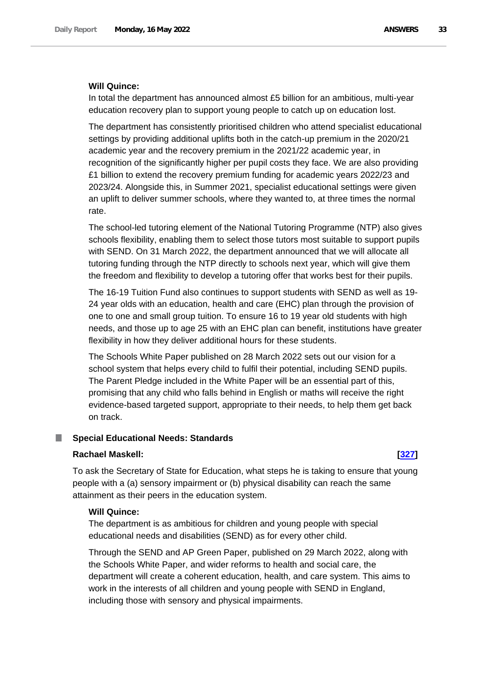#### **Will Quince:**

In total the department has announced almost £5 billion for an ambitious, multi-year education recovery plan to support young people to catch up on education lost.

The department has consistently prioritised children who attend specialist educational settings by providing additional uplifts both in the catch-up premium in the 2020/21 academic year and the recovery premium in the 2021/22 academic year, in recognition of the significantly higher per pupil costs they face. We are also providing £1 billion to extend the recovery premium funding for academic years 2022/23 and 2023/24. Alongside this, in Summer 2021, specialist educational settings were given an uplift to deliver summer schools, where they wanted to, at three times the normal rate.

The school-led tutoring element of the National Tutoring Programme (NTP) also gives schools flexibility, enabling them to select those tutors most suitable to support pupils with SEND. On 31 March 2022, the department announced that we will allocate all tutoring funding through the NTP directly to schools next year, which will give them the freedom and flexibility to develop a tutoring offer that works best for their pupils.

The 16-19 Tuition Fund also continues to support students with SEND as well as 19- 24 year olds with an education, health and care (EHC) plan through the provision of one to one and small group tuition. To ensure 16 to 19 year old students with high needs, and those up to age 25 with an EHC plan can benefit, institutions have greater flexibility in how they deliver additional hours for these students.

The Schools White Paper published on 28 March 2022 sets out our vision for a school system that helps every child to fulfil their potential, including SEND pupils. The Parent Pledge included in the White Paper will be an essential part of this, promising that any child who falls behind in English or maths will receive the right evidence-based targeted support, appropriate to their needs, to help them get back on track.

#### <span id="page-32-0"></span>**Special Educational Needs: Standards** ш

### **Rachael Maskell: [\[327\]](http://www.parliament.uk/business/publications/written-questions-answers-statements/written-question/Commons/2022-05-10/327)**

To ask the Secretary of State for Education, what steps he is taking to ensure that young people with a (a) sensory impairment or (b) physical disability can reach the same attainment as their peers in the education system.

### **Will Quince:**

The department is as ambitious for children and young people with special educational needs and disabilities (SEND) as for every other child.

Through the SEND and AP Green Paper, published on 29 March 2022, along with the Schools White Paper, and wider reforms to health and social care, the department will create a coherent education, health, and care system. This aims to work in the interests of all children and young people with SEND in England, including those with sensory and physical impairments.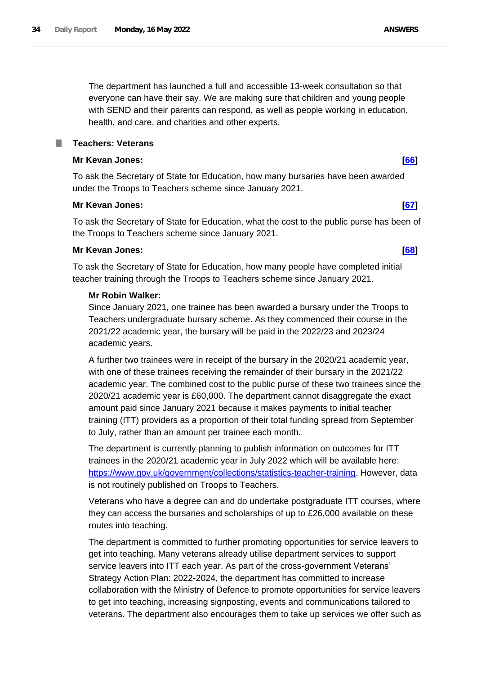The department has launched a full and accessible 13-week consultation so that everyone can have their say. We are making sure that children and young people with SEND and their parents can respond, as well as people working in education, health, and care, and charities and other experts.

### <span id="page-33-0"></span>**Teachers: Veterans**

### **Mr Kevan Jones: [\[66\]](http://www.parliament.uk/business/publications/written-questions-answers-statements/written-question/Commons/2022-05-10/66)**

To ask the Secretary of State for Education, how many bursaries have been awarded under the Troops to Teachers scheme since January 2021.

#### **Mr Kevan Jones: [\[67\]](http://www.parliament.uk/business/publications/written-questions-answers-statements/written-question/Commons/2022-05-10/67)**

To ask the Secretary of State for Education, what the cost to the public purse has been of the Troops to Teachers scheme since January 2021.

### **Mr Kevan Jones: [\[68\]](http://www.parliament.uk/business/publications/written-questions-answers-statements/written-question/Commons/2022-05-10/68)**

To ask the Secretary of State for Education, how many people have completed initial teacher training through the Troops to Teachers scheme since January 2021.

#### **Mr Robin Walker:**

Since January 2021, one trainee has been awarded a bursary under the Troops to Teachers undergraduate bursary scheme. As they commenced their course in the 2021/22 academic year, the bursary will be paid in the 2022/23 and 2023/24 academic years.

A further two trainees were in receipt of the bursary in the 2020/21 academic year, with one of these trainees receiving the remainder of their bursary in the 2021/22 academic year. The combined cost to the public purse of these two trainees since the 2020/21 academic year is £60,000. The department cannot disaggregate the exact amount paid since January 2021 because it makes payments to initial teacher training (ITT) providers as a proportion of their total funding spread from September to July, rather than an amount per trainee each month.

The department is currently planning to publish information on outcomes for ITT trainees in the 2020/21 academic year in July 2022 which will be available here: [https://www.gov.uk/government/collections/statistics-teacher-training.](https://www.gov.uk/government/collections/statistics-teacher-training) However, data is not routinely published on Troops to Teachers.

Veterans who have a degree can and do undertake postgraduate ITT courses, where they can access the bursaries and scholarships of up to £26,000 available on these routes into teaching.

The department is committed to further promoting opportunities for service leavers to get into teaching. Many veterans already utilise department services to support service leavers into ITT each year. As part of the cross-government Veterans' Strategy Action Plan: 2022-2024, the department has committed to increase collaboration with the Ministry of Defence to promote opportunities for service leavers to get into teaching, increasing signposting, events and communications tailored to veterans. The department also encourages them to take up services we offer such as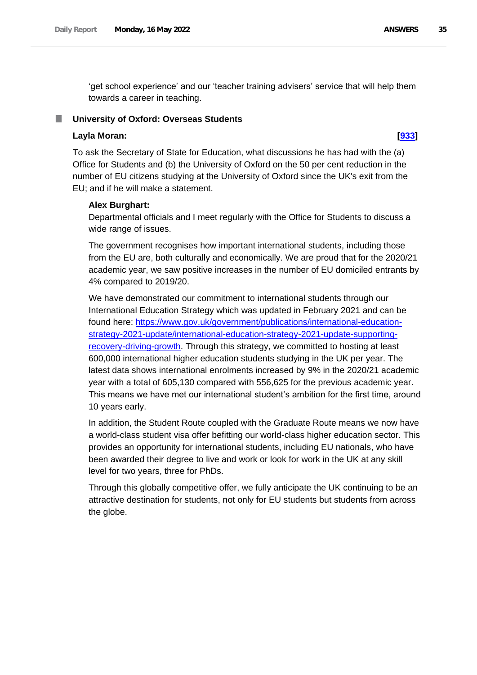'get school experience' and our 'teacher training advisers' service that will help them towards a career in teaching.

### <span id="page-34-0"></span>**University of Oxford: Overseas Students**

### **Layla Moran: [\[933\]](http://www.parliament.uk/business/publications/written-questions-answers-statements/written-question/Commons/2022-05-11/933)**

To ask the Secretary of State for Education, what discussions he has had with the (a) Office for Students and (b) the University of Oxford on the 50 per cent reduction in the number of EU citizens studying at the University of Oxford since the UK's exit from the EU; and if he will make a statement.

#### **Alex Burghart:**

Departmental officials and I meet regularly with the Office for Students to discuss a wide range of issues.

The government recognises how important international students, including those from the EU are, both culturally and economically. We are proud that for the 2020/21 academic year, we saw positive increases in the number of EU domiciled entrants by 4% compared to 2019/20.

We have demonstrated our commitment to international students through our International Education Strategy which was updated in February 2021 and can be found here: [https://www.gov.uk/government/publications/international-education](https://www.gov.uk/government/publications/international-education-strategy-2021-update/international-education-strategy-2021-update-supporting-recovery-driving-growth)[strategy-2021-update/international-education-strategy-2021-update-supporting](https://www.gov.uk/government/publications/international-education-strategy-2021-update/international-education-strategy-2021-update-supporting-recovery-driving-growth)[recovery-driving-growth.](https://www.gov.uk/government/publications/international-education-strategy-2021-update/international-education-strategy-2021-update-supporting-recovery-driving-growth) Through this strategy, we committed to hosting at least 600,000 international higher education students studying in the UK per year. The latest data shows international enrolments increased by 9% in the 2020/21 academic year with a total of 605,130 compared with 556,625 for the previous academic year. This means we have met our international student's ambition for the first time, around 10 years early.

In addition, the Student Route coupled with the Graduate Route means we now have a world-class student visa offer befitting our world-class higher education sector. This provides an opportunity for international students, including EU nationals, who have been awarded their degree to live and work or look for work in the UK at any skill level for two years, three for PhDs.

Through this globally competitive offer, we fully anticipate the UK continuing to be an attractive destination for students, not only for EU students but students from across the globe.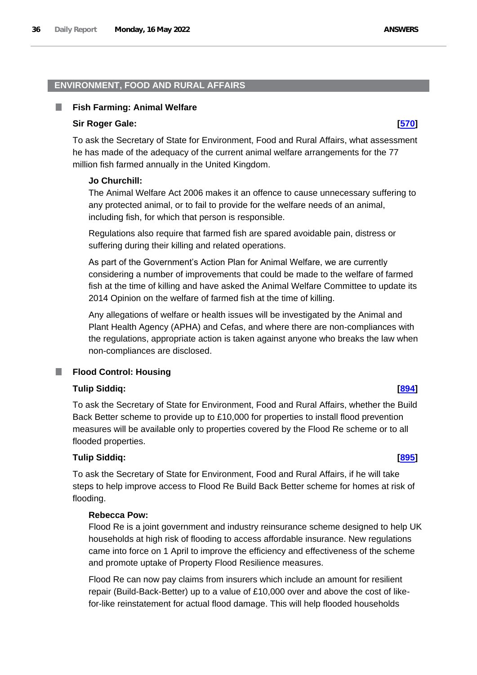#### <span id="page-35-0"></span>**ENVIRONMENT, FOOD AND RURAL AFFAIRS**

#### <span id="page-35-1"></span>**Fish Farming: Animal Welfare**

#### **Sir Roger Gale: [\[570\]](http://www.parliament.uk/business/publications/written-questions-answers-statements/written-question/Commons/2022-05-11/570)**

To ask the Secretary of State for Environment, Food and Rural Affairs, what assessment he has made of the adequacy of the current animal welfare arrangements for the 77 million fish farmed annually in the United Kingdom.

#### **Jo Churchill:**

The Animal Welfare Act 2006 makes it an offence to cause unnecessary suffering to any protected animal, or to fail to provide for the welfare needs of an animal, including fish, for which that person is responsible.

Regulations also require that farmed fish are spared avoidable pain, distress or suffering during their killing and related operations.

As part of the Government's Action Plan for Animal Welfare, we are currently considering a number of improvements that could be made to the welfare of farmed fish at the time of killing and have asked the Animal Welfare Committee to update its 2014 Opinion on the welfare of farmed fish at the time of killing.

Any allegations of welfare or health issues will be investigated by the Animal and Plant Health Agency (APHA) and Cefas, and where there are non-compliances with the regulations, appropriate action is taken against anyone who breaks the law when non-compliances are disclosed.

#### <span id="page-35-2"></span>**Flood Control: Housing** П

### **Tulip Siddiq: [\[894\]](http://www.parliament.uk/business/publications/written-questions-answers-statements/written-question/Commons/2022-05-11/894)**

To ask the Secretary of State for Environment, Food and Rural Affairs, whether the Build Back Better scheme to provide up to £10,000 for properties to install flood prevention measures will be available only to properties covered by the Flood Re scheme or to all flooded properties.

### **Tulip Siddiq: [\[895\]](http://www.parliament.uk/business/publications/written-questions-answers-statements/written-question/Commons/2022-05-11/895)**

To ask the Secretary of State for Environment, Food and Rural Affairs, if he will take steps to help improve access to Flood Re Build Back Better scheme for homes at risk of flooding.

#### **Rebecca Pow:**

Flood Re is a joint government and industry reinsurance scheme designed to help UK households at high risk of flooding to access affordable insurance. New regulations came into force on 1 April to improve the efficiency and effectiveness of the scheme and promote uptake of Property Flood Resilience measures.

Flood Re can now pay claims from insurers which include an amount for resilient repair (Build-Back-Better) up to a value of £10,000 over and above the cost of likefor-like reinstatement for actual flood damage. This will help flooded households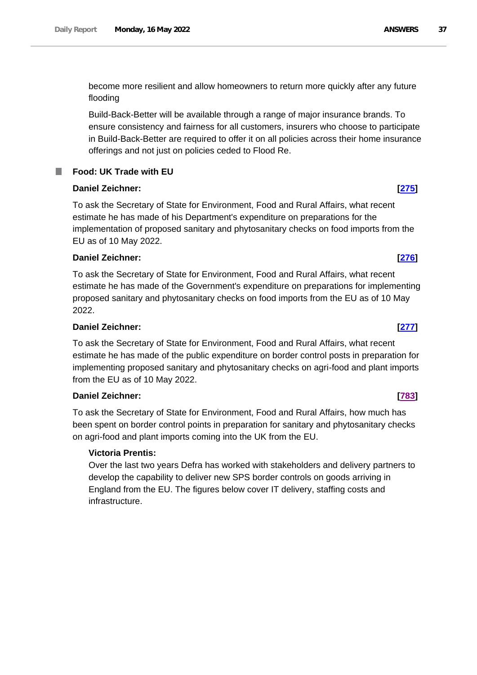become more resilient and allow homeowners to return more quickly after any future flooding

Build-Back-Better will be available through a range of major insurance brands. To ensure consistency and fairness for all customers, insurers who choose to participate in Build-Back-Better are required to offer it on all policies across their home insurance offerings and not just on policies ceded to Flood Re.

# **Food: UK Trade with EU**

# **Daniel Zeichner: [\[275\]](http://www.parliament.uk/business/publications/written-questions-answers-statements/written-question/Commons/2022-05-10/275)**

ш

To ask the Secretary of State for Environment, Food and Rural Affairs, what recent estimate he has made of his Department's expenditure on preparations for the implementation of proposed sanitary and phytosanitary checks on food imports from the EU as of 10 May 2022.

# **Daniel Zeichner: [\[276\]](http://www.parliament.uk/business/publications/written-questions-answers-statements/written-question/Commons/2022-05-10/276)**

To ask the Secretary of State for Environment, Food and Rural Affairs, what recent estimate he has made of the Government's expenditure on preparations for implementing proposed sanitary and phytosanitary checks on food imports from the EU as of 10 May 2022.

# **Daniel Zeichner: [\[277\]](http://www.parliament.uk/business/publications/written-questions-answers-statements/written-question/Commons/2022-05-10/277)**

To ask the Secretary of State for Environment, Food and Rural Affairs, what recent estimate he has made of the public expenditure on border control posts in preparation for implementing proposed sanitary and phytosanitary checks on agri-food and plant imports from the EU as of 10 May 2022.

# **Daniel Zeichner: [\[783\]](http://www.parliament.uk/business/publications/written-questions-answers-statements/written-question/Commons/2022-05-11/783)**

To ask the Secretary of State for Environment, Food and Rural Affairs, how much has been spent on border control points in preparation for sanitary and phytosanitary checks on agri-food and plant imports coming into the UK from the EU.

# **Victoria Prentis:**

Over the last two years Defra has worked with stakeholders and delivery partners to develop the capability to deliver new SPS border controls on goods arriving in England from the EU. The figures below cover IT delivery, staffing costs and infrastructure.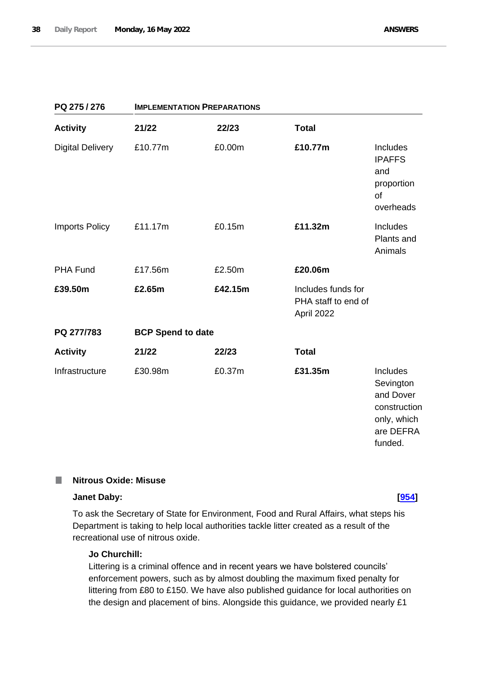| PQ 275 / 276            | <b>IMPLEMENTATION PREPARATIONS</b> |         |                                                         |                                                                                           |
|-------------------------|------------------------------------|---------|---------------------------------------------------------|-------------------------------------------------------------------------------------------|
| <b>Activity</b>         | 21/22                              | 22/23   | <b>Total</b>                                            |                                                                                           |
| <b>Digital Delivery</b> | £10.77m                            | £0.00m  | £10.77m                                                 | Includes<br><b>IPAFFS</b><br>and<br>proportion<br>of<br>overheads                         |
| <b>Imports Policy</b>   | £11.17m                            | £0.15m  | £11.32m                                                 | Includes<br>Plants and<br>Animals                                                         |
| <b>PHA Fund</b>         | £17.56m                            | £2.50m  | £20.06m                                                 |                                                                                           |
| £39.50m                 | £2.65m                             | £42.15m | Includes funds for<br>PHA staff to end of<br>April 2022 |                                                                                           |
| PQ 277/783              | <b>BCP Spend to date</b>           |         |                                                         |                                                                                           |
| <b>Activity</b>         | 21/22                              | 22/23   | <b>Total</b>                                            |                                                                                           |
| Infrastructure          | £30.98m                            | £0.37m  | £31.35m                                                 | Includes<br>Sevington<br>and Dover<br>construction<br>only, which<br>are DEFRA<br>funded. |

### T. **Nitrous Oxide: Misuse**

# **Janet Daby: [\[954\]](http://www.parliament.uk/business/publications/written-questions-answers-statements/written-question/Commons/2022-05-11/954)**

To ask the Secretary of State for Environment, Food and Rural Affairs, what steps his Department is taking to help local authorities tackle litter created as a result of the recreational use of nitrous oxide.

# **Jo Churchill:**

Littering is a criminal offence and in recent years we have bolstered councils' enforcement powers, such as by almost doubling the maximum fixed penalty for littering from £80 to £150. We have also published guidance for local authorities on the design and placement of bins. Alongside this guidance, we provided nearly £1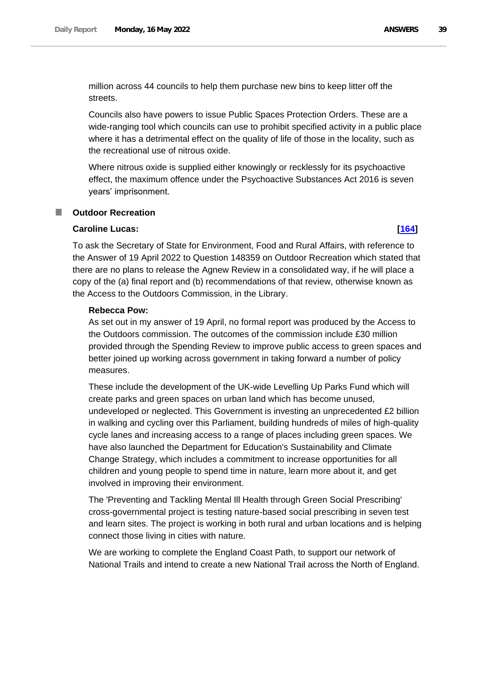million across 44 councils to help them purchase new bins to keep litter off the streets.

Councils also have powers to issue Public Spaces Protection Orders. These are a wide-ranging tool which councils can use to prohibit specified activity in a public place where it has a detrimental effect on the quality of life of those in the locality, such as the recreational use of nitrous oxide.

Where nitrous oxide is supplied either knowingly or recklessly for its psychoactive effect, the maximum offence under the Psychoactive Substances Act 2016 is seven years' imprisonment.

### **Outdoor Recreation** a an

### **Caroline Lucas: [\[164\]](http://www.parliament.uk/business/publications/written-questions-answers-statements/written-question/Commons/2022-05-10/164)**

To ask the Secretary of State for Environment, Food and Rural Affairs, with reference to the Answer of 19 April 2022 to Question 148359 on Outdoor Recreation which stated that there are no plans to release the Agnew Review in a consolidated way, if he will place a copy of the (a) final report and (b) recommendations of that review, otherwise known as the Access to the Outdoors Commission, in the Library.

### **Rebecca Pow:**

As set out in my answer of 19 April, no formal report was produced by the Access to the Outdoors commission. The outcomes of the commission include £30 million provided through the Spending Review to improve public access to green spaces and better joined up working across government in taking forward a number of policy measures.

These include the development of the UK-wide Levelling Up Parks Fund which will create parks and green spaces on urban land which has become unused, undeveloped or neglected. This Government is investing an unprecedented £2 billion in walking and cycling over this Parliament, building hundreds of miles of high-quality cycle lanes and increasing access to a range of places including green spaces. We have also launched the Department for Education's Sustainability and Climate Change Strategy, which includes a commitment to increase opportunities for all children and young people to spend time in nature, learn more about it, and get involved in improving their environment.

The 'Preventing and Tackling Mental Ill Health through Green Social Prescribing' cross-governmental project is testing nature-based social prescribing in seven test and learn sites. The project is working in both rural and urban locations and is helping connect those living in cities with nature.

We are working to complete the England Coast Path, to support our network of National Trails and intend to create a new National Trail across the North of England.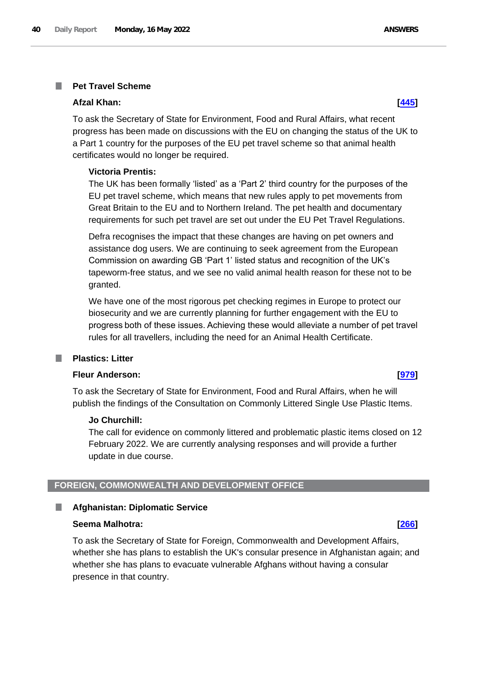### **Pet Travel Scheme** T.

### **Afzal Khan: [\[445\]](http://www.parliament.uk/business/publications/written-questions-answers-statements/written-question/Commons/2022-05-10/445)**

To ask the Secretary of State for Environment, Food and Rural Affairs, what recent progress has been made on discussions with the EU on changing the status of the UK to a Part 1 country for the purposes of the EU pet travel scheme so that animal health certificates would no longer be required.

# **Victoria Prentis:**

The UK has been formally 'listed' as a 'Part 2' third country for the purposes of the EU pet travel scheme, which means that new rules apply to pet movements from Great Britain to the EU and to Northern Ireland. The pet health and documentary requirements for such pet travel are set out under the EU Pet Travel Regulations.

Defra recognises the impact that these changes are having on pet owners and assistance dog users. We are continuing to seek agreement from the European Commission on awarding GB 'Part 1' listed status and recognition of the UK's tapeworm-free status, and we see no valid animal health reason for these not to be granted.

We have one of the most rigorous pet checking regimes in Europe to protect our biosecurity and we are currently planning for further engagement with the EU to progress both of these issues. Achieving these would alleviate a number of pet travel rules for all travellers, including the need for an Animal Health Certificate.

### **Plastics: Litter** T.

# **Fleur Anderson: [\[979\]](http://www.parliament.uk/business/publications/written-questions-answers-statements/written-question/Commons/2022-05-11/979)**

To ask the Secretary of State for Environment, Food and Rural Affairs, when he will publish the findings of the Consultation on Commonly Littered Single Use Plastic Items.

### **Jo Churchill:**

The call for evidence on commonly littered and problematic plastic items closed on 12 February 2022. We are currently analysing responses and will provide a further update in due course.

# **FOREIGN, COMMONWEALTH AND DEVELOPMENT OFFICE**

### **Afghanistan: Diplomatic Service** L.

### **Seema Malhotra: [\[266\]](http://www.parliament.uk/business/publications/written-questions-answers-statements/written-question/Commons/2022-05-10/266)**

To ask the Secretary of State for Foreign, Commonwealth and Development Affairs, whether she has plans to establish the UK's consular presence in Afghanistan again; and whether she has plans to evacuate vulnerable Afghans without having a consular presence in that country.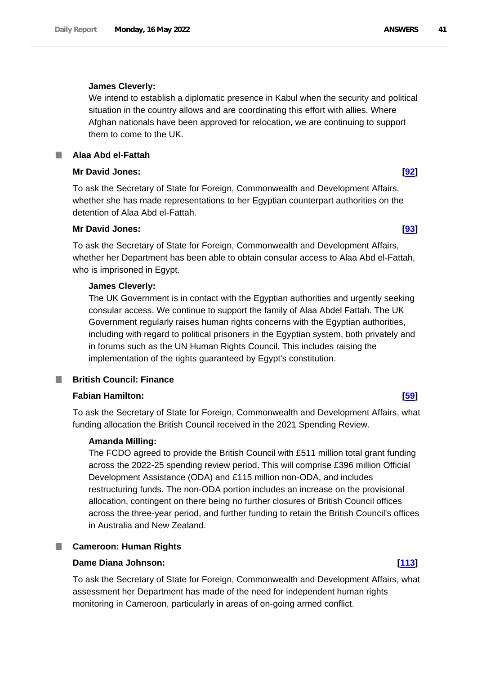# **James Cleverly:**

We intend to establish a diplomatic presence in Kabul when the security and political situation in the country allows and are coordinating this effort with allies. Where Afghan nationals have been approved for relocation, we are continuing to support them to come to the UK.

# **Alaa Abd el-Fattah**

# **Mr David Jones: [\[92\]](http://www.parliament.uk/business/publications/written-questions-answers-statements/written-question/Commons/2022-05-10/92)**

To ask the Secretary of State for Foreign, Commonwealth and Development Affairs, whether she has made representations to her Egyptian counterpart authorities on the detention of Alaa Abd el-Fattah.

# **Mr David Jones: [\[93\]](http://www.parliament.uk/business/publications/written-questions-answers-statements/written-question/Commons/2022-05-10/93)**

To ask the Secretary of State for Foreign, Commonwealth and Development Affairs, whether her Department has been able to obtain consular access to Alaa Abd el-Fattah, who is imprisoned in Egypt.

# **James Cleverly:**

The UK Government is in contact with the Egyptian authorities and urgently seeking consular access. We continue to support the family of Alaa Abdel Fattah. The UK Government regularly raises human rights concerns with the Egyptian authorities, including with regard to political prisoners in the Egyptian system, both privately and in forums such as the UN Human Rights Council. This includes raising the implementation of the rights guaranteed by Egypt's constitution.

# **British Council: Finance**

# **Fabian Hamilton: [\[59\]](http://www.parliament.uk/business/publications/written-questions-answers-statements/written-question/Commons/2022-05-10/59)**

To ask the Secretary of State for Foreign, Commonwealth and Development Affairs, what funding allocation the British Council received in the 2021 Spending Review.

# **Amanda Milling:**

The FCDO agreed to provide the British Council with £511 million total grant funding across the 2022-25 spending review period. This will comprise £396 million Official Development Assistance (ODA) and £115 million non-ODA, and includes restructuring funds. The non-ODA portion includes an increase on the provisional allocation, contingent on there being no further closures of British Council offices across the three-year period, and further funding to retain the British Council's offices in Australia and New Zealand.

# **Cameroon: Human Rights**

# **Dame Diana Johnson: [\[113\]](http://www.parliament.uk/business/publications/written-questions-answers-statements/written-question/Commons/2022-05-10/113)**

To ask the Secretary of State for Foreign, Commonwealth and Development Affairs, what assessment her Department has made of the need for independent human rights monitoring in Cameroon, particularly in areas of on-going armed conflict.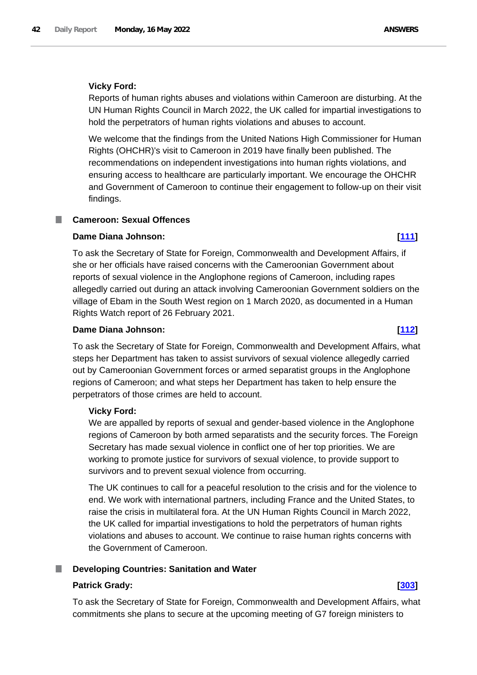Reports of human rights abuses and violations within Cameroon are disturbing. At the UN Human Rights Council in March 2022, the UK called for impartial investigations to hold the perpetrators of human rights violations and abuses to account.

We welcome that the findings from the United Nations High Commissioner for Human Rights (OHCHR)'s visit to Cameroon in 2019 have finally been published. The recommendations on independent investigations into human rights violations, and ensuring access to healthcare are particularly important. We encourage the OHCHR and Government of Cameroon to continue their engagement to follow-up on their visit findings.

# **Cameroon: Sexual Offences**

### **Dame Diana Johnson: [\[111\]](http://www.parliament.uk/business/publications/written-questions-answers-statements/written-question/Commons/2022-05-10/111)**

To ask the Secretary of State for Foreign, Commonwealth and Development Affairs, if she or her officials have raised concerns with the Cameroonian Government about reports of sexual violence in the Anglophone regions of Cameroon, including rapes allegedly carried out during an attack involving Cameroonian Government soldiers on the village of Ebam in the South West region on 1 March 2020, as documented in a Human Rights Watch report of 26 February 2021.

# **Dame Diana Johnson: [\[112\]](http://www.parliament.uk/business/publications/written-questions-answers-statements/written-question/Commons/2022-05-10/112)**

To ask the Secretary of State for Foreign, Commonwealth and Development Affairs, what steps her Department has taken to assist survivors of sexual violence allegedly carried out by Cameroonian Government forces or armed separatist groups in the Anglophone regions of Cameroon; and what steps her Department has taken to help ensure the perpetrators of those crimes are held to account.

### **Vicky Ford:**

We are appalled by reports of sexual and gender-based violence in the Anglophone regions of Cameroon by both armed separatists and the security forces. The Foreign Secretary has made sexual violence in conflict one of her top priorities. We are working to promote justice for survivors of sexual violence, to provide support to survivors and to prevent sexual violence from occurring.

The UK continues to call for a peaceful resolution to the crisis and for the violence to end. We work with international partners, including France and the United States, to raise the crisis in multilateral fora. At the UN Human Rights Council in March 2022, the UK called for impartial investigations to hold the perpetrators of human rights violations and abuses to account. We continue to raise human rights concerns with the Government of Cameroon.

# **Developing Countries: Sanitation and Water**

### **Patrick Grady: [\[303\]](http://www.parliament.uk/business/publications/written-questions-answers-statements/written-question/Commons/2022-05-10/303)**

To ask the Secretary of State for Foreign, Commonwealth and Development Affairs, what commitments she plans to secure at the upcoming meeting of G7 foreign ministers to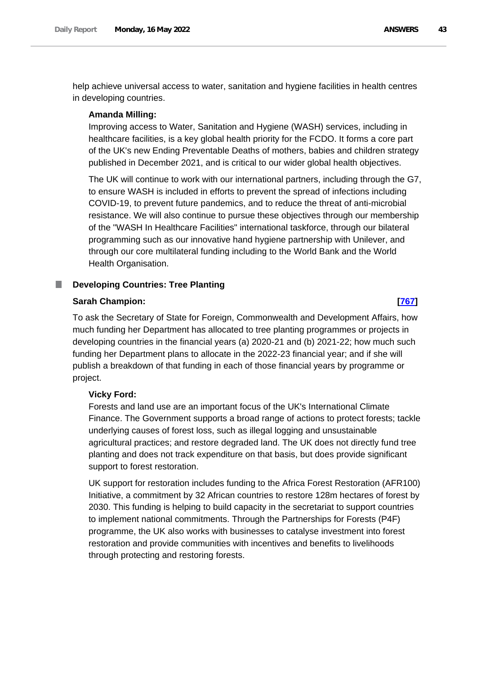help achieve universal access to water, sanitation and hygiene facilities in health centres in developing countries.

# **Amanda Milling:**

Improving access to Water, Sanitation and Hygiene (WASH) services, including in healthcare facilities, is a key global health priority for the FCDO. It forms a core part of the UK's new Ending Preventable Deaths of mothers, babies and children strategy published in December 2021, and is critical to our wider global health objectives.

The UK will continue to work with our international partners, including through the G7, to ensure WASH is included in efforts to prevent the spread of infections including COVID-19, to prevent future pandemics, and to reduce the threat of anti-microbial resistance. We will also continue to pursue these objectives through our membership of the "WASH In Healthcare Facilities" international taskforce, through our bilateral programming such as our innovative hand hygiene partnership with Unilever, and through our core multilateral funding including to the World Bank and the World Health Organisation.

### ш **Developing Countries: Tree Planting**

# **Sarah Champion: [\[767\]](http://www.parliament.uk/business/publications/written-questions-answers-statements/written-question/Commons/2022-05-11/767)**

To ask the Secretary of State for Foreign, Commonwealth and Development Affairs, how much funding her Department has allocated to tree planting programmes or projects in developing countries in the financial years (a) 2020-21 and (b) 2021-22; how much such funding her Department plans to allocate in the 2022-23 financial year; and if she will publish a breakdown of that funding in each of those financial years by programme or project.

# **Vicky Ford:**

Forests and land use are an important focus of the UK's International Climate Finance. The Government supports a broad range of actions to protect forests; tackle underlying causes of forest loss, such as illegal logging and unsustainable agricultural practices; and restore degraded land. The UK does not directly fund tree planting and does not track expenditure on that basis, but does provide significant support to forest restoration.

UK support for restoration includes funding to the Africa Forest Restoration (AFR100) Initiative, a commitment by 32 African countries to restore 128m hectares of forest by 2030. This funding is helping to build capacity in the secretariat to support countries to implement national commitments. Through the Partnerships for Forests (P4F) programme, the UK also works with businesses to catalyse investment into forest restoration and provide communities with incentives and benefits to livelihoods through protecting and restoring forests.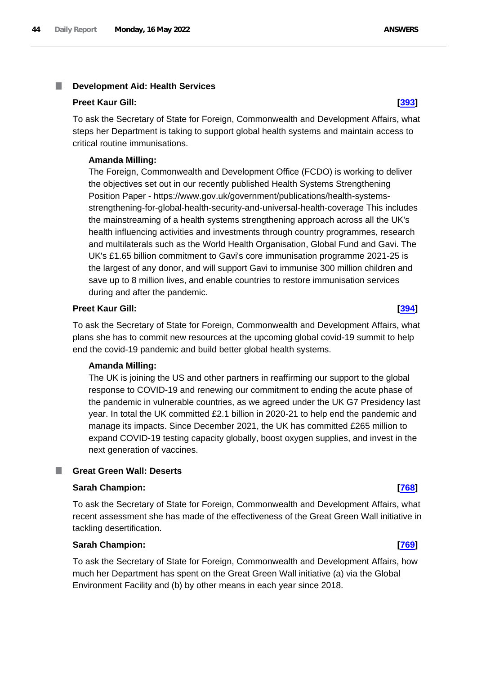### I. **Development Aid: Health Services**

### **Preet Kaur Gill: [\[393\]](http://www.parliament.uk/business/publications/written-questions-answers-statements/written-question/Commons/2022-05-10/393)**

To ask the Secretary of State for Foreign, Commonwealth and Development Affairs, what steps her Department is taking to support global health systems and maintain access to critical routine immunisations.

### **Amanda Milling:**

The Foreign, Commonwealth and Development Office (FCDO) is working to deliver the objectives set out in our recently published Health Systems Strengthening Position Paper - https://www.gov.uk/government/publications/health-systemsstrengthening-for-global-health-security-and-universal-health-coverage This includes the mainstreaming of a health systems strengthening approach across all the UK's health influencing activities and investments through country programmes, research and multilaterals such as the World Health Organisation, Global Fund and Gavi. The UK's £1.65 billion commitment to Gavi's core immunisation programme 2021-25 is the largest of any donor, and will support Gavi to immunise 300 million children and save up to 8 million lives, and enable countries to restore immunisation services during and after the pandemic.

### **Preet Kaur Gill: [\[394\]](http://www.parliament.uk/business/publications/written-questions-answers-statements/written-question/Commons/2022-05-10/394)**

To ask the Secretary of State for Foreign, Commonwealth and Development Affairs, what plans she has to commit new resources at the upcoming global covid-19 summit to help end the covid-19 pandemic and build better global health systems.

### **Amanda Milling:**

The UK is joining the US and other partners in reaffirming our support to the global response to COVID-19 and renewing our commitment to ending the acute phase of the pandemic in vulnerable countries, as we agreed under the UK G7 Presidency last year. In total the UK committed £2.1 billion in 2020-21 to help end the pandemic and manage its impacts. Since December 2021, the UK has committed £265 million to expand COVID-19 testing capacity globally, boost oxygen supplies, and invest in the next generation of vaccines.

# **Great Green Wall: Deserts**

### **Sarah Champion: [\[768\]](http://www.parliament.uk/business/publications/written-questions-answers-statements/written-question/Commons/2022-05-11/768)**

To ask the Secretary of State for Foreign, Commonwealth and Development Affairs, what recent assessment she has made of the effectiveness of the Great Green Wall initiative in tackling desertification.

### **Sarah Champion: [\[769\]](http://www.parliament.uk/business/publications/written-questions-answers-statements/written-question/Commons/2022-05-11/769)**

To ask the Secretary of State for Foreign, Commonwealth and Development Affairs, how much her Department has spent on the Great Green Wall initiative (a) via the Global Environment Facility and (b) by other means in each year since 2018.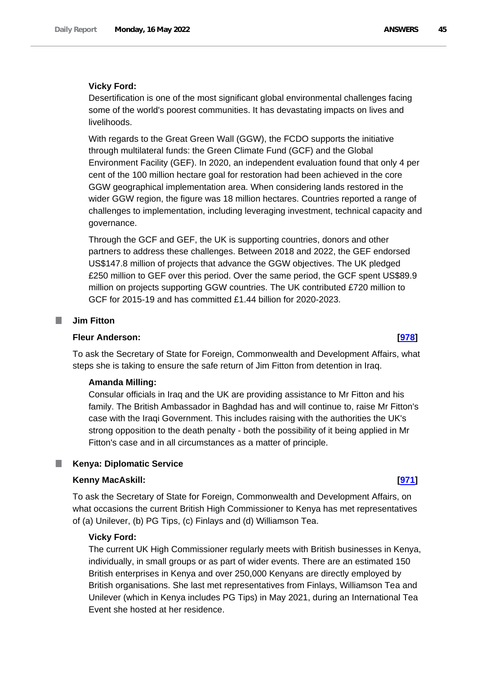### **Vicky Ford:**

Desertification is one of the most significant global environmental challenges facing some of the world's poorest communities. It has devastating impacts on lives and livelihoods.

With regards to the Great Green Wall (GGW), the FCDO supports the initiative through multilateral funds: the Green Climate Fund (GCF) and the Global Environment Facility (GEF). In 2020, an independent evaluation found that only 4 per cent of the 100 million hectare goal for restoration had been achieved in the core GGW geographical implementation area. When considering lands restored in the wider GGW region, the figure was 18 million hectares. Countries reported a range of challenges to implementation, including leveraging investment, technical capacity and governance.

Through the GCF and GEF, the UK is supporting countries, donors and other partners to address these challenges. Between 2018 and 2022, the GEF endorsed US\$147.8 million of projects that advance the GGW objectives. The UK pledged £250 million to GEF over this period. Over the same period, the GCF spent US\$89.9 million on projects supporting GGW countries. The UK contributed £720 million to GCF for 2015-19 and has committed £1.44 billion for 2020-2023.

### **I Jim Fitton**

### **Fleur Anderson: [\[978\]](http://www.parliament.uk/business/publications/written-questions-answers-statements/written-question/Commons/2022-05-11/978)**

To ask the Secretary of State for Foreign, Commonwealth and Development Affairs, what steps she is taking to ensure the safe return of Jim Fitton from detention in Iraq.

### **Amanda Milling:**

Consular officials in Iraq and the UK are providing assistance to Mr Fitton and his family. The British Ambassador in Baghdad has and will continue to, raise Mr Fitton's case with the Iraqi Government. This includes raising with the authorities the UK's strong opposition to the death penalty - both the possibility of it being applied in Mr Fitton's case and in all circumstances as a matter of principle.

### **Kenya: Diplomatic Service**

### **Kenny MacAskill: [\[971\]](http://www.parliament.uk/business/publications/written-questions-answers-statements/written-question/Commons/2022-05-11/971)**

To ask the Secretary of State for Foreign, Commonwealth and Development Affairs, on what occasions the current British High Commissioner to Kenya has met representatives of (a) Unilever, (b) PG Tips, (c) Finlays and (d) Williamson Tea.

### **Vicky Ford:**

The current UK High Commissioner regularly meets with British businesses in Kenya, individually, in small groups or as part of wider events. There are an estimated 150 British enterprises in Kenya and over 250,000 Kenyans are directly employed by British organisations. She last met representatives from Finlays, Williamson Tea and Unilever (which in Kenya includes PG Tips) in May 2021, during an International Tea Event she hosted at her residence.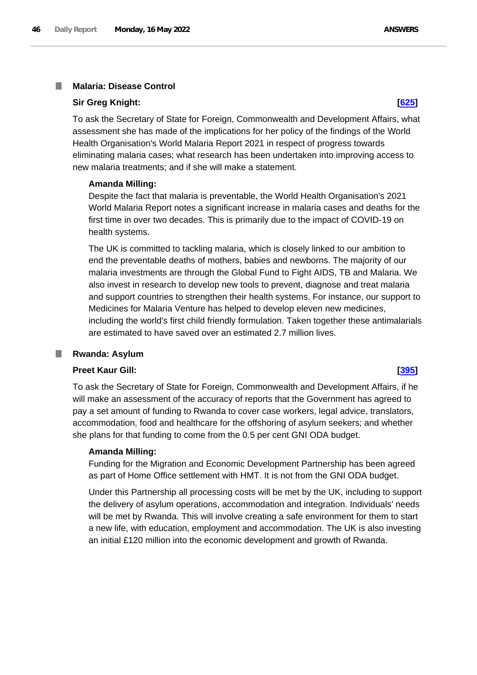### **Malaria: Disease Control** I.

### **Sir Greg Knight: [\[625\]](http://www.parliament.uk/business/publications/written-questions-answers-statements/written-question/Commons/2022-05-11/625)**

To ask the Secretary of State for Foreign, Commonwealth and Development Affairs, what assessment she has made of the implications for her policy of the findings of the World Health Organisation's World Malaria Report 2021 in respect of progress towards eliminating malaria cases; what research has been undertaken into improving access to new malaria treatments; and if she will make a statement.

# **Amanda Milling:**

Despite the fact that malaria is preventable, the World Health Organisation's 2021 World Malaria Report notes a significant increase in malaria cases and deaths for the first time in over two decades. This is primarily due to the impact of COVID-19 on health systems.

The UK is committed to tackling malaria, which is closely linked to our ambition to end the preventable deaths of mothers, babies and newborns. The majority of our malaria investments are through the Global Fund to Fight AIDS, TB and Malaria. We also invest in research to develop new tools to prevent, diagnose and treat malaria and support countries to strengthen their health systems. For instance, our support to Medicines for Malaria Venture has helped to develop eleven new medicines, including the world's first child friendly formulation. Taken together these antimalarials are estimated to have saved over an estimated 2.7 million lives.

### ш **Rwanda: Asylum**

# **Preet Kaur Gill: [\[395\]](http://www.parliament.uk/business/publications/written-questions-answers-statements/written-question/Commons/2022-05-10/395)**

To ask the Secretary of State for Foreign, Commonwealth and Development Affairs, if he will make an assessment of the accuracy of reports that the Government has agreed to pay a set amount of funding to Rwanda to cover case workers, legal advice, translators, accommodation, food and healthcare for the offshoring of asylum seekers; and whether she plans for that funding to come from the 0.5 per cent GNI ODA budget.

# **Amanda Milling:**

Funding for the Migration and Economic Development Partnership has been agreed as part of Home Office settlement with HMT. It is not from the GNI ODA budget.

Under this Partnership all processing costs will be met by the UK, including to support the delivery of asylum operations, accommodation and integration. Individuals' needs will be met by Rwanda. This will involve creating a safe environment for them to start a new life, with education, employment and accommodation. The UK is also investing an initial £120 million into the economic development and growth of Rwanda.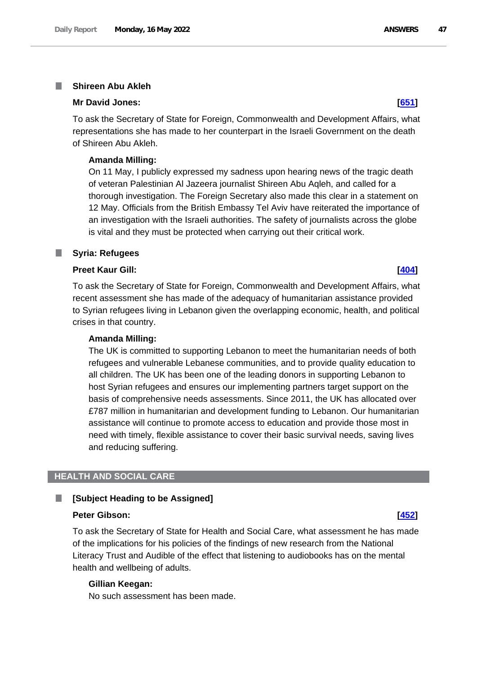### **Shireen Abu Akleh** I.

### **Mr David Jones: [\[651\]](http://www.parliament.uk/business/publications/written-questions-answers-statements/written-question/Commons/2022-05-11/651)**

To ask the Secretary of State for Foreign, Commonwealth and Development Affairs, what representations she has made to her counterpart in the Israeli Government on the death of Shireen Abu Akleh.

### **Amanda Milling:**

On 11 May, I publicly expressed my sadness upon hearing news of the tragic death of veteran Palestinian Al Jazeera journalist Shireen Abu Aqleh, and called for a thorough investigation. The Foreign Secretary also made this clear in a statement on 12 May. Officials from the British Embassy Tel Aviv have reiterated the importance of an investigation with the Israeli authorities. The safety of journalists across the globe is vital and they must be protected when carrying out their critical work.

### **Syria: Refugees** ш

### **Preet Kaur Gill: [\[404\]](http://www.parliament.uk/business/publications/written-questions-answers-statements/written-question/Commons/2022-05-10/404)**

To ask the Secretary of State for Foreign, Commonwealth and Development Affairs, what recent assessment she has made of the adequacy of humanitarian assistance provided to Syrian refugees living in Lebanon given the overlapping economic, health, and political crises in that country.

### **Amanda Milling:**

The UK is committed to supporting Lebanon to meet the humanitarian needs of both refugees and vulnerable Lebanese communities, and to provide quality education to all children. The UK has been one of the leading donors in supporting Lebanon to host Syrian refugees and ensures our implementing partners target support on the basis of comprehensive needs assessments. Since 2011, the UK has allocated over £787 million in humanitarian and development funding to Lebanon. Our humanitarian assistance will continue to promote access to education and provide those most in need with timely, flexible assistance to cover their basic survival needs, saving lives and reducing suffering.

# **HEALTH AND SOCIAL CARE**

### **[Subject Heading to be Assigned]** П

### **Peter Gibson: [\[452\]](http://www.parliament.uk/business/publications/written-questions-answers-statements/written-question/Commons/2022-05-10/452)**

To ask the Secretary of State for Health and Social Care, what assessment he has made of the implications for his policies of the findings of new research from the National Literacy Trust and Audible of the effect that listening to audiobooks has on the mental health and wellbeing of adults.

### **Gillian Keegan:**

No such assessment has been made.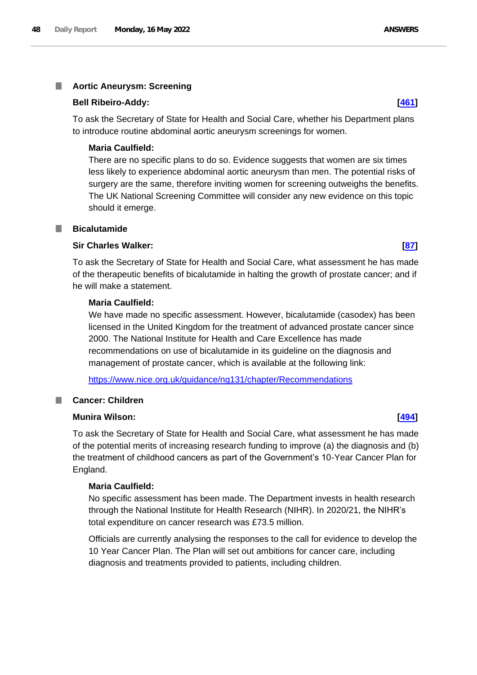# **Bell Ribeiro-Addy: [\[461\]](http://www.parliament.uk/business/publications/written-questions-answers-statements/written-question/Commons/2022-05-10/461)**

To ask the Secretary of State for Health and Social Care, whether his Department plans to introduce routine abdominal aortic aneurysm screenings for women.

# **Maria Caulfield:**

There are no specific plans to do so. Evidence suggests that women are six times less likely to experience abdominal aortic aneurysm than men. The potential risks of surgery are the same, therefore inviting women for screening outweighs the benefits. The UK National Screening Committee will consider any new evidence on this topic should it emerge.

# **Bicalutamide**

# **Sir Charles Walker: [\[87\]](http://www.parliament.uk/business/publications/written-questions-answers-statements/written-question/Commons/2022-05-10/87)**

To ask the Secretary of State for Health and Social Care, what assessment he has made of the therapeutic benefits of bicalutamide in halting the growth of prostate cancer; and if he will make a statement.

# **Maria Caulfield:**

We have made no specific assessment. However, bicalutamide (casodex) has been licensed in the United Kingdom for the treatment of advanced prostate cancer since 2000. The National Institute for Health and Care Excellence has made recommendations on use of bicalutamide in its guideline on the diagnosis and management of prostate cancer, which is available at the following link:

<https://www.nice.org.uk/guidance/ng131/chapter/Recommendations>

# **Cancer: Children**

# **Munira Wilson: [\[494\]](http://www.parliament.uk/business/publications/written-questions-answers-statements/written-question/Commons/2022-05-10/494)**

To ask the Secretary of State for Health and Social Care, what assessment he has made of the potential merits of increasing research funding to improve (a) the diagnosis and (b) the treatment of childhood cancers as part of the Government's 10-Year Cancer Plan for England.

# **Maria Caulfield:**

No specific assessment has been made. The Department invests in health research through the National Institute for Health Research (NIHR). In 2020/21, the NIHR's total expenditure on cancer research was £73.5 million.

Officials are currently analysing the responses to the call for evidence to develop the 10 Year Cancer Plan. The Plan will set out ambitions for cancer care, including diagnosis and treatments provided to patients, including children.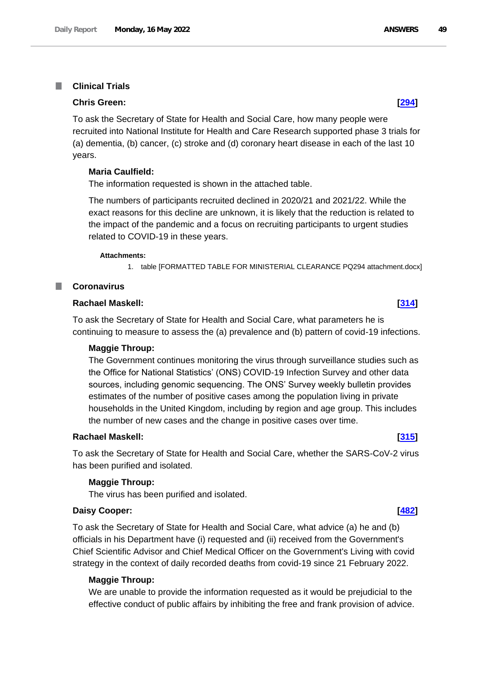### **Clinical Trials I**

### **Chris Green: [\[294\]](http://www.parliament.uk/business/publications/written-questions-answers-statements/written-question/Commons/2022-05-10/294)**

To ask the Secretary of State for Health and Social Care, how many people were recruited into National Institute for Health and Care Research supported phase 3 trials for (a) dementia, (b) cancer, (c) stroke and (d) coronary heart disease in each of the last 10 years.

# **Maria Caulfield:**

The information requested is shown in the attached table.

The numbers of participants recruited declined in 2020/21 and 2021/22. While the exact reasons for this decline are unknown, it is likely that the reduction is related to the impact of the pandemic and a focus on recruiting participants to urgent studies related to COVID-19 in these years.

### **Attachments:**

1. table [FORMATTED TABLE FOR MINISTERIAL CLEARANCE PQ294 attachment.docx]

### **Coronavirus** ш

### **Rachael Maskell: [\[314\]](http://www.parliament.uk/business/publications/written-questions-answers-statements/written-question/Commons/2022-05-10/314)**

To ask the Secretary of State for Health and Social Care, what parameters he is continuing to measure to assess the (a) prevalence and (b) pattern of covid-19 infections.

### **Maggie Throup:**

The Government continues monitoring the virus through surveillance studies such as the Office for National Statistics' (ONS) COVID-19 Infection Survey and other data sources, including genomic sequencing. The ONS' Survey weekly bulletin provides estimates of the number of positive cases among the population living in private households in the United Kingdom, including by region and age group. This includes the number of new cases and the change in positive cases over time.

## **Rachael Maskell: [\[315\]](http://www.parliament.uk/business/publications/written-questions-answers-statements/written-question/Commons/2022-05-10/315)**

To ask the Secretary of State for Health and Social Care, whether the SARS-CoV-2 virus has been purified and isolated.

### **Maggie Throup:**

The virus has been purified and isolated.

### **Daisy Cooper: [\[482\]](http://www.parliament.uk/business/publications/written-questions-answers-statements/written-question/Commons/2022-05-10/482)**

To ask the Secretary of State for Health and Social Care, what advice (a) he and (b) officials in his Department have (i) requested and (ii) received from the Government's Chief Scientific Advisor and Chief Medical Officer on the Government's Living with covid strategy in the context of daily recorded deaths from covid-19 since 21 February 2022.

### **Maggie Throup:**

We are unable to provide the information requested as it would be prejudicial to the effective conduct of public affairs by inhibiting the free and frank provision of advice.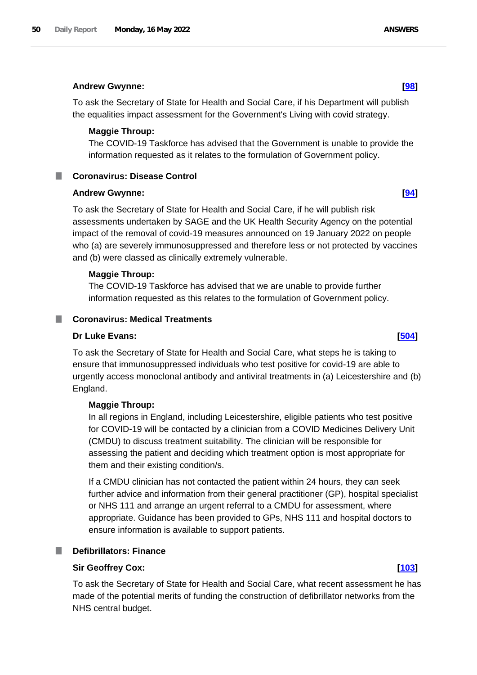### **Andrew Gwynne: [\[98\]](http://www.parliament.uk/business/publications/written-questions-answers-statements/written-question/Commons/2022-05-10/98)**

To ask the Secretary of State for Health and Social Care, if his Department will publish the equalities impact assessment for the Government's Living with covid strategy.

### **Maggie Throup:**

The COVID-19 Taskforce has advised that the Government is unable to provide the information requested as it relates to the formulation of Government policy.

### **Coronavirus: Disease Control**

### **Andrew Gwynne: [\[94\]](http://www.parliament.uk/business/publications/written-questions-answers-statements/written-question/Commons/2022-05-10/94)**

To ask the Secretary of State for Health and Social Care, if he will publish risk assessments undertaken by SAGE and the UK Health Security Agency on the potential impact of the removal of covid-19 measures announced on 19 January 2022 on people who (a) are severely immunosuppressed and therefore less or not protected by vaccines and (b) were classed as clinically extremely vulnerable.

### **Maggie Throup:**

The COVID-19 Taskforce has advised that we are unable to provide further information requested as this relates to the formulation of Government policy.

### **Coronavirus: Medical Treatments**

### **Dr Luke Evans: [\[504\]](http://www.parliament.uk/business/publications/written-questions-answers-statements/written-question/Commons/2022-05-10/504)**

To ask the Secretary of State for Health and Social Care, what steps he is taking to ensure that immunosuppressed individuals who test positive for covid-19 are able to urgently access monoclonal antibody and antiviral treatments in (a) Leicestershire and (b) England.

### **Maggie Throup:**

In all regions in England, including Leicestershire, eligible patients who test positive for COVID-19 will be contacted by a clinician from a COVID Medicines Delivery Unit (CMDU) to discuss treatment suitability. The clinician will be responsible for assessing the patient and deciding which treatment option is most appropriate for them and their existing condition/s.

If a CMDU clinician has not contacted the patient within 24 hours, they can seek further advice and information from their general practitioner (GP), hospital specialist or NHS 111 and arrange an urgent referral to a CMDU for assessment, where appropriate. Guidance has been provided to GPs, NHS 111 and hospital doctors to ensure information is available to support patients.

### **Defibrillators: Finance**

### **Sir Geoffrey Cox: [\[103\]](http://www.parliament.uk/business/publications/written-questions-answers-statements/written-question/Commons/2022-05-10/103)**

To ask the Secretary of State for Health and Social Care, what recent assessment he has made of the potential merits of funding the construction of defibrillator networks from the NHS central budget.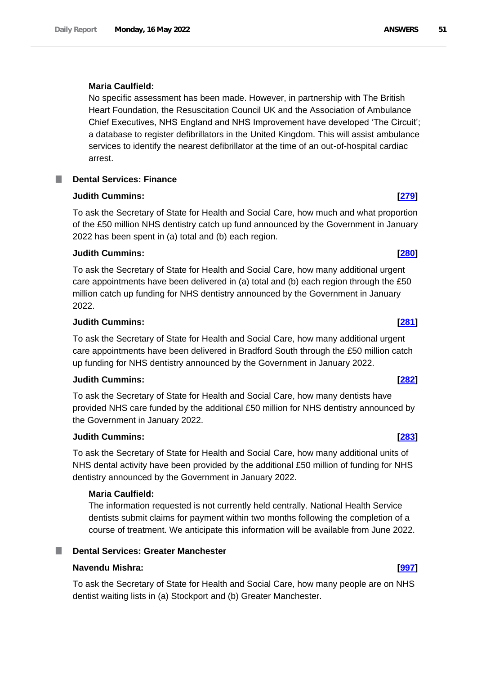# **Maria Caulfield:**

No specific assessment has been made. However, in partnership with The British Heart Foundation, the Resuscitation Council UK and the Association of Ambulance Chief Executives, NHS England and NHS Improvement have developed 'The Circuit'; a database to register defibrillators in the United Kingdom. This will assist ambulance services to identify the nearest defibrillator at the time of an out-of-hospital cardiac arrest.

# **Dental Services: Finance**

# **Judith Cummins: [\[279\]](http://www.parliament.uk/business/publications/written-questions-answers-statements/written-question/Commons/2022-05-10/279)**

To ask the Secretary of State for Health and Social Care, how much and what proportion of the £50 million NHS dentistry catch up fund announced by the Government in January 2022 has been spent in (a) total and (b) each region.

# **Judith Cummins: [\[280\]](http://www.parliament.uk/business/publications/written-questions-answers-statements/written-question/Commons/2022-05-10/280)**

To ask the Secretary of State for Health and Social Care, how many additional urgent care appointments have been delivered in (a) total and (b) each region through the £50 million catch up funding for NHS dentistry announced by the Government in January 2022.

# **Judith Cummins: [\[281\]](http://www.parliament.uk/business/publications/written-questions-answers-statements/written-question/Commons/2022-05-10/281)**

To ask the Secretary of State for Health and Social Care, how many additional urgent care appointments have been delivered in Bradford South through the £50 million catch up funding for NHS dentistry announced by the Government in January 2022.

# **Judith Cummins: [\[282\]](http://www.parliament.uk/business/publications/written-questions-answers-statements/written-question/Commons/2022-05-10/282)**

To ask the Secretary of State for Health and Social Care, how many dentists have provided NHS care funded by the additional £50 million for NHS dentistry announced by the Government in January 2022.

# **Judith Cummins: [\[283\]](http://www.parliament.uk/business/publications/written-questions-answers-statements/written-question/Commons/2022-05-10/283)**

To ask the Secretary of State for Health and Social Care, how many additional units of NHS dental activity have been provided by the additional £50 million of funding for NHS dentistry announced by the Government in January 2022.

# **Maria Caulfield:**

The information requested is not currently held centrally. National Health Service dentists submit claims for payment within two months following the completion of a course of treatment. We anticipate this information will be available from June 2022.

# **Dental Services: Greater Manchester**

# **Navendu Mishra: [\[997\]](http://www.parliament.uk/business/publications/written-questions-answers-statements/written-question/Commons/2022-05-11/997)**

To ask the Secretary of State for Health and Social Care, how many people are on NHS dentist waiting lists in (a) Stockport and (b) Greater Manchester.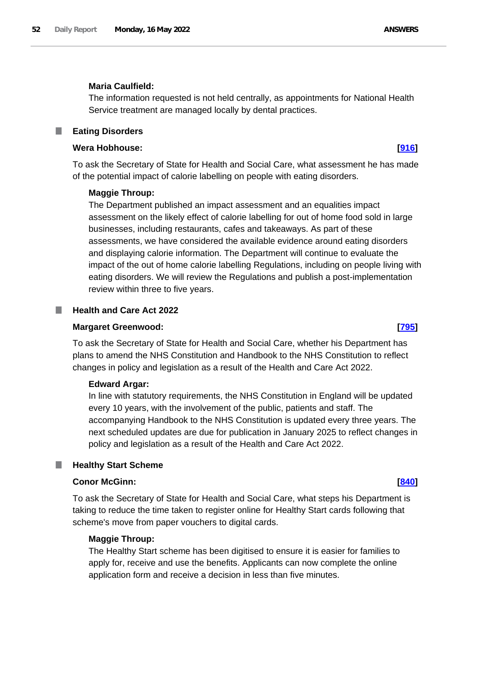## **Maria Caulfield:**

The information requested is not held centrally, as appointments for National Health Service treatment are managed locally by dental practices.

### **Eating Disorders** ш

### **Wera Hobhouse: [\[916\]](http://www.parliament.uk/business/publications/written-questions-answers-statements/written-question/Commons/2022-05-11/916)**

To ask the Secretary of State for Health and Social Care, what assessment he has made of the potential impact of calorie labelling on people with eating disorders.

### **Maggie Throup:**

The Department published an impact assessment and an equalities impact assessment on the likely effect of calorie labelling for out of home food sold in large businesses, including restaurants, cafes and takeaways. As part of these assessments, we have considered the available evidence around eating disorders and displaying calorie information. The Department will continue to evaluate the impact of the out of home calorie labelling Regulations, including on people living with eating disorders. We will review the Regulations and publish a post-implementation review within three to five years.

### **Health and Care Act 2022**

### **Margaret Greenwood: [\[795\]](http://www.parliament.uk/business/publications/written-questions-answers-statements/written-question/Commons/2022-05-11/795)**

To ask the Secretary of State for Health and Social Care, whether his Department has plans to amend the NHS Constitution and Handbook to the NHS Constitution to reflect changes in policy and legislation as a result of the Health and Care Act 2022.

### **Edward Argar:**

In line with statutory requirements, the NHS Constitution in England will be updated every 10 years, with the involvement of the public, patients and staff. The accompanying Handbook to the NHS Constitution is updated every three years. The next scheduled updates are due for publication in January 2025 to reflect changes in policy and legislation as a result of the Health and Care Act 2022.

### **Healthy Start Scheme**

### **Conor McGinn: [\[840\]](http://www.parliament.uk/business/publications/written-questions-answers-statements/written-question/Commons/2022-05-11/840)**

To ask the Secretary of State for Health and Social Care, what steps his Department is taking to reduce the time taken to register online for Healthy Start cards following that scheme's move from paper vouchers to digital cards.

# **Maggie Throup:**

The Healthy Start scheme has been digitised to ensure it is easier for families to apply for, receive and use the benefits. Applicants can now complete the online application form and receive a decision in less than five minutes.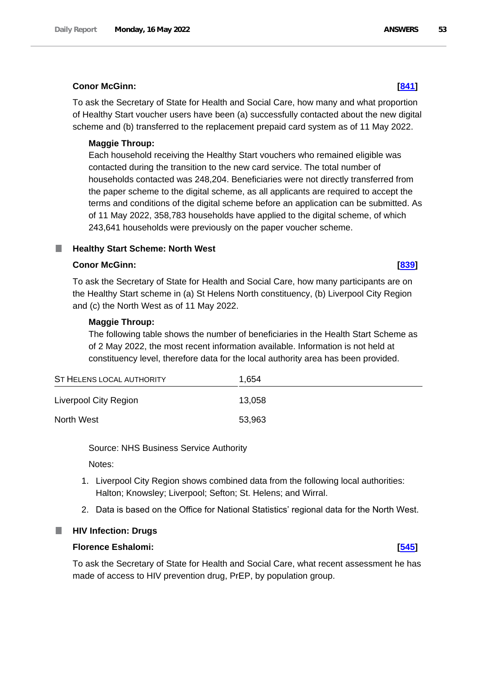# **Conor McGinn: [\[841\]](http://www.parliament.uk/business/publications/written-questions-answers-statements/written-question/Commons/2022-05-11/841)**

To ask the Secretary of State for Health and Social Care, how many and what proportion of Healthy Start voucher users have been (a) successfully contacted about the new digital scheme and (b) transferred to the replacement prepaid card system as of 11 May 2022.

# **Maggie Throup:**

Each household receiving the Healthy Start vouchers who remained eligible was contacted during the transition to the new card service. The total number of households contacted was 248,204. Beneficiaries were not directly transferred from the paper scheme to the digital scheme, as all applicants are required to accept the terms and conditions of the digital scheme before an application can be submitted. As of 11 May 2022, 358,783 households have applied to the digital scheme, of which 243,641 households were previously on the paper voucher scheme.

# **Healthy Start Scheme: North West**

# **Conor McGinn: [\[839\]](http://www.parliament.uk/business/publications/written-questions-answers-statements/written-question/Commons/2022-05-11/839)**

To ask the Secretary of State for Health and Social Care, how many participants are on the Healthy Start scheme in (a) St Helens North constituency, (b) Liverpool City Region and (c) the North West as of 11 May 2022.

# **Maggie Throup:**

The following table shows the number of beneficiaries in the Health Start Scheme as of 2 May 2022, the most recent information available. Information is not held at constituency level, therefore data for the local authority area has been provided.

| ST HELENS LOCAL AUTHORITY | 1.654  |  |
|---------------------------|--------|--|
| Liverpool City Region     | 13,058 |  |
| North West                | 53,963 |  |

Source: NHS Business Service Authority

Notes:

- 1. Liverpool City Region shows combined data from the following local authorities: Halton; Knowsley; Liverpool; Sefton; St. Helens; and Wirral.
- 2. Data is based on the Office for National Statistics' regional data for the North West.



# **Florence Eshalomi: [\[545\]](http://www.parliament.uk/business/publications/written-questions-answers-statements/written-question/Commons/2022-05-10/545)**

To ask the Secretary of State for Health and Social Care, what recent assessment he has made of access to HIV prevention drug, PrEP, by population group.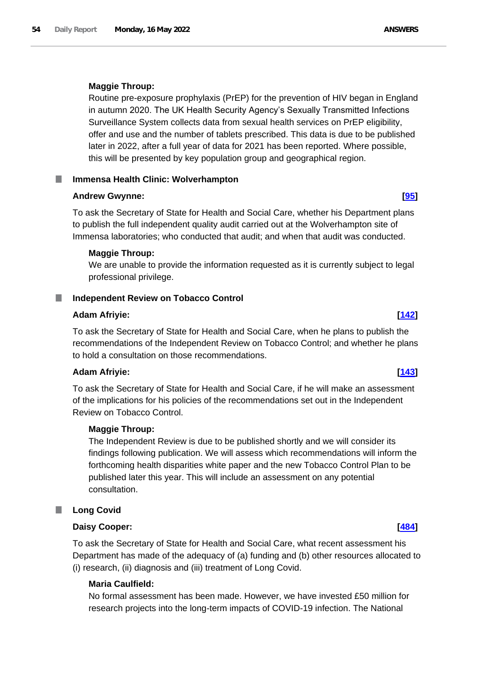### **Maggie Throup:**

Routine pre-exposure prophylaxis (PrEP) for the prevention of HIV began in England in autumn 2020. The UK Health Security Agency's Sexually Transmitted Infections Surveillance System collects data from sexual health services on PrEP eligibility, offer and use and the number of tablets prescribed. This data is due to be published later in 2022, after a full year of data for 2021 has been reported. Where possible, this will be presented by key population group and geographical region.

# **Immensa Health Clinic: Wolverhampton**

### **Andrew Gwynne: [\[95\]](http://www.parliament.uk/business/publications/written-questions-answers-statements/written-question/Commons/2022-05-10/95)**

To ask the Secretary of State for Health and Social Care, whether his Department plans to publish the full independent quality audit carried out at the Wolverhampton site of Immensa laboratories; who conducted that audit; and when that audit was conducted.

### **Maggie Throup:**

We are unable to provide the information requested as it is currently subject to legal professional privilege.

### **Independent Review on Tobacco Control** ш

### **Adam Afriyie: [\[142\]](http://www.parliament.uk/business/publications/written-questions-answers-statements/written-question/Commons/2022-05-10/142)**

To ask the Secretary of State for Health and Social Care, when he plans to publish the recommendations of the Independent Review on Tobacco Control; and whether he plans to hold a consultation on those recommendations.

# **Adam Afriyie: [\[143\]](http://www.parliament.uk/business/publications/written-questions-answers-statements/written-question/Commons/2022-05-10/143)**

To ask the Secretary of State for Health and Social Care, if he will make an assessment of the implications for his policies of the recommendations set out in the Independent Review on Tobacco Control.

### **Maggie Throup:**

The Independent Review is due to be published shortly and we will consider its findings following publication. We will assess which recommendations will inform the forthcoming health disparities white paper and the new Tobacco Control Plan to be published later this year. This will include an assessment on any potential consultation.

# **Long Covid**

### **Daisy Cooper: [\[484\]](http://www.parliament.uk/business/publications/written-questions-answers-statements/written-question/Commons/2022-05-10/484)**

To ask the Secretary of State for Health and Social Care, what recent assessment his Department has made of the adequacy of (a) funding and (b) other resources allocated to (i) research, (ii) diagnosis and (iii) treatment of Long Covid.

### **Maria Caulfield:**

No formal assessment has been made. However, we have invested £50 million for research projects into the long-term impacts of COVID-19 infection. The National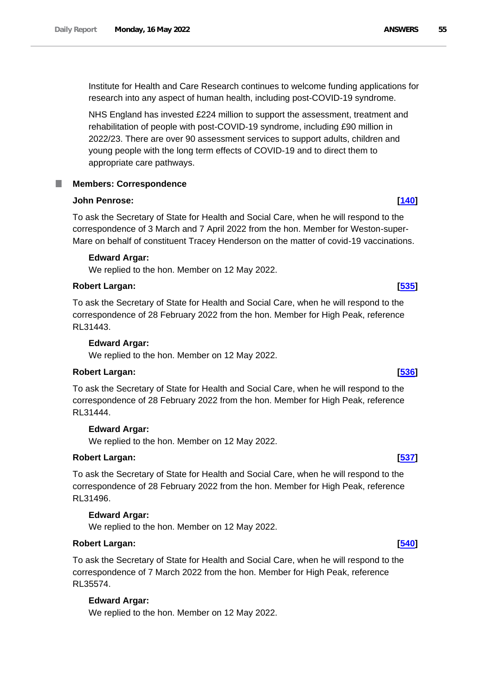Institute for Health and Care Research continues to welcome funding applications for research into any aspect of human health, including post-COVID-19 syndrome.

NHS England has invested £224 million to support the assessment, treatment and rehabilitation of people with post-COVID-19 syndrome, including £90 million in 2022/23. There are over 90 assessment services to support adults, children and young people with the long term effects of COVID-19 and to direct them to appropriate care pathways.

# **Members: Correspondence**

# **John Penrose: [\[140\]](http://www.parliament.uk/business/publications/written-questions-answers-statements/written-question/Commons/2022-05-10/140)**

To ask the Secretary of State for Health and Social Care, when he will respond to the correspondence of 3 March and 7 April 2022 from the hon. Member for Weston-super-Mare on behalf of constituent Tracey Henderson on the matter of covid-19 vaccinations.

# **Edward Argar:**

We replied to the hon. Member on 12 May 2022.

### **Robert Largan: [\[535\]](http://www.parliament.uk/business/publications/written-questions-answers-statements/written-question/Commons/2022-05-10/535)**

To ask the Secretary of State for Health and Social Care, when he will respond to the correspondence of 28 February 2022 from the hon. Member for High Peak, reference RL31443.

# **Edward Argar:**

We replied to the hon. Member on 12 May 2022.

# **Robert Largan: [\[536\]](http://www.parliament.uk/business/publications/written-questions-answers-statements/written-question/Commons/2022-05-10/536)**

To ask the Secretary of State for Health and Social Care, when he will respond to the correspondence of 28 February 2022 from the hon. Member for High Peak, reference RL31444.

### **Edward Argar:**

We replied to the hon. Member on 12 May 2022.

# **Robert Largan: [\[537\]](http://www.parliament.uk/business/publications/written-questions-answers-statements/written-question/Commons/2022-05-10/537)**

To ask the Secretary of State for Health and Social Care, when he will respond to the correspondence of 28 February 2022 from the hon. Member for High Peak, reference RL31496.

# **Edward Argar:**

We replied to the hon. Member on 12 May 2022.

### **Robert Largan: [\[540\]](http://www.parliament.uk/business/publications/written-questions-answers-statements/written-question/Commons/2022-05-10/540)**

To ask the Secretary of State for Health and Social Care, when he will respond to the correspondence of 7 March 2022 from the hon. Member for High Peak, reference RL35574.

# **Edward Argar:**

We replied to the hon. Member on 12 May 2022.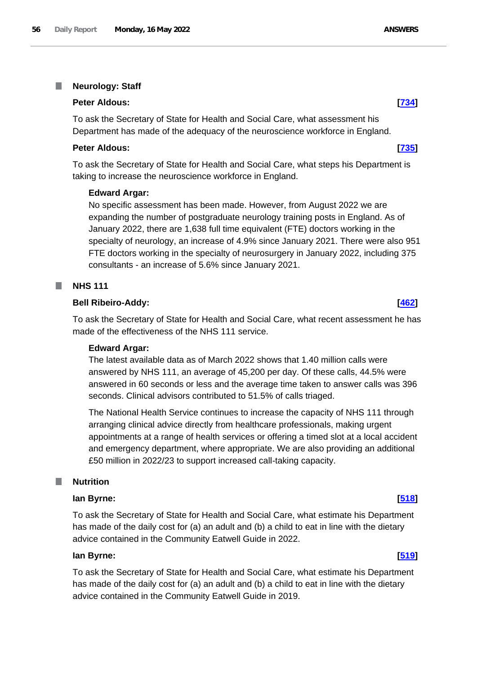### I. **Neurology: Staff**

### **Peter Aldous: [\[734\]](http://www.parliament.uk/business/publications/written-questions-answers-statements/written-question/Commons/2022-05-11/734)**

To ask the Secretary of State for Health and Social Care, what assessment his Department has made of the adequacy of the neuroscience workforce in England.

### **Peter Aldous: [\[735\]](http://www.parliament.uk/business/publications/written-questions-answers-statements/written-question/Commons/2022-05-11/735)**

To ask the Secretary of State for Health and Social Care, what steps his Department is taking to increase the neuroscience workforce in England.

### **Edward Argar:**

No specific assessment has been made. However, from August 2022 we are expanding the number of postgraduate neurology training posts in England. As of January 2022, there are 1,638 full time equivalent (FTE) doctors working in the specialty of neurology, an increase of 4.9% since January 2021. There were also 951 FTE doctors working in the specialty of neurosurgery in January 2022, including 375 consultants - an increase of 5.6% since January 2021.

# **NHS 111**

### **Bell Ribeiro-Addy: [\[462\]](http://www.parliament.uk/business/publications/written-questions-answers-statements/written-question/Commons/2022-05-10/462)**

To ask the Secretary of State for Health and Social Care, what recent assessment he has made of the effectiveness of the NHS 111 service.

### **Edward Argar:**

The latest available data as of March 2022 shows that 1.40 million calls were answered by NHS 111, an average of 45,200 per day. Of these calls, 44.5% were answered in 60 seconds or less and the average time taken to answer calls was 396 seconds. Clinical advisors contributed to 51.5% of calls triaged.

The National Health Service continues to increase the capacity of NHS 111 through arranging clinical advice directly from healthcare professionals, making urgent appointments at a range of health services or offering a timed slot at a local accident and emergency department, where appropriate. We are also providing an additional £50 million in 2022/23 to support increased call-taking capacity.

### **Nutrition**

### **Ian Byrne: [\[518\]](http://www.parliament.uk/business/publications/written-questions-answers-statements/written-question/Commons/2022-05-10/518)**

To ask the Secretary of State for Health and Social Care, what estimate his Department has made of the daily cost for (a) an adult and (b) a child to eat in line with the dietary advice contained in the Community Eatwell Guide in 2022.

### **Ian Byrne: [\[519\]](http://www.parliament.uk/business/publications/written-questions-answers-statements/written-question/Commons/2022-05-10/519)**

To ask the Secretary of State for Health and Social Care, what estimate his Department has made of the daily cost for (a) an adult and (b) a child to eat in line with the dietary advice contained in the Community Eatwell Guide in 2019.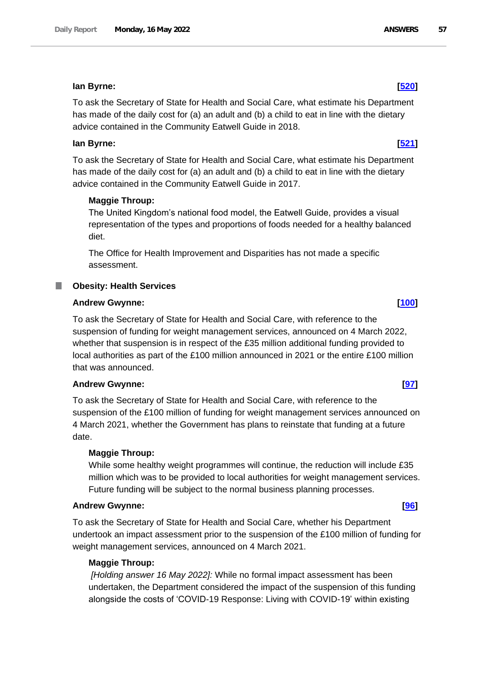# **Ian Byrne: [\[520\]](http://www.parliament.uk/business/publications/written-questions-answers-statements/written-question/Commons/2022-05-10/520)**

To ask the Secretary of State for Health and Social Care, what estimate his Department has made of the daily cost for (a) an adult and (b) a child to eat in line with the dietary advice contained in the Community Eatwell Guide in 2018.

# **Ian Byrne: [\[521\]](http://www.parliament.uk/business/publications/written-questions-answers-statements/written-question/Commons/2022-05-10/521)**

To ask the Secretary of State for Health and Social Care, what estimate his Department has made of the daily cost for (a) an adult and (b) a child to eat in line with the dietary advice contained in the Community Eatwell Guide in 2017.

# **Maggie Throup:**

The United Kingdom's national food model, the Eatwell Guide, provides a visual representation of the types and proportions of foods needed for a healthy balanced diet.

The Office for Health Improvement and Disparities has not made a specific assessment.

# **Obesity: Health Services**

# **Andrew Gwynne: [\[100\]](http://www.parliament.uk/business/publications/written-questions-answers-statements/written-question/Commons/2022-05-10/100)**

To ask the Secretary of State for Health and Social Care, with reference to the suspension of funding for weight management services, announced on 4 March 2022, whether that suspension is in respect of the £35 million additional funding provided to local authorities as part of the £100 million announced in 2021 or the entire £100 million that was announced.

# **Andrew Gwynne: [\[97\]](http://www.parliament.uk/business/publications/written-questions-answers-statements/written-question/Commons/2022-05-10/97)**

To ask the Secretary of State for Health and Social Care, with reference to the suspension of the £100 million of funding for weight management services announced on 4 March 2021, whether the Government has plans to reinstate that funding at a future date.

# **Maggie Throup:**

While some healthy weight programmes will continue, the reduction will include £35 million which was to be provided to local authorities for weight management services. Future funding will be subject to the normal business planning processes.

# **Andrew Gwynne: [\[96\]](http://www.parliament.uk/business/publications/written-questions-answers-statements/written-question/Commons/2022-05-10/96)**

To ask the Secretary of State for Health and Social Care, whether his Department undertook an impact assessment prior to the suspension of the £100 million of funding for weight management services, announced on 4 March 2021.

# **Maggie Throup:**

*[Holding answer 16 May 2022]:* While no formal impact assessment has been undertaken, the Department considered the impact of the suspension of this funding alongside the costs of 'COVID-19 Response: Living with COVID-19' within existing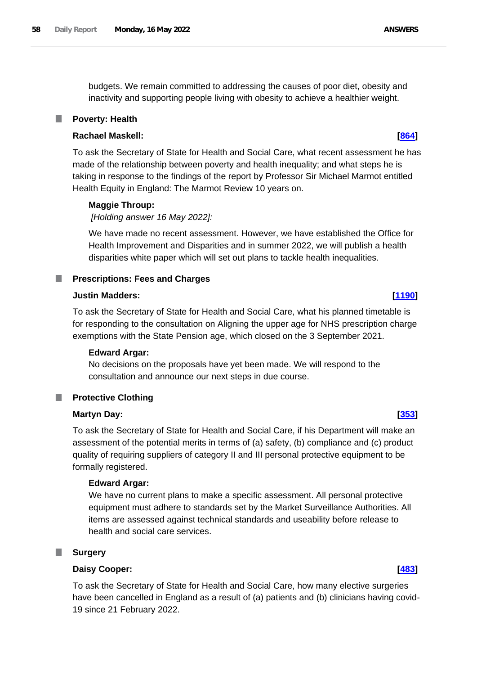budgets. We remain committed to addressing the causes of poor diet, obesity and inactivity and supporting people living with obesity to achieve a healthier weight.

### **Poverty: Health**

# **Rachael Maskell: [\[864\]](http://www.parliament.uk/business/publications/written-questions-answers-statements/written-question/Commons/2022-05-11/864)**

To ask the Secretary of State for Health and Social Care, what recent assessment he has made of the relationship between poverty and health inequality; and what steps he is taking in response to the findings of the report by Professor Sir Michael Marmot entitled Health Equity in England: The Marmot Review 10 years on.

### **Maggie Throup:**

*[Holding answer 16 May 2022]:* 

We have made no recent assessment. However, we have established the Office for Health Improvement and Disparities and in summer 2022, we will publish a health disparities white paper which will set out plans to tackle health inequalities.

### **Prescriptions: Fees and Charges**

### **Justin Madders: [\[1190\]](http://www.parliament.uk/business/publications/written-questions-answers-statements/written-question/Commons/2022-05-12/1190)**

To ask the Secretary of State for Health and Social Care, what his planned timetable is for responding to the consultation on Aligning the upper age for NHS prescription charge exemptions with the State Pension age, which closed on the 3 September 2021.

### **Edward Argar:**

No decisions on the proposals have yet been made. We will respond to the consultation and announce our next steps in due course.

### T. **Protective Clothing**

### **Martyn Day: [\[353\]](http://www.parliament.uk/business/publications/written-questions-answers-statements/written-question/Commons/2022-05-10/353)**

To ask the Secretary of State for Health and Social Care, if his Department will make an assessment of the potential merits in terms of (a) safety, (b) compliance and (c) product quality of requiring suppliers of category II and III personal protective equipment to be formally registered.

### **Edward Argar:**

We have no current plans to make a specific assessment. All personal protective equipment must adhere to standards set by the Market Surveillance Authorities. All items are assessed against technical standards and useability before release to health and social care services.

### **Surgery**

### **Daisy Cooper: [\[483\]](http://www.parliament.uk/business/publications/written-questions-answers-statements/written-question/Commons/2022-05-10/483)**

To ask the Secretary of State for Health and Social Care, how many elective surgeries have been cancelled in England as a result of (a) patients and (b) clinicians having covid-19 since 21 February 2022.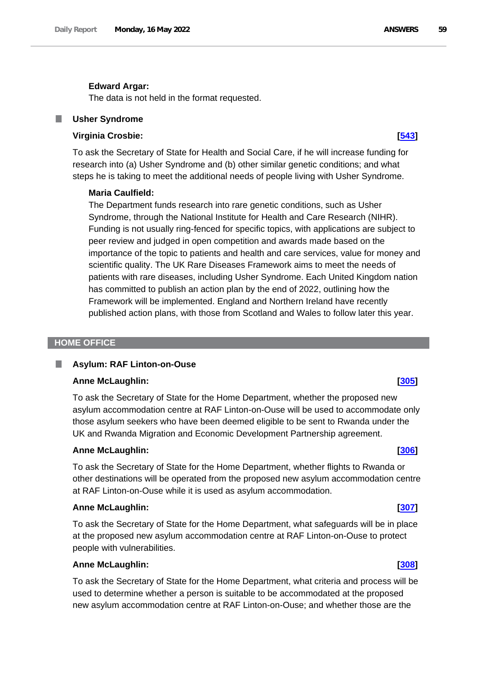### **Edward Argar:**

The data is not held in the format requested.

### **Usher Syndrome**

# **Virginia Crosbie: [\[543\]](http://www.parliament.uk/business/publications/written-questions-answers-statements/written-question/Commons/2022-05-10/543)**

To ask the Secretary of State for Health and Social Care, if he will increase funding for research into (a) Usher Syndrome and (b) other similar genetic conditions; and what steps he is taking to meet the additional needs of people living with Usher Syndrome.

### **Maria Caulfield:**

The Department funds research into rare genetic conditions, such as Usher Syndrome, through the National Institute for Health and Care Research (NIHR). Funding is not usually ring-fenced for specific topics, with applications are subject to peer review and judged in open competition and awards made based on the importance of the topic to patients and health and care services, value for money and scientific quality. The UK Rare Diseases Framework aims to meet the needs of patients with rare diseases, including Usher Syndrome. Each United Kingdom nation has committed to publish an action plan by the end of 2022, outlining how the Framework will be implemented. England and Northern Ireland have recently published action plans, with those from Scotland and Wales to follow later this year.

### **HOME OFFICE**

### **Asylum: RAF Linton-on-Ouse**

### **Anne McLaughlin: [\[305\]](http://www.parliament.uk/business/publications/written-questions-answers-statements/written-question/Commons/2022-05-10/305)**

To ask the Secretary of State for the Home Department, whether the proposed new asylum accommodation centre at RAF Linton-on-Ouse will be used to accommodate only those asylum seekers who have been deemed eligible to be sent to Rwanda under the UK and Rwanda Migration and Economic Development Partnership agreement.

# **Anne McLaughlin: [\[306\]](http://www.parliament.uk/business/publications/written-questions-answers-statements/written-question/Commons/2022-05-10/306)**

To ask the Secretary of State for the Home Department, whether flights to Rwanda or other destinations will be operated from the proposed new asylum accommodation centre at RAF Linton-on-Ouse while it is used as asylum accommodation.

### **Anne McLaughlin: [\[307\]](http://www.parliament.uk/business/publications/written-questions-answers-statements/written-question/Commons/2022-05-10/307)**

To ask the Secretary of State for the Home Department, what safeguards will be in place at the proposed new asylum accommodation centre at RAF Linton-on-Ouse to protect people with vulnerabilities.

### **Anne McLaughlin: [\[308\]](http://www.parliament.uk/business/publications/written-questions-answers-statements/written-question/Commons/2022-05-10/308)**

To ask the Secretary of State for the Home Department, what criteria and process will be used to determine whether a person is suitable to be accommodated at the proposed new asylum accommodation centre at RAF Linton-on-Ouse; and whether those are the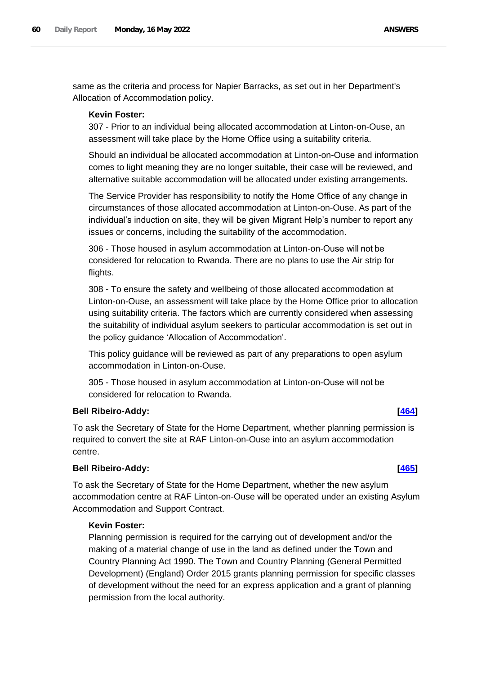same as the criteria and process for Napier Barracks, as set out in her Department's Allocation of Accommodation policy.

# **Kevin Foster:**

307 - Prior to an individual being allocated accommodation at Linton-on-Ouse, an assessment will take place by the Home Office using a suitability criteria.

Should an individual be allocated accommodation at Linton-on-Ouse and information comes to light meaning they are no longer suitable, their case will be reviewed, and alternative suitable accommodation will be allocated under existing arrangements.

The Service Provider has responsibility to notify the Home Office of any change in circumstances of those allocated accommodation at Linton-on-Ouse. As part of the individual's induction on site, they will be given Migrant Help's number to report any issues or concerns, including the suitability of the accommodation.

306 - Those housed in asylum accommodation at Linton-on-Ouse will not be considered for relocation to Rwanda. There are no plans to use the Air strip for flights.

308 - To ensure the safety and wellbeing of those allocated accommodation at Linton-on-Ouse, an assessment will take place by the Home Office prior to allocation using suitability criteria. The factors which are currently considered when assessing the suitability of individual asylum seekers to particular accommodation is set out in the policy guidance 'Allocation of Accommodation'.

This policy guidance will be reviewed as part of any preparations to open asylum accommodation in Linton-on-Ouse.

305 - Those housed in asylum accommodation at Linton-on-Ouse will not be considered for relocation to Rwanda.

# **Bell Ribeiro-Addy: [\[464\]](http://www.parliament.uk/business/publications/written-questions-answers-statements/written-question/Commons/2022-05-10/464)**

To ask the Secretary of State for the Home Department, whether planning permission is required to convert the site at RAF Linton-on-Ouse into an asylum accommodation centre.

# **Bell Ribeiro-Addy: [\[465\]](http://www.parliament.uk/business/publications/written-questions-answers-statements/written-question/Commons/2022-05-10/465)**

To ask the Secretary of State for the Home Department, whether the new asylum accommodation centre at RAF Linton-on-Ouse will be operated under an existing Asylum Accommodation and Support Contract.

# **Kevin Foster:**

Planning permission is required for the carrying out of development and/or the making of a material change of use in the land as defined under the Town and Country Planning Act 1990. The Town and Country Planning (General Permitted Development) (England) Order 2015 grants planning permission for specific classes of development without the need for an express application and a grant of planning permission from the local authority.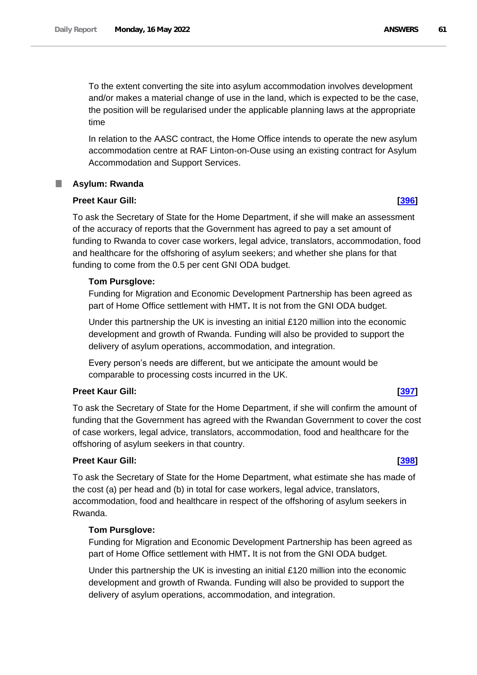To the extent converting the site into asylum accommodation involves development and/or makes a material change of use in the land, which is expected to be the case, the position will be regularised under the applicable planning laws at the appropriate time

In relation to the AASC contract, the Home Office intends to operate the new asylum accommodation centre at RAF Linton-on-Ouse using an existing contract for Asylum Accommodation and Support Services.

# **Asylum: Rwanda**

# **Preet Kaur Gill: [\[396\]](http://www.parliament.uk/business/publications/written-questions-answers-statements/written-question/Commons/2022-05-10/396)**

To ask the Secretary of State for the Home Department, if she will make an assessment of the accuracy of reports that the Government has agreed to pay a set amount of funding to Rwanda to cover case workers, legal advice, translators, accommodation, food and healthcare for the offshoring of asylum seekers; and whether she plans for that funding to come from the 0.5 per cent GNI ODA budget.

# **Tom Pursglove:**

Funding for Migration and Economic Development Partnership has been agreed as part of Home Office settlement with HMT**.** It is not from the GNI ODA budget.

Under this partnership the UK is investing an initial £120 million into the economic development and growth of Rwanda. Funding will also be provided to support the delivery of asylum operations, accommodation, and integration.

Every person's needs are different, but we anticipate the amount would be comparable to processing costs incurred in the UK.

# **Preet Kaur Gill: [\[397\]](http://www.parliament.uk/business/publications/written-questions-answers-statements/written-question/Commons/2022-05-10/397)**

To ask the Secretary of State for the Home Department, if she will confirm the amount of funding that the Government has agreed with the Rwandan Government to cover the cost of case workers, legal advice, translators, accommodation, food and healthcare for the offshoring of asylum seekers in that country.

# **Preet Kaur Gill: [\[398\]](http://www.parliament.uk/business/publications/written-questions-answers-statements/written-question/Commons/2022-05-10/398)**

To ask the Secretary of State for the Home Department, what estimate she has made of the cost (a) per head and (b) in total for case workers, legal advice, translators, accommodation, food and healthcare in respect of the offshoring of asylum seekers in Rwanda.

# **Tom Pursglove:**

Funding for Migration and Economic Development Partnership has been agreed as part of Home Office settlement with HMT**.** It is not from the GNI ODA budget.

Under this partnership the UK is investing an initial £120 million into the economic development and growth of Rwanda. Funding will also be provided to support the delivery of asylum operations, accommodation, and integration.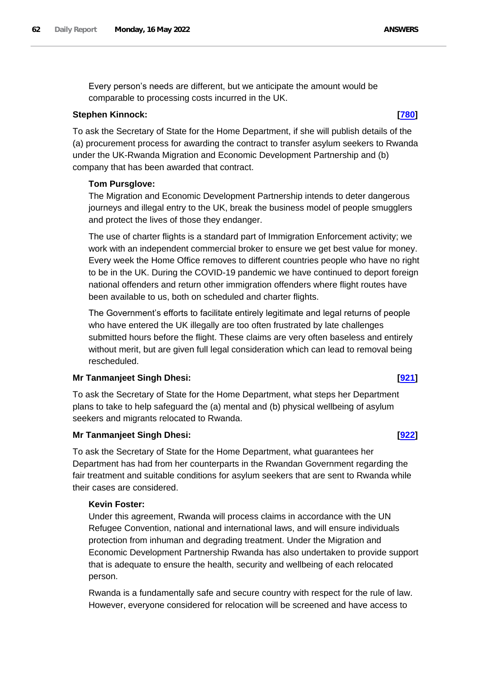Every person's needs are different, but we anticipate the amount would be comparable to processing costs incurred in the UK.

### **Stephen Kinnock: [\[780\]](http://www.parliament.uk/business/publications/written-questions-answers-statements/written-question/Commons/2022-05-11/780)**

To ask the Secretary of State for the Home Department, if she will publish details of the (a) procurement process for awarding the contract to transfer asylum seekers to Rwanda under the UK-Rwanda Migration and Economic Development Partnership and (b) company that has been awarded that contract.

### **Tom Pursglove:**

The Migration and Economic Development Partnership intends to deter dangerous journeys and illegal entry to the UK, break the business model of people smugglers and protect the lives of those they endanger.

The use of charter flights is a standard part of Immigration Enforcement activity; we work with an independent commercial broker to ensure we get best value for money. Every week the Home Office removes to different countries people who have no right to be in the UK. During the COVID-19 pandemic we have continued to deport foreign national offenders and return other immigration offenders where flight routes have been available to us, both on scheduled and charter flights.

The Government's efforts to facilitate entirely legitimate and legal returns of people who have entered the UK illegally are too often frustrated by late challenges submitted hours before the flight. These claims are very often baseless and entirely without merit, but are given full legal consideration which can lead to removal being rescheduled.

# **Mr Tanmanjeet Singh Dhesi: [\[921\]](http://www.parliament.uk/business/publications/written-questions-answers-statements/written-question/Commons/2022-05-11/921)**

To ask the Secretary of State for the Home Department, what steps her Department plans to take to help safeguard the (a) mental and (b) physical wellbeing of asylum seekers and migrants relocated to Rwanda.

# **Mr Tanmanjeet Singh Dhesi: [\[922\]](http://www.parliament.uk/business/publications/written-questions-answers-statements/written-question/Commons/2022-05-11/922)**

To ask the Secretary of State for the Home Department, what guarantees her Department has had from her counterparts in the Rwandan Government regarding the fair treatment and suitable conditions for asylum seekers that are sent to Rwanda while their cases are considered.

### **Kevin Foster:**

Under this agreement, Rwanda will process claims in accordance with the UN Refugee Convention, national and international laws, and will ensure individuals protection from inhuman and degrading treatment. Under the Migration and Economic Development Partnership Rwanda has also undertaken to provide support that is adequate to ensure the health, security and wellbeing of each relocated person.

Rwanda is a fundamentally safe and secure country with respect for the rule of law. However, everyone considered for relocation will be screened and have access to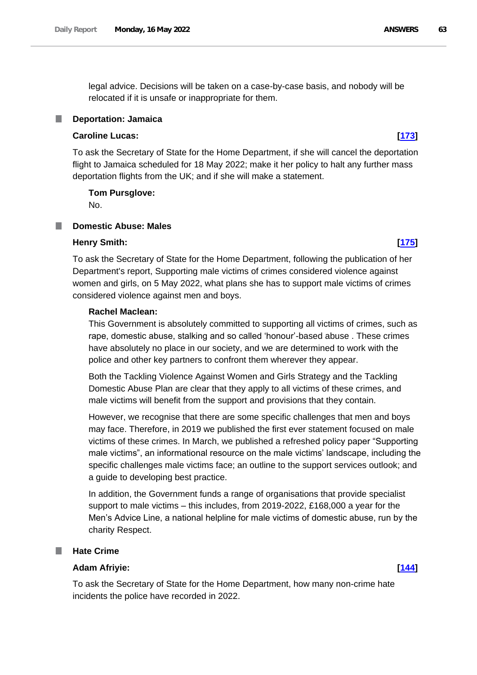legal advice. Decisions will be taken on a case-by-case basis, and nobody will be relocated if it is unsafe or inappropriate for them.

### **Deportation: Jamaica**

# **Caroline Lucas: [\[173\]](http://www.parliament.uk/business/publications/written-questions-answers-statements/written-question/Commons/2022-05-10/173)**

To ask the Secretary of State for the Home Department, if she will cancel the deportation flight to Jamaica scheduled for 18 May 2022; make it her policy to halt any further mass deportation flights from the UK; and if she will make a statement.

**Tom Pursglove:**

No.

## **Domestic Abuse: Males**

### **Henry Smith: [\[175\]](http://www.parliament.uk/business/publications/written-questions-answers-statements/written-question/Commons/2022-05-10/175)**

To ask the Secretary of State for the Home Department, following the publication of her Department's report, Supporting male victims of crimes considered violence against women and girls, on 5 May 2022, what plans she has to support male victims of crimes considered violence against men and boys.

# **Rachel Maclean:**

This Government is absolutely committed to supporting all victims of crimes, such as rape, domestic abuse, stalking and so called 'honour'-based abuse . These crimes have absolutely no place in our society, and we are determined to work with the police and other key partners to confront them wherever they appear.

Both the Tackling Violence Against Women and Girls Strategy and the Tackling Domestic Abuse Plan are clear that they apply to all victims of these crimes, and male victims will benefit from the support and provisions that they contain.

However, we recognise that there are some specific challenges that men and boys may face. Therefore, in 2019 we published the first ever statement focused on male victims of these crimes. In March, we published a refreshed policy paper "Supporting male victims", an informational resource on the male victims' landscape, including the specific challenges male victims face; an outline to the support services outlook; and a guide to developing best practice.

In addition, the Government funds a range of organisations that provide specialist support to male victims – this includes, from 2019-2022, £168,000 a year for the Men's Advice Line, a national helpline for male victims of domestic abuse, run by the charity Respect.

### ш **Hate Crime**

### **Adam Afriyie: [\[144\]](http://www.parliament.uk/business/publications/written-questions-answers-statements/written-question/Commons/2022-05-10/144)**

To ask the Secretary of State for the Home Department, how many non-crime hate incidents the police have recorded in 2022.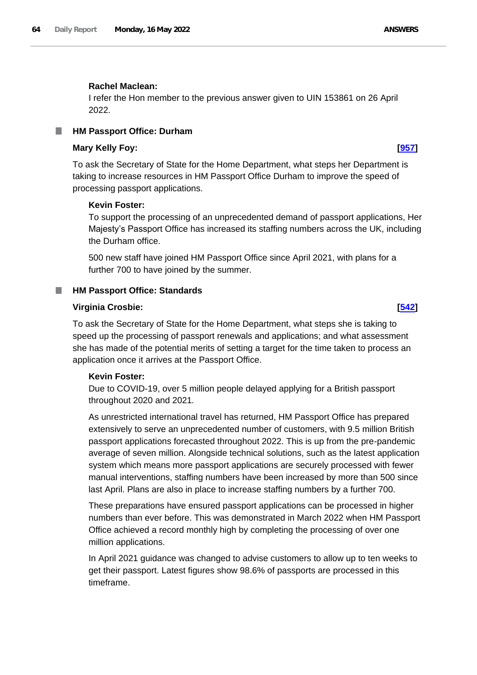### **Rachel Maclean:**

I refer the Hon member to the previous answer given to UIN 153861 on 26 April 2022.

### **HM Passport Office: Durham** ш

### **Mary Kelly Foy: [\[957\]](http://www.parliament.uk/business/publications/written-questions-answers-statements/written-question/Commons/2022-05-11/957)**

To ask the Secretary of State for the Home Department, what steps her Department is taking to increase resources in HM Passport Office Durham to improve the speed of processing passport applications.

### **Kevin Foster:**

To support the processing of an unprecedented demand of passport applications, Her Majesty's Passport Office has increased its staffing numbers across the UK, including the Durham office.

500 new staff have joined HM Passport Office since April 2021, with plans for a further 700 to have joined by the summer.

### ш **HM Passport Office: Standards**

### **Virginia Crosbie: [\[542\]](http://www.parliament.uk/business/publications/written-questions-answers-statements/written-question/Commons/2022-05-10/542)**

To ask the Secretary of State for the Home Department, what steps she is taking to speed up the processing of passport renewals and applications; and what assessment she has made of the potential merits of setting a target for the time taken to process an application once it arrives at the Passport Office.

### **Kevin Foster:**

Due to COVID-19, over 5 million people delayed applying for a British passport throughout 2020 and 2021*.*

As unrestricted international travel has returned, HM Passport Office has prepared extensively to serve an unprecedented number of customers, with 9.5 million British passport applications forecasted throughout 2022. This is up from the pre-pandemic average of seven million. Alongside technical solutions, such as the latest application system which means more passport applications are securely processed with fewer manual interventions, staffing numbers have been increased by more than 500 since last April. Plans are also in place to increase staffing numbers by a further 700.

These preparations have ensured passport applications can be processed in higher numbers than ever before. This was demonstrated in March 2022 when HM Passport Office achieved a record monthly high by completing the processing of over one million applications.

In April 2021 guidance was changed to advise customers to allow up to ten weeks to get their passport. Latest figures show 98.6% of passports are processed in this timeframe.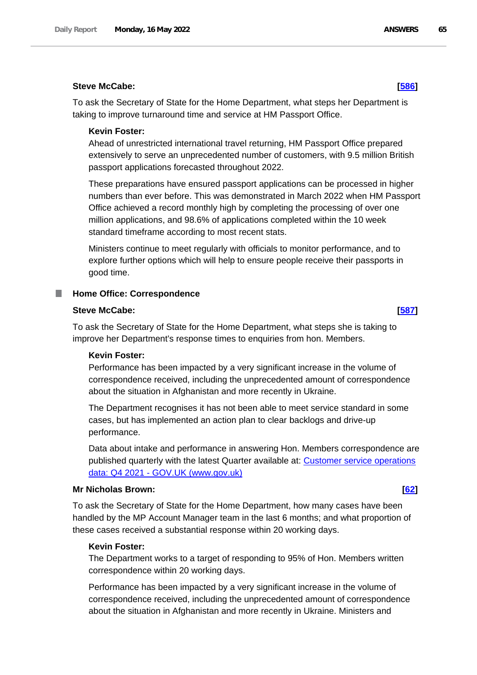## **Steve McCabe: [\[586\]](http://www.parliament.uk/business/publications/written-questions-answers-statements/written-question/Commons/2022-05-11/586)**

To ask the Secretary of State for the Home Department, what steps her Department is taking to improve turnaround time and service at HM Passport Office.

### **Kevin Foster:**

Ahead of unrestricted international travel returning, HM Passport Office prepared extensively to serve an unprecedented number of customers, with 9.5 million British passport applications forecasted throughout 2022.

These preparations have ensured passport applications can be processed in higher numbers than ever before. This was demonstrated in March 2022 when HM Passport Office achieved a record monthly high by completing the processing of over one million applications, and 98.6% of applications completed within the 10 week standard timeframe according to most recent stats.

Ministers continue to meet regularly with officials to monitor performance, and to explore further options which will help to ensure people receive their passports in good time.

### **Home Office: Correspondence** ш

### **Steve McCabe: [\[587\]](http://www.parliament.uk/business/publications/written-questions-answers-statements/written-question/Commons/2022-05-11/587)**

To ask the Secretary of State for the Home Department, what steps she is taking to improve her Department's response times to enquiries from hon. Members.

### **Kevin Foster:**

Performance has been impacted by a very significant increase in the volume of correspondence received, including the unprecedented amount of correspondence about the situation in Afghanistan and more recently in Ukraine.

The Department recognises it has not been able to meet service standard in some cases, but has implemented an action plan to clear backlogs and drive-up performance.

Data about intake and performance in answering Hon. Members correspondence are published quarterly with the latest Quarter available at: [Customer service operations](https://www.gov.uk/government/publications/customer-service-operations-data-q4-2021)  data: Q4 2021 - [GOV.UK \(www.gov.uk\)](https://www.gov.uk/government/publications/customer-service-operations-data-q4-2021)

### **Mr Nicholas Brown: [\[62\]](http://www.parliament.uk/business/publications/written-questions-answers-statements/written-question/Commons/2022-05-10/62)**

To ask the Secretary of State for the Home Department, how many cases have been handled by the MP Account Manager team in the last 6 months; and what proportion of these cases received a substantial response within 20 working days.

### **Kevin Foster:**

The Department works to a target of responding to 95% of Hon. Members written correspondence within 20 working days.

Performance has been impacted by a very significant increase in the volume of correspondence received, including the unprecedented amount of correspondence about the situation in Afghanistan and more recently in Ukraine. Ministers and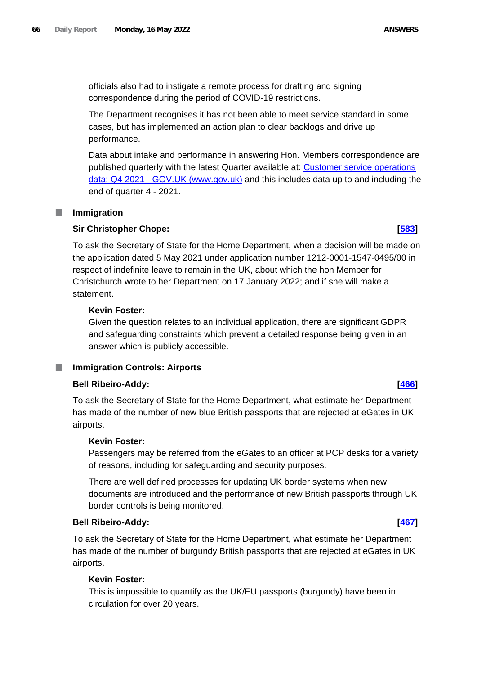The Department recognises it has not been able to meet service standard in some cases, but has implemented an action plan to clear backlogs and drive up performance.

Data about intake and performance in answering Hon. Members correspondence are published quarterly with the latest Quarter available at: [Customer service operations](https://www.gov.uk/government/publications/customer-service-operations-data-q4-2021)  data: Q4 2021 - [GOV.UK \(www.gov.uk\)](https://www.gov.uk/government/publications/customer-service-operations-data-q4-2021) and this includes data up to and including the end of quarter 4 - 2021.

### a an **Immigration**

# **Sir Christopher Chope: [\[583\]](http://www.parliament.uk/business/publications/written-questions-answers-statements/written-question/Commons/2022-05-11/583)**

To ask the Secretary of State for the Home Department, when a decision will be made on the application dated 5 May 2021 under application number 1212-0001-1547-0495/00 in respect of indefinite leave to remain in the UK, about which the hon Member for Christchurch wrote to her Department on 17 January 2022; and if she will make a statement.

# **Kevin Foster:**

Given the question relates to an individual application, there are significant GDPR and safeguarding constraints which prevent a detailed response being given in an answer which is publicly accessible.

# **Immigration Controls: Airports**

# **Bell Ribeiro-Addy: [\[466\]](http://www.parliament.uk/business/publications/written-questions-answers-statements/written-question/Commons/2022-05-10/466)**

To ask the Secretary of State for the Home Department, what estimate her Department has made of the number of new blue British passports that are rejected at eGates in UK airports.

# **Kevin Foster:**

Passengers may be referred from the eGates to an officer at PCP desks for a variety of reasons, including for safeguarding and security purposes.

There are well defined processes for updating UK border systems when new documents are introduced and the performance of new British passports through UK border controls is being monitored.

# **Bell Ribeiro-Addy: [\[467\]](http://www.parliament.uk/business/publications/written-questions-answers-statements/written-question/Commons/2022-05-10/467)**

To ask the Secretary of State for the Home Department, what estimate her Department has made of the number of burgundy British passports that are rejected at eGates in UK airports.

# **Kevin Foster:**

This is impossible to quantify as the UK/EU passports (burgundy) have been in circulation for over 20 years.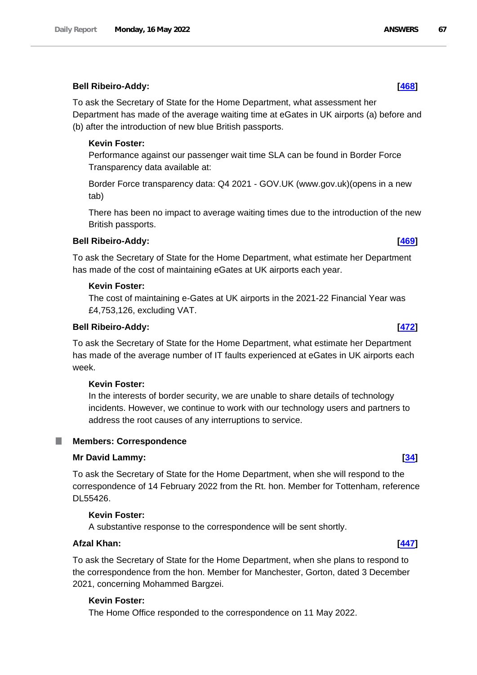### **Bell Ribeiro-Addy: [\[468\]](http://www.parliament.uk/business/publications/written-questions-answers-statements/written-question/Commons/2022-05-10/468)**

To ask the Secretary of State for the Home Department, what assessment her Department has made of the average waiting time at eGates in UK airports (a) before and (b) after the introduction of new blue British passports.

# **Kevin Foster:**

Performance against our passenger wait time SLA can be found in Border Force Transparency data available at:

Border Force transparency data: Q4 2021 - GOV.UK (www.gov.uk)(opens in a new tab)

There has been no impact to average waiting times due to the introduction of the new British passports.

# **Bell Ribeiro-Addy: [\[469\]](http://www.parliament.uk/business/publications/written-questions-answers-statements/written-question/Commons/2022-05-10/469)**

To ask the Secretary of State for the Home Department, what estimate her Department has made of the cost of maintaining eGates at UK airports each year.

### **Kevin Foster:**

The cost of maintaining e-Gates at UK airports in the 2021-22 Financial Year was £4,753,126, excluding VAT.

### **Bell Ribeiro-Addy: [\[472\]](http://www.parliament.uk/business/publications/written-questions-answers-statements/written-question/Commons/2022-05-10/472)**

To ask the Secretary of State for the Home Department, what estimate her Department has made of the average number of IT faults experienced at eGates in UK airports each week.

### **Kevin Foster:**

In the interests of border security, we are unable to share details of technology incidents. However, we continue to work with our technology users and partners to address the root causes of any interruptions to service.

### **Members: Correspondence**

### **Mr David Lammy: [\[34\]](http://www.parliament.uk/business/publications/written-questions-answers-statements/written-question/Commons/2022-05-10/34)**

To ask the Secretary of State for the Home Department, when she will respond to the correspondence of 14 February 2022 from the Rt. hon. Member for Tottenham, reference DL55426.

### **Kevin Foster:**

A substantive response to the correspondence will be sent shortly.

# **Afzal Khan: [\[447\]](http://www.parliament.uk/business/publications/written-questions-answers-statements/written-question/Commons/2022-05-10/447)**

To ask the Secretary of State for the Home Department, when she plans to respond to the correspondence from the hon. Member for Manchester, Gorton, dated 3 December 2021, concerning Mohammed Bargzei.

### **Kevin Foster:**

The Home Office responded to the correspondence on 11 May 2022.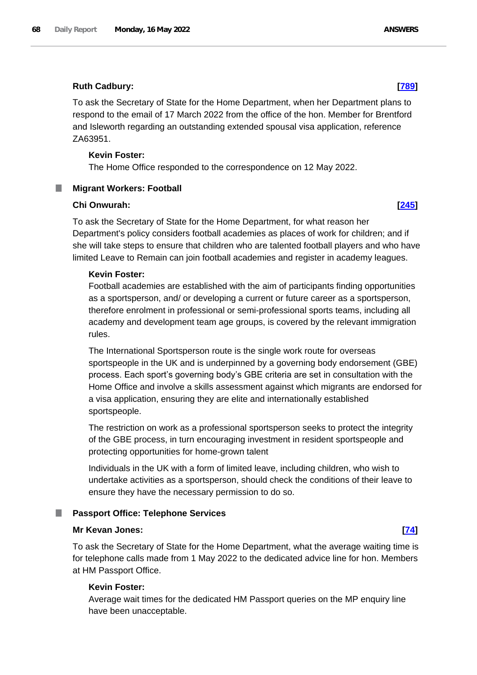To ask the Secretary of State for the Home Department, when her Department plans to respond to the email of 17 March 2022 from the office of the hon. Member for Brentford and Isleworth regarding an outstanding extended spousal visa application, reference ZA63951.

# **Kevin Foster:**

The Home Office responded to the correspondence on 12 May 2022.

# **Migrant Workers: Football**

# **Chi Onwurah: [\[245\]](http://www.parliament.uk/business/publications/written-questions-answers-statements/written-question/Commons/2022-05-10/245)**

To ask the Secretary of State for the Home Department, for what reason her Department's policy considers football academies as places of work for children; and if she will take steps to ensure that children who are talented football players and who have limited Leave to Remain can join football academies and register in academy leagues.

# **Kevin Foster:**

Football academies are established with the aim of participants finding opportunities as a sportsperson, and/ or developing a current or future career as a sportsperson, therefore enrolment in professional or semi-professional sports teams, including all academy and development team age groups, is covered by the relevant immigration rules.

The International Sportsperson route is the single work route for overseas sportspeople in the UK and is underpinned by a governing body endorsement (GBE) process. Each sport's governing body's GBE criteria are set in consultation with the Home Office and involve a skills assessment against which migrants are endorsed for a visa application, ensuring they are elite and internationally established sportspeople.

The restriction on work as a professional sportsperson seeks to protect the integrity of the GBE process, in turn encouraging investment in resident sportspeople and protecting opportunities for home-grown talent

Individuals in the UK with a form of limited leave, including children, who wish to undertake activities as a sportsperson, should check the conditions of their leave to ensure they have the necessary permission to do so.

# **Passport Office: Telephone Services**

# **Mr Kevan Jones: [\[74\]](http://www.parliament.uk/business/publications/written-questions-answers-statements/written-question/Commons/2022-05-10/74)**

To ask the Secretary of State for the Home Department, what the average waiting time is for telephone calls made from 1 May 2022 to the dedicated advice line for hon. Members at HM Passport Office.

# **Kevin Foster:**

Average wait times for the dedicated HM Passport queries on the MP enquiry line have been unacceptable.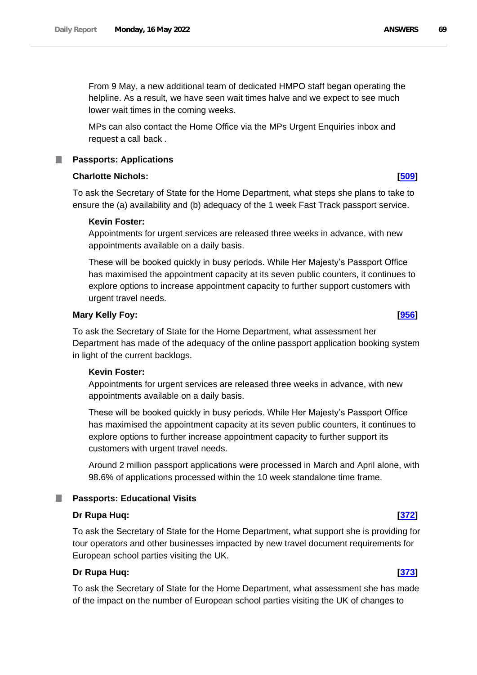From 9 May, a new additional team of dedicated HMPO staff began operating the helpline. As a result, we have seen wait times halve and we expect to see much lower wait times in the coming weeks.

MPs can also contact the Home Office via the MPs Urgent Enquiries inbox and request a call back *.* 

# **Passports: Applications**

# **Charlotte Nichols: [\[509\]](http://www.parliament.uk/business/publications/written-questions-answers-statements/written-question/Commons/2022-05-10/509)**

To ask the Secretary of State for the Home Department, what steps she plans to take to ensure the (a) availability and (b) adequacy of the 1 week Fast Track passport service.

# **Kevin Foster:**

Appointments for urgent services are released three weeks in advance, with new appointments available on a daily basis.

These will be booked quickly in busy periods. While Her Majesty's Passport Office has maximised the appointment capacity at its seven public counters, it continues to explore options to increase appointment capacity to further support customers with urgent travel needs.

# **Mary Kelly Foy: [\[956\]](http://www.parliament.uk/business/publications/written-questions-answers-statements/written-question/Commons/2022-05-11/956)**

To ask the Secretary of State for the Home Department, what assessment her Department has made of the adequacy of the online passport application booking system in light of the current backlogs.

# **Kevin Foster:**

Appointments for urgent services are released three weeks in advance, with new appointments available on a daily basis.

These will be booked quickly in busy periods. While Her Majesty's Passport Office has maximised the appointment capacity at its seven public counters, it continues to explore options to further increase appointment capacity to further support its customers with urgent travel needs.

Around 2 million passport applications were processed in March and April alone, with 98.6% of applications processed within the 10 week standalone time frame.

# **Passports: Educational Visits**

# **Dr Rupa Huq: [\[372\]](http://www.parliament.uk/business/publications/written-questions-answers-statements/written-question/Commons/2022-05-10/372)**

To ask the Secretary of State for the Home Department, what support she is providing for tour operators and other businesses impacted by new travel document requirements for European school parties visiting the UK.

# **Dr Rupa Huq: [\[373\]](http://www.parliament.uk/business/publications/written-questions-answers-statements/written-question/Commons/2022-05-10/373)**

To ask the Secretary of State for the Home Department, what assessment she has made of the impact on the number of European school parties visiting the UK of changes to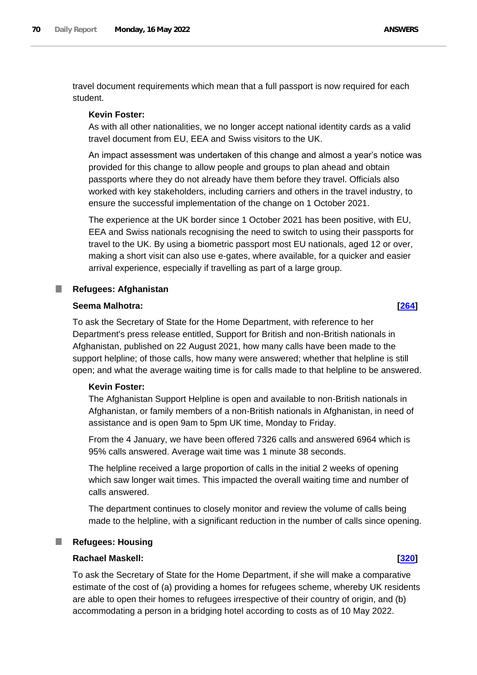travel document requirements which mean that a full passport is now required for each student.

### **Kevin Foster:**

As with all other nationalities, we no longer accept national identity cards as a valid travel document from EU, EEA and Swiss visitors to the UK.

An impact assessment was undertaken of this change and almost a year's notice was provided for this change to allow people and groups to plan ahead and obtain passports where they do not already have them before they travel. Officials also worked with key stakeholders, including carriers and others in the travel industry, to ensure the successful implementation of the change on 1 October 2021.

The experience at the UK border since 1 October 2021 has been positive, with EU, EEA and Swiss nationals recognising the need to switch to using their passports for travel to the UK. By using a biometric passport most EU nationals, aged 12 or over, making a short visit can also use e-gates, where available, for a quicker and easier arrival experience, especially if travelling as part of a large group.

### **Refugees: Afghanistan** ш

### **Seema Malhotra: [\[264\]](http://www.parliament.uk/business/publications/written-questions-answers-statements/written-question/Commons/2022-05-10/264)**

To ask the Secretary of State for the Home Department, with reference to her Department's press release entitled, Support for British and non-British nationals in Afghanistan, published on 22 August 2021, how many calls have been made to the support helpline; of those calls, how many were answered; whether that helpline is still open; and what the average waiting time is for calls made to that helpline to be answered.

### **Kevin Foster:**

The Afghanistan Support Helpline is open and available to non-British nationals in Afghanistan, or family members of a non-British nationals in Afghanistan, in need of assistance and is open 9am to 5pm UK time, Monday to Friday.

From the 4 January, we have been offered 7326 calls and answered 6964 which is 95% calls answered. Average wait time was 1 minute 38 seconds.

The helpline received a large proportion of calls in the initial 2 weeks of opening which saw longer wait times. This impacted the overall waiting time and number of calls answered.

The department continues to closely monitor and review the volume of calls being made to the helpline, with a significant reduction in the number of calls since opening.

# **Refugees: Housing**

# **Rachael Maskell: [\[320\]](http://www.parliament.uk/business/publications/written-questions-answers-statements/written-question/Commons/2022-05-10/320)**

To ask the Secretary of State for the Home Department, if she will make a comparative estimate of the cost of (a) providing a homes for refugees scheme, whereby UK residents are able to open their homes to refugees irrespective of their country of origin, and (b) accommodating a person in a bridging hotel according to costs as of 10 May 2022.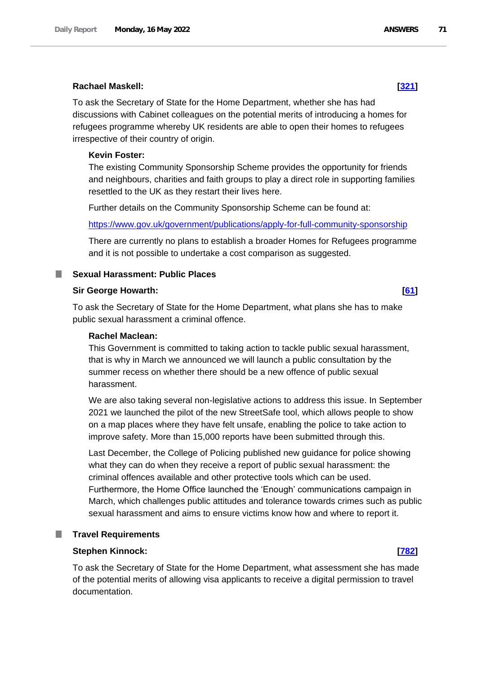### **Rachael Maskell: [\[321\]](http://www.parliament.uk/business/publications/written-questions-answers-statements/written-question/Commons/2022-05-10/321)**

To ask the Secretary of State for the Home Department, whether she has had discussions with Cabinet colleagues on the potential merits of introducing a homes for refugees programme whereby UK residents are able to open their homes to refugees irrespective of their country of origin.

### **Kevin Foster:**

The existing Community Sponsorship Scheme provides the opportunity for friends and neighbours, charities and faith groups to play a direct role in supporting families resettled to the UK as they restart their lives here.

Further details on the Community Sponsorship Scheme can be found at:

<https://www.gov.uk/government/publications/apply-for-full-community-sponsorship>

There are currently no plans to establish a broader Homes for Refugees programme and it is not possible to undertake a cost comparison as suggested.

### **Sexual Harassment: Public Places**

### **Sir George Howarth: [\[61\]](http://www.parliament.uk/business/publications/written-questions-answers-statements/written-question/Commons/2022-05-10/61)**

To ask the Secretary of State for the Home Department, what plans she has to make public sexual harassment a criminal offence.

### **Rachel Maclean:**

This Government is committed to taking action to tackle public sexual harassment, that is why in March we announced we will launch a public consultation by the summer recess on whether there should be a new offence of public sexual harassment.

We are also taking several non-legislative actions to address this issue. In September 2021 we launched the pilot of the new StreetSafe tool, which allows people to show on a map places where they have felt unsafe, enabling the police to take action to improve safety. More than 15,000 reports have been submitted through this.

Last December, the College of Policing published new guidance for police showing what they can do when they receive a report of public sexual harassment: the criminal offences available and other protective tools which can be used. Furthermore, the Home Office launched the 'Enough' communications campaign in March, which challenges public attitudes and tolerance towards crimes such as public sexual harassment and aims to ensure victims know how and where to report it.

# **Travel Requirements**

# **Stephen Kinnock: [\[782\]](http://www.parliament.uk/business/publications/written-questions-answers-statements/written-question/Commons/2022-05-11/782)**

To ask the Secretary of State for the Home Department, what assessment she has made of the potential merits of allowing visa applicants to receive a digital permission to travel documentation.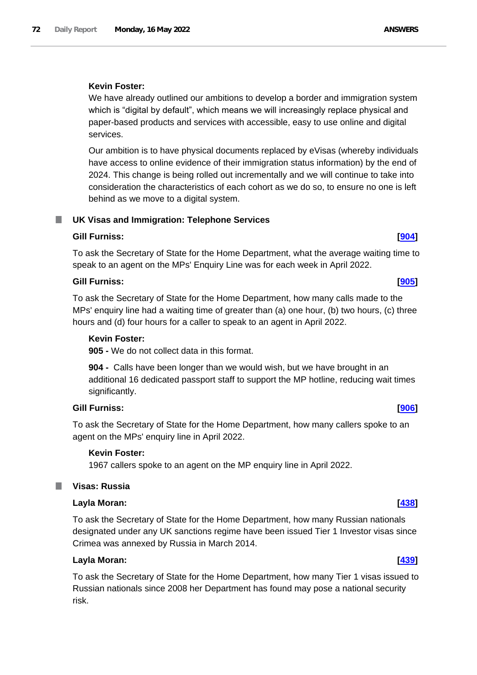# **Kevin Foster:**

We have already outlined our ambitions to develop a border and immigration system which is "digital by default", which means we will increasingly replace physical and paper-based products and services with accessible, easy to use online and digital services.

Our ambition is to have physical documents replaced by eVisas (whereby individuals have access to online evidence of their immigration status information) by the end of 2024. This change is being rolled out incrementally and we will continue to take into consideration the characteristics of each cohort as we do so, to ensure no one is left behind as we move to a digital system.

### **UK Visas and Immigration: Telephone Services** ш

# **Gill Furniss: [\[904\]](http://www.parliament.uk/business/publications/written-questions-answers-statements/written-question/Commons/2022-05-11/904)**

To ask the Secretary of State for the Home Department, what the average waiting time to speak to an agent on the MPs' Enquiry Line was for each week in April 2022.

# **Gill Furniss: [\[905\]](http://www.parliament.uk/business/publications/written-questions-answers-statements/written-question/Commons/2022-05-11/905)**

To ask the Secretary of State for the Home Department, how many calls made to the MPs' enquiry line had a waiting time of greater than (a) one hour, (b) two hours, (c) three hours and (d) four hours for a caller to speak to an agent in April 2022.

### **Kevin Foster:**

**905 -** We do not collect data in this format.

**904 -** Calls have been longer than we would wish, but we have brought in an additional 16 dedicated passport staff to support the MP hotline, reducing wait times significantly.

# **Gill Furniss: [\[906\]](http://www.parliament.uk/business/publications/written-questions-answers-statements/written-question/Commons/2022-05-11/906)**

To ask the Secretary of State for the Home Department, how many callers spoke to an agent on the MPs' enquiry line in April 2022.

# **Kevin Foster:**

1967 callers spoke to an agent on the MP enquiry line in April 2022.

# **Visas: Russia**

# **Layla Moran: [\[438\]](http://www.parliament.uk/business/publications/written-questions-answers-statements/written-question/Commons/2022-05-10/438)**

To ask the Secretary of State for the Home Department, how many Russian nationals designated under any UK sanctions regime have been issued Tier 1 Investor visas since Crimea was annexed by Russia in March 2014.

# **Layla Moran: [\[439\]](http://www.parliament.uk/business/publications/written-questions-answers-statements/written-question/Commons/2022-05-10/439)**

To ask the Secretary of State for the Home Department, how many Tier 1 visas issued to Russian nationals since 2008 her Department has found may pose a national security risk.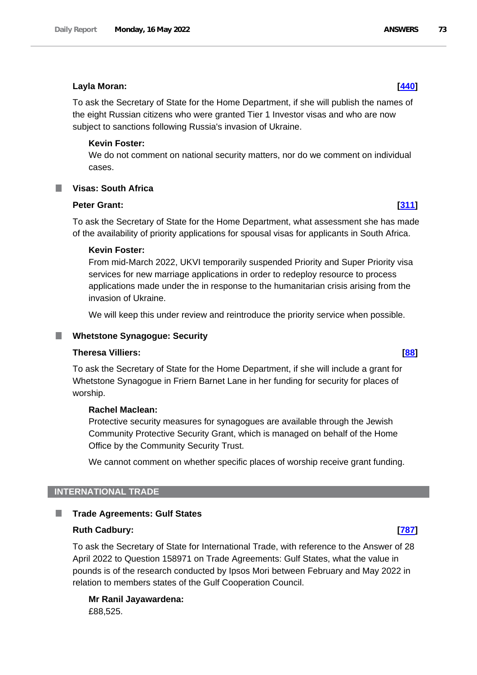### **Layla Moran: [\[440\]](http://www.parliament.uk/business/publications/written-questions-answers-statements/written-question/Commons/2022-05-10/440)**

To ask the Secretary of State for the Home Department, if she will publish the names of the eight Russian citizens who were granted Tier 1 Investor visas and who are now subject to sanctions following Russia's invasion of Ukraine.

# **Kevin Foster:**

We do not comment on national security matters, nor do we comment on individual cases.

# **Visas: South Africa**

#### **Peter Grant: [\[311\]](http://www.parliament.uk/business/publications/written-questions-answers-statements/written-question/Commons/2022-05-10/311)**

To ask the Secretary of State for the Home Department, what assessment she has made of the availability of priority applications for spousal visas for applicants in South Africa.

### **Kevin Foster:**

From mid-March 2022, UKVI temporarily suspended Priority and Super Priority visa services for new marriage applications in order to redeploy resource to process applications made under the in response to the humanitarian crisis arising from the invasion of Ukraine.

We will keep this under review and reintroduce the priority service when possible.

### **Whetstone Synagogue: Security**

### **Theresa Villiers: [\[88\]](http://www.parliament.uk/business/publications/written-questions-answers-statements/written-question/Commons/2022-05-10/88)**

To ask the Secretary of State for the Home Department, if she will include a grant for Whetstone Synagogue in Friern Barnet Lane in her funding for security for places of worship.

#### **Rachel Maclean:**

Protective security measures for synagogues are available through the Jewish Community Protective Security Grant, which is managed on behalf of the Home Office by the Community Security Trust.

We cannot comment on whether specific places of worship receive grant funding.

# **INTERNATIONAL TRADE**

#### . **Trade Agreements: Gulf States**

# **Ruth Cadbury: [\[787\]](http://www.parliament.uk/business/publications/written-questions-answers-statements/written-question/Commons/2022-05-11/787)**

To ask the Secretary of State for International Trade, with reference to the Answer of 28 April 2022 to Question 158971 on Trade Agreements: Gulf States, what the value in pounds is of the research conducted by Ipsos Mori between February and May 2022 in relation to members states of the Gulf Cooperation Council.

**Mr Ranil Jayawardena:** £88,525.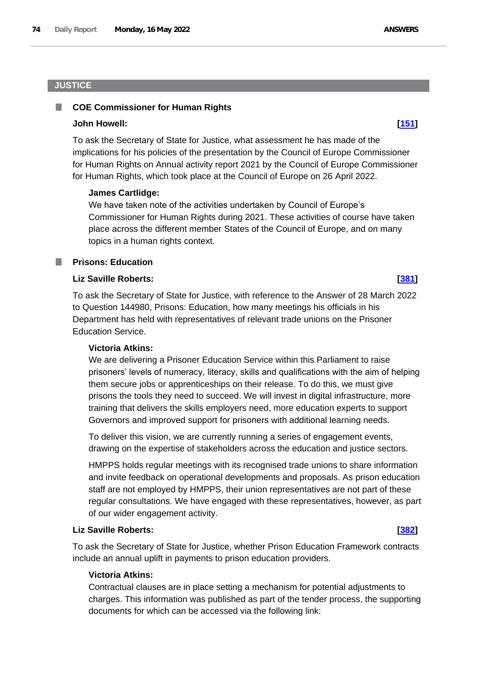# **JUSTICE**

#### **COE Commissioner for Human Rights** .

# **John Howell: [\[151\]](http://www.parliament.uk/business/publications/written-questions-answers-statements/written-question/Commons/2022-05-10/151)**

To ask the Secretary of State for Justice, what assessment he has made of the implications for his policies of the presentation by the Council of Europe Commissioner for Human Rights on Annual activity report 2021 by the Council of Europe Commissioner for Human Rights, which took place at the Council of Europe on 26 April 2022.

# **James Cartlidge:**

We have taken note of the activities undertaken by Council of Europe's Commissioner for Human Rights during 2021. These activities of course have taken place across the different member States of the Council of Europe, and on many topics in a human rights context.

# **Prisons: Education**

# **Liz Saville Roberts: [\[381\]](http://www.parliament.uk/business/publications/written-questions-answers-statements/written-question/Commons/2022-05-10/381)**

To ask the Secretary of State for Justice, with reference to the Answer of 28 March 2022 to Question 144980, Prisons: Education, how many meetings his officials in his Department has held with representatives of relevant trade unions on the Prisoner Education Service.

# **Victoria Atkins:**

We are delivering a Prisoner Education Service within this Parliament to raise prisoners' levels of numeracy, literacy, skills and qualifications with the aim of helping them secure jobs or apprenticeships on their release. To do this, we must give prisons the tools they need to succeed. We will invest in digital infrastructure, more training that delivers the skills employers need, more education experts to support Governors and improved support for prisoners with additional learning needs.

To deliver this vision, we are currently running a series of engagement events, drawing on the expertise of stakeholders across the education and justice sectors.

HMPPS holds regular meetings with its recognised trade unions to share information and invite feedback on operational developments and proposals. As prison education staff are not employed by HMPPS, their union representatives are not part of these regular consultations. We have engaged with these representatives, however, as part of our wider engagement activity.

# **Liz Saville Roberts: [\[382\]](http://www.parliament.uk/business/publications/written-questions-answers-statements/written-question/Commons/2022-05-10/382)**

To ask the Secretary of State for Justice, whether Prison Education Framework contracts include an annual uplift in payments to prison education providers.

# **Victoria Atkins:**

Contractual clauses are in place setting a mechanism for potential adjustments to charges. This information was published as part of the tender process, the supporting documents for which can be accessed via the following link: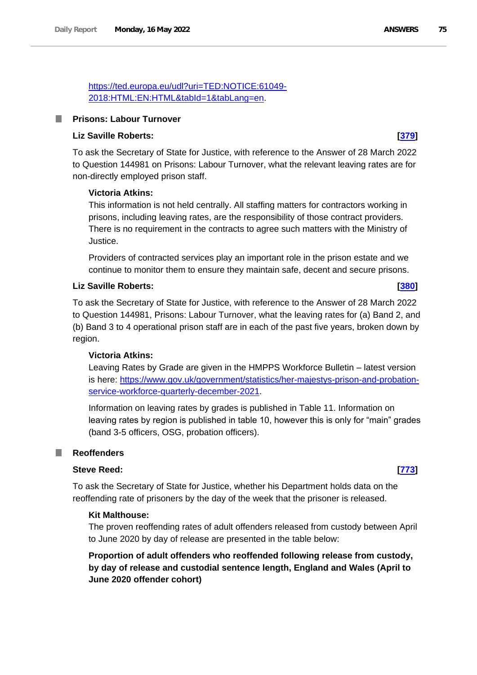https://ted.europa.eu/udl?uri=TED:NOTICE:61049- 2018:HTML:EN:HTML&tabId=1&tabLang=en.

# **Prisons: Labour Turnover**

# **Liz Saville Roberts: [\[379\]](http://www.parliament.uk/business/publications/written-questions-answers-statements/written-question/Commons/2022-05-10/379)**

To ask the Secretary of State for Justice, with reference to the Answer of 28 March 2022 to Question 144981 on Prisons: Labour Turnover, what the relevant leaving rates are for non-directly employed prison staff.

### **Victoria Atkins:**

This information is not held centrally. All staffing matters for contractors working in prisons, including leaving rates, are the responsibility of those contract providers. There is no requirement in the contracts to agree such matters with the Ministry of Justice.

Providers of contracted services play an important role in the prison estate and we continue to monitor them to ensure they maintain safe, decent and secure prisons.

### **Liz Saville Roberts: [\[380\]](http://www.parliament.uk/business/publications/written-questions-answers-statements/written-question/Commons/2022-05-10/380)**

To ask the Secretary of State for Justice, with reference to the Answer of 28 March 2022 to Question 144981, Prisons: Labour Turnover, what the leaving rates for (a) Band 2, and (b) Band 3 to 4 operational prison staff are in each of the past five years, broken down by region.

### **Victoria Atkins:**

Leaving Rates by Grade are given in the HMPPS Workforce Bulletin – latest version is here: https://www.gov.uk/government/statistics/her-majestys-prison-and-probationservice-workforce-quarterly-december-2021.

Information on leaving rates by grades is published in Table 11. Information on leaving rates by region is published in table 10, however this is only for "main" grades (band 3-5 officers, OSG, probation officers).

### **Reoffenders**

#### **Steve Reed: [\[773\]](http://www.parliament.uk/business/publications/written-questions-answers-statements/written-question/Commons/2022-05-11/773)**

To ask the Secretary of State for Justice, whether his Department holds data on the reoffending rate of prisoners by the day of the week that the prisoner is released.

#### **Kit Malthouse:**

The proven reoffending rates of adult offenders released from custody between April to June 2020 by day of release are presented in the table below:

**Proportion of adult offenders who reoffended following release from custody, by day of release and custodial sentence length, England and Wales (April to June 2020 offender cohort)**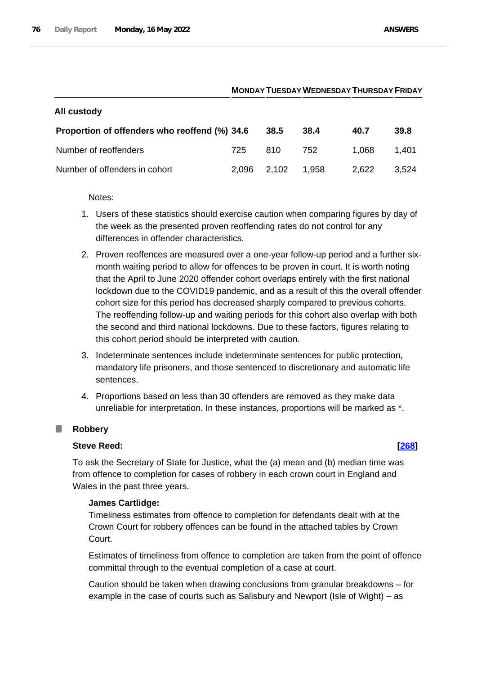# **MONDAY TUESDAYWEDNESDAY THURSDAY FRIDAY**

| Proportion of offenders who reoffend (%) 34.6 |             | 38.5 | 38.4  | 40.7  | 39.8  |
|-----------------------------------------------|-------------|------|-------|-------|-------|
|                                               |             |      |       |       |       |
| Number of reoffenders                         | 725         | 810  | 752   | 1.068 | 1,401 |
| Number of offenders in cohort                 | 2,096 2,102 |      | 1.958 | 2.622 | 3.524 |

Notes:

**All custody**

- 1. Users of these statistics should exercise caution when comparing figures by day of the week as the presented proven reoffending rates do not control for any differences in offender characteristics.
- 2. Proven reoffences are measured over a one-year follow-up period and a further sixmonth waiting period to allow for offences to be proven in court. It is worth noting that the April to June 2020 offender cohort overlaps entirely with the first national lockdown due to the COVID19 pandemic, and as a result of this the overall offender cohort size for this period has decreased sharply compared to previous cohorts. The reoffending follow-up and waiting periods for this cohort also overlap with both the second and third national lockdowns. Due to these factors, figures relating to this cohort period should be interpreted with caution.
- 3. Indeterminate sentences include indeterminate sentences for public protection, mandatory life prisoners, and those sentenced to discretionary and automatic life sentences.
- 4. Proportions based on less than 30 offenders are removed as they make data unreliable for interpretation. In these instances, proportions will be marked as \*.

# **Robbery**

# **Steve Reed: [\[268\]](http://www.parliament.uk/business/publications/written-questions-answers-statements/written-question/Commons/2022-05-10/268)**

To ask the Secretary of State for Justice, what the (a) mean and (b) median time was from offence to completion for cases of robbery in each crown court in England and Wales in the past three years.

# **James Cartlidge:**

Timeliness estimates from offence to completion for defendants dealt with at the Crown Court for robbery offences can be found in the attached tables by Crown Court.

Estimates of timeliness from offence to completion are taken from the point of offence committal through to the eventual completion of a case at court.

Caution should be taken when drawing conclusions from granular breakdowns – for example in the case of courts such as Salisbury and Newport (Isle of Wight) – as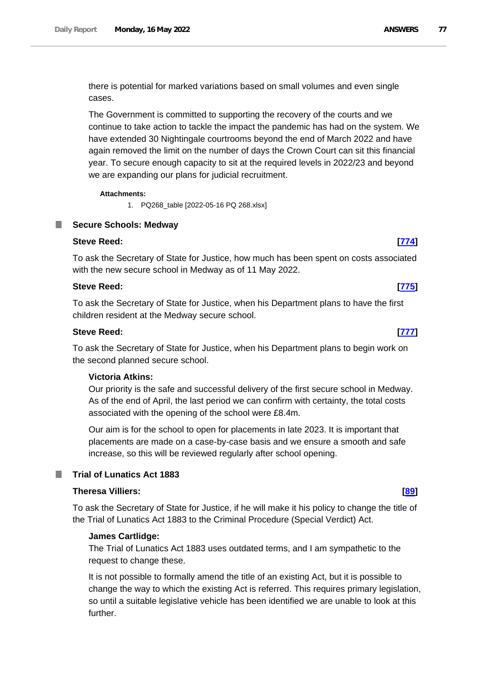there is potential for marked variations based on small volumes and even single cases.

The Government is committed to supporting the recovery of the courts and we continue to take action to tackle the impact the pandemic has had on the system. We have extended 30 Nightingale courtrooms beyond the end of March 2022 and have again removed the limit on the number of days the Crown Court can sit this financial year. To secure enough capacity to sit at the required levels in 2022/23 and beyond we are expanding our plans for judicial recruitment.

### **Attachments:**

1. PQ268\_table [2022-05-16 PQ 268.xlsx]

# **Secure Schools: Medway**

# **Steve Reed: [\[774\]](http://www.parliament.uk/business/publications/written-questions-answers-statements/written-question/Commons/2022-05-11/774)**

To ask the Secretary of State for Justice, how much has been spent on costs associated with the new secure school in Medway as of 11 May 2022.

# **Steve Reed: [\[775\]](http://www.parliament.uk/business/publications/written-questions-answers-statements/written-question/Commons/2022-05-11/775)**

To ask the Secretary of State for Justice, when his Department plans to have the first children resident at the Medway secure school.

# **Steve Reed: [\[777\]](http://www.parliament.uk/business/publications/written-questions-answers-statements/written-question/Commons/2022-05-11/777)**

To ask the Secretary of State for Justice, when his Department plans to begin work on the second planned secure school.

# **Victoria Atkins:**

Our priority is the safe and successful delivery of the first secure school in Medway. As of the end of April, the last period we can confirm with certainty, the total costs associated with the opening of the school were £8.4m.

Our aim is for the school to open for placements in late 2023. It is important that placements are made on a case-by-case basis and we ensure a smooth and safe increase, so this will be reviewed regularly after school opening.

# **Trial of Lunatics Act 1883**

# **Theresa Villiers: [\[89\]](http://www.parliament.uk/business/publications/written-questions-answers-statements/written-question/Commons/2022-05-10/89)**

To ask the Secretary of State for Justice, if he will make it his policy to change the title of the Trial of Lunatics Act 1883 to the Criminal Procedure (Special Verdict) Act.

# **James Cartlidge:**

The Trial of Lunatics Act 1883 uses outdated terms, and I am sympathetic to the request to change these.

It is not possible to formally amend the title of an existing Act, but it is possible to change the way to which the existing Act is referred. This requires primary legislation, so until a suitable legislative vehicle has been identified we are unable to look at this further.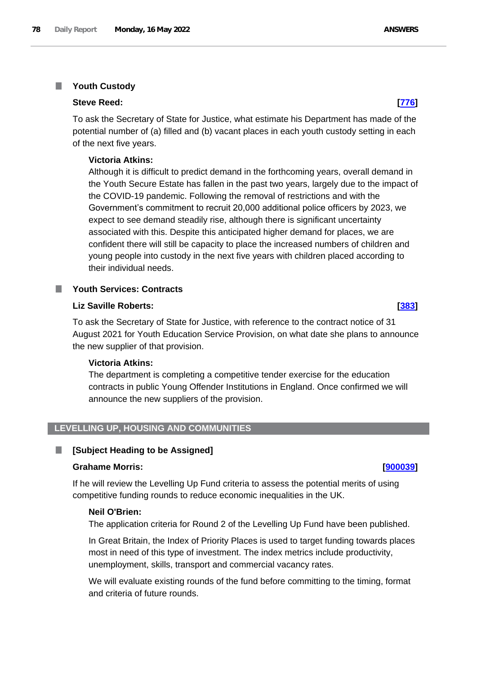#### **Youth Custody** T.

### **Steve Reed: [\[776\]](http://www.parliament.uk/business/publications/written-questions-answers-statements/written-question/Commons/2022-05-11/776)**

To ask the Secretary of State for Justice, what estimate his Department has made of the potential number of (a) filled and (b) vacant places in each youth custody setting in each of the next five years.

# **Victoria Atkins:**

Although it is difficult to predict demand in the forthcoming years, overall demand in the Youth Secure Estate has fallen in the past two years, largely due to the impact of the COVID-19 pandemic. Following the removal of restrictions and with the Government's commitment to recruit 20,000 additional police officers by 2023, we expect to see demand steadily rise, although there is significant uncertainty associated with this. Despite this anticipated higher demand for places, we are confident there will still be capacity to place the increased numbers of children and young people into custody in the next five years with children placed according to their individual needs.

#### **Youth Services: Contracts Tara**

# **Liz Saville Roberts: [\[383\]](http://www.parliament.uk/business/publications/written-questions-answers-statements/written-question/Commons/2022-05-10/383)**

To ask the Secretary of State for Justice, with reference to the contract notice of 31 August 2021 for Youth Education Service Provision, on what date she plans to announce the new supplier of that provision.

# **Victoria Atkins:**

The department is completing a competitive tender exercise for the education contracts in public Young Offender Institutions in England. Once confirmed we will announce the new suppliers of the provision.

# **LEVELLING UP, HOUSING AND COMMUNITIES**

# **[Subject Heading to be Assigned]**

### **Grahame Morris: [\[900039\]](http://www.parliament.uk/business/publications/written-questions-answers-statements/written-question/Commons/2022-05-16/900039)**

If he will review the Levelling Up Fund criteria to assess the potential merits of using competitive funding rounds to reduce economic inequalities in the UK.

# **Neil O'Brien:**

The application criteria for Round 2 of the Levelling Up Fund have been published.

In Great Britain, the Index of Priority Places is used to target funding towards places most in need of this type of investment. The index metrics include productivity, unemployment, skills, transport and commercial vacancy rates.

We will evaluate existing rounds of the fund before committing to the timing, format and criteria of future rounds.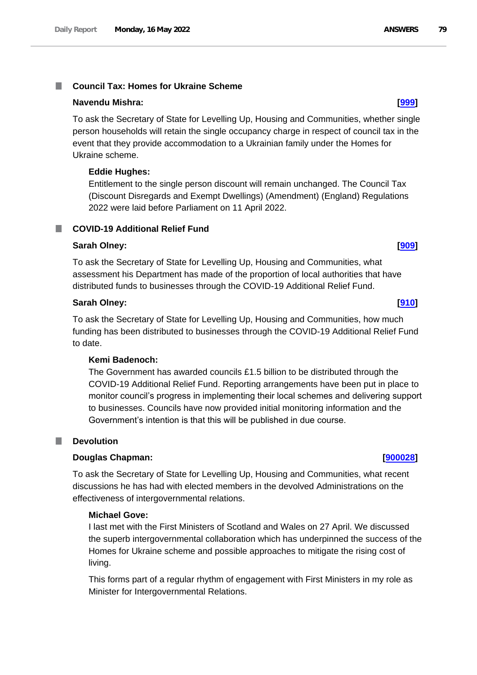# **Navendu Mishra: [\[999\]](http://www.parliament.uk/business/publications/written-questions-answers-statements/written-question/Commons/2022-05-11/999)**

To ask the Secretary of State for Levelling Up, Housing and Communities, whether single person households will retain the single occupancy charge in respect of council tax in the event that they provide accommodation to a Ukrainian family under the Homes for Ukraine scheme.

# **Eddie Hughes:**

Entitlement to the single person discount will remain unchanged. The Council Tax (Discount Disregards and Exempt Dwellings) (Amendment) (England) Regulations 2022 were laid before Parliament on 11 April 2022.

# **COVID-19 Additional Relief Fund**

# **Sarah Olney: [\[909\]](http://www.parliament.uk/business/publications/written-questions-answers-statements/written-question/Commons/2022-05-11/909)**

To ask the Secretary of State for Levelling Up, Housing and Communities, what assessment his Department has made of the proportion of local authorities that have distributed funds to businesses through the COVID-19 Additional Relief Fund.

# **Sarah Olney: [\[910\]](http://www.parliament.uk/business/publications/written-questions-answers-statements/written-question/Commons/2022-05-11/910)**

To ask the Secretary of State for Levelling Up, Housing and Communities, how much funding has been distributed to businesses through the COVID-19 Additional Relief Fund to date.

# **Kemi Badenoch:**

The Government has awarded councils £1.5 billion to be distributed through the COVID-19 Additional Relief Fund. Reporting arrangements have been put in place to monitor council's progress in implementing their local schemes and delivering support to businesses. Councils have now provided initial monitoring information and the Government's intention is that this will be published in due course.

# **Devolution**

# **Douglas Chapman: [\[900028\]](http://www.parliament.uk/business/publications/written-questions-answers-statements/written-question/Commons/2022-05-16/900028)**

To ask the Secretary of State for Levelling Up, Housing and Communities, what recent discussions he has had with elected members in the devolved Administrations on the effectiveness of intergovernmental relations.

# **Michael Gove:**

I last met with the First Ministers of Scotland and Wales on 27 April. We discussed the superb intergovernmental collaboration which has underpinned the success of the Homes for Ukraine scheme and possible approaches to mitigate the rising cost of living.

This forms part of a regular rhythm of engagement with First Ministers in my role as Minister for Intergovernmental Relations.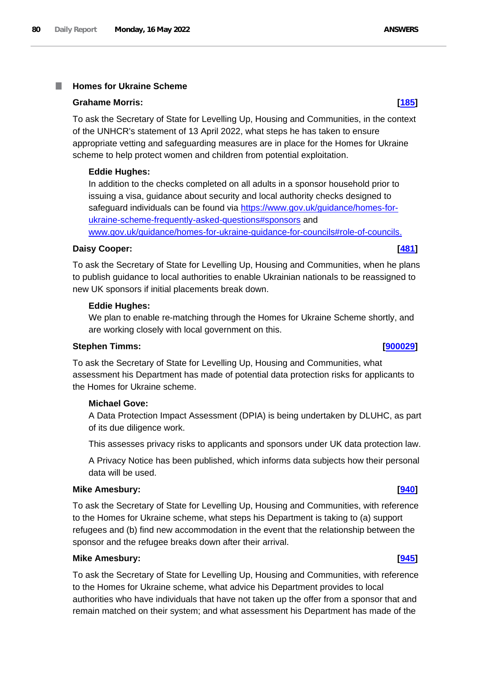#### **Homes for Ukraine Scheme** I.

#### **Grahame Morris: [\[185\]](http://www.parliament.uk/business/publications/written-questions-answers-statements/written-question/Commons/2022-05-10/185)**

To ask the Secretary of State for Levelling Up, Housing and Communities, in the context of the UNHCR's statement of 13 April 2022, what steps he has taken to ensure appropriate vetting and safeguarding measures are in place for the Homes for Ukraine scheme to help protect women and children from potential exploitation.

### **Eddie Hughes:**

In addition to the checks completed on all adults in a sponsor household prior to issuing a visa, guidance about security and local authority checks designed to safeguard individuals can be found via https://www.gov.uk/guidance/homes-forukraine-scheme-frequently-asked-questions#sponsors and www.gov.uk/guidance/homes-for-ukraine-guidance-for-councils#role-of-councils.

### **Daisy Cooper: [\[481\]](http://www.parliament.uk/business/publications/written-questions-answers-statements/written-question/Commons/2022-05-10/481)**

To ask the Secretary of State for Levelling Up, Housing and Communities, when he plans to publish guidance to local authorities to enable Ukrainian nationals to be reassigned to new UK sponsors if initial placements break down.

#### **Eddie Hughes:**

We plan to enable re-matching through the Homes for Ukraine Scheme shortly, and are working closely with local government on this.

### **Stephen Timms: [\[900029\]](http://www.parliament.uk/business/publications/written-questions-answers-statements/written-question/Commons/2022-05-16/900029)**

To ask the Secretary of State for Levelling Up, Housing and Communities, what assessment his Department has made of potential data protection risks for applicants to the Homes for Ukraine scheme.

## **Michael Gove:**

A Data Protection Impact Assessment (DPIA) is being undertaken by DLUHC, as part of its due diligence work.

This assesses privacy risks to applicants and sponsors under UK data protection law.

A Privacy Notice has been published, which informs data subjects how their personal data will be used.

### **Mike Amesbury: [\[940\]](http://www.parliament.uk/business/publications/written-questions-answers-statements/written-question/Commons/2022-05-11/940)**

To ask the Secretary of State for Levelling Up, Housing and Communities, with reference to the Homes for Ukraine scheme, what steps his Department is taking to (a) support refugees and (b) find new accommodation in the event that the relationship between the sponsor and the refugee breaks down after their arrival.

#### **Mike Amesbury: [\[945\]](http://www.parliament.uk/business/publications/written-questions-answers-statements/written-question/Commons/2022-05-11/945)**

To ask the Secretary of State for Levelling Up, Housing and Communities, with reference to the Homes for Ukraine scheme, what advice his Department provides to local authorities who have individuals that have not taken up the offer from a sponsor that and remain matched on their system; and what assessment his Department has made of the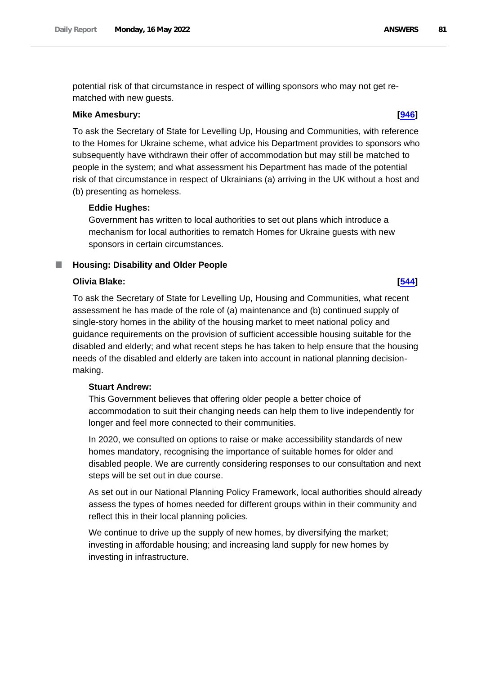potential risk of that circumstance in respect of willing sponsors who may not get rematched with new guests.

### **Mike Amesbury: [\[946\]](http://www.parliament.uk/business/publications/written-questions-answers-statements/written-question/Commons/2022-05-11/946)**

To ask the Secretary of State for Levelling Up, Housing and Communities, with reference to the Homes for Ukraine scheme, what advice his Department provides to sponsors who subsequently have withdrawn their offer of accommodation but may still be matched to people in the system; and what assessment his Department has made of the potential risk of that circumstance in respect of Ukrainians (a) arriving in the UK without a host and (b) presenting as homeless.

### **Eddie Hughes:**

Government has written to local authorities to set out plans which introduce a mechanism for local authorities to rematch Homes for Ukraine guests with new sponsors in certain circumstances.

# **Housing: Disability and Older People**

### **Olivia Blake: [\[544\]](http://www.parliament.uk/business/publications/written-questions-answers-statements/written-question/Commons/2022-05-10/544)**

To ask the Secretary of State for Levelling Up, Housing and Communities, what recent assessment he has made of the role of (a) maintenance and (b) continued supply of single-story homes in the ability of the housing market to meet national policy and guidance requirements on the provision of sufficient accessible housing suitable for the disabled and elderly; and what recent steps he has taken to help ensure that the housing needs of the disabled and elderly are taken into account in national planning decisionmaking.

#### **Stuart Andrew:**

This Government believes that offering older people a better choice of accommodation to suit their changing needs can help them to live independently for longer and feel more connected to their communities.

In 2020, we consulted on options to raise or make accessibility standards of new homes mandatory, recognising the importance of suitable homes for older and disabled people. We are currently considering responses to our consultation and next steps will be set out in due course.

As set out in our National Planning Policy Framework, local authorities should already assess the types of homes needed for different groups within in their community and reflect this in their local planning policies.

We continue to drive up the supply of new homes, by diversifying the market; investing in affordable housing; and increasing land supply for new homes by investing in infrastructure.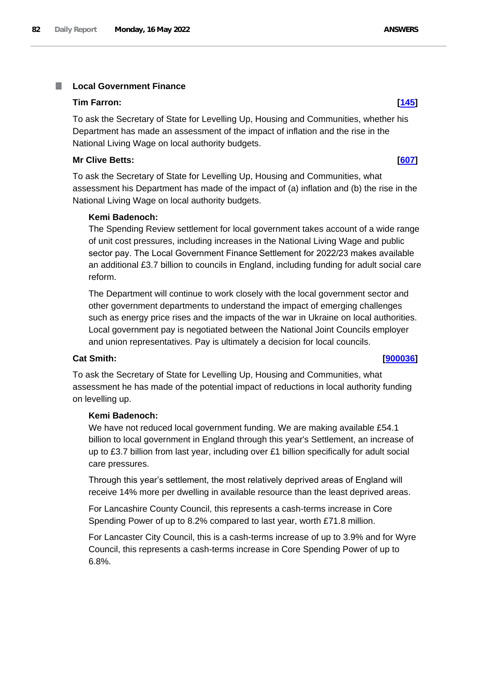#### **Local Government Finance I**

### **Tim Farron: [\[145\]](http://www.parliament.uk/business/publications/written-questions-answers-statements/written-question/Commons/2022-05-10/145)**

To ask the Secretary of State for Levelling Up, Housing and Communities, whether his Department has made an assessment of the impact of inflation and the rise in the National Living Wage on local authority budgets.

# **Mr Clive Betts: [\[607\]](http://www.parliament.uk/business/publications/written-questions-answers-statements/written-question/Commons/2022-05-11/607)**

To ask the Secretary of State for Levelling Up, Housing and Communities, what assessment his Department has made of the impact of (a) inflation and (b) the rise in the National Living Wage on local authority budgets.

# **Kemi Badenoch:**

The Spending Review settlement for local government takes account of a wide range of unit cost pressures, including increases in the National Living Wage and public sector pay. The Local Government Finance Settlement for 2022/23 makes available an additional £3.7 billion to councils in England, including funding for adult social care reform.

The Department will continue to work closely with the local government sector and other government departments to understand the impact of emerging challenges such as energy price rises and the impacts of the war in Ukraine on local authorities. Local government pay is negotiated between the National Joint Councils employer and union representatives. Pay is ultimately a decision for local councils.

# **Cat Smith: [\[900036\]](http://www.parliament.uk/business/publications/written-questions-answers-statements/written-question/Commons/2022-05-16/900036)**

To ask the Secretary of State for Levelling Up, Housing and Communities, what assessment he has made of the potential impact of reductions in local authority funding on levelling up.

# **Kemi Badenoch:**

We have not reduced local government funding. We are making available £54.1 billion to local government in England through this year's Settlement, an increase of up to £3.7 billion from last year, including over £1 billion specifically for adult social care pressures.

Through this year's settlement, the most relatively deprived areas of England will receive 14% more per dwelling in available resource than the least deprived areas.

For Lancashire County Council, this represents a cash-terms increase in Core Spending Power of up to 8.2% compared to last year, worth £71.8 million.

For Lancaster City Council, this is a cash-terms increase of up to 3.9% and for Wyre Council, this represents a cash-terms increase in Core Spending Power of up to 6.8%.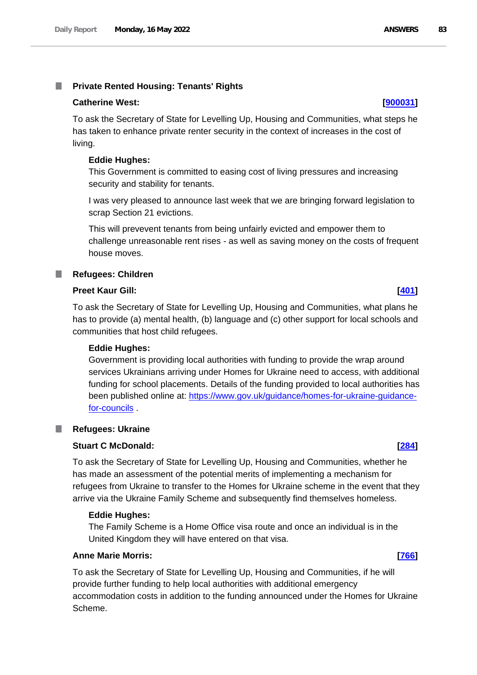# **Private Rented Housing: Tenants' Rights**

#### **Catherine West: [\[900031\]](http://www.parliament.uk/business/publications/written-questions-answers-statements/written-question/Commons/2022-05-16/900031)**

To ask the Secretary of State for Levelling Up, Housing and Communities, what steps he has taken to enhance private renter security in the context of increases in the cost of living.

#### **Eddie Hughes:**

This Government is committed to easing cost of living pressures and increasing security and stability for tenants.

I was very pleased to announce last week that we are bringing forward legislation to scrap Section 21 evictions.

This will prevevent tenants from being unfairly evicted and empower them to challenge unreasonable rent rises - as well as saving money on the costs of frequent house moves.

#### **Refugees: Children**

## **Preet Kaur Gill: [\[401\]](http://www.parliament.uk/business/publications/written-questions-answers-statements/written-question/Commons/2022-05-10/401)**

To ask the Secretary of State for Levelling Up, Housing and Communities, what plans he has to provide (a) mental health, (b) language and (c) other support for local schools and communities that host child refugees.

### **Eddie Hughes:**

Government is providing local authorities with funding to provide the wrap around services Ukrainians arriving under Homes for Ukraine need to access, with additional funding for school placements. Details of the funding provided to local authorities has been published online at: https://www.gov.uk/guidance/homes-for-ukraine-guidancefor-councils .

#### **Refugees: Ukraine** ш

# **Stuart C McDonald: [\[284\]](http://www.parliament.uk/business/publications/written-questions-answers-statements/written-question/Commons/2022-05-10/284)**

To ask the Secretary of State for Levelling Up, Housing and Communities, whether he has made an assessment of the potential merits of implementing a mechanism for refugees from Ukraine to transfer to the Homes for Ukraine scheme in the event that they arrive via the Ukraine Family Scheme and subsequently find themselves homeless.

#### **Eddie Hughes:**

The Family Scheme is a Home Office visa route and once an individual is in the United Kingdom they will have entered on that visa.

#### **Anne Marie Morris: [\[766\]](http://www.parliament.uk/business/publications/written-questions-answers-statements/written-question/Commons/2022-05-11/766)**

To ask the Secretary of State for Levelling Up, Housing and Communities, if he will provide further funding to help local authorities with additional emergency accommodation costs in addition to the funding announced under the Homes for Ukraine Scheme.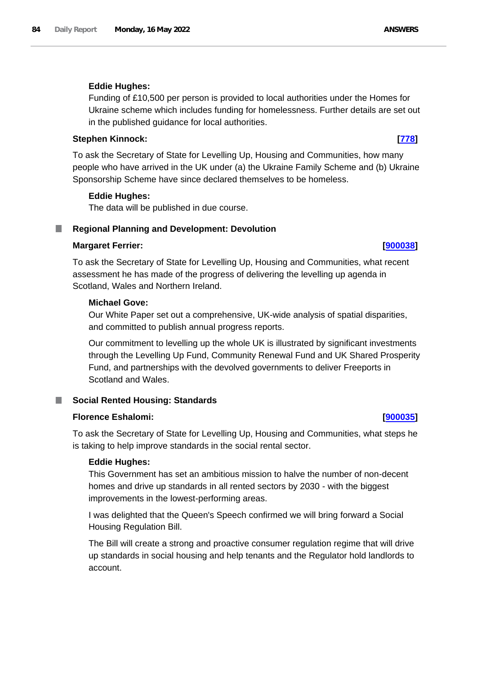# **Eddie Hughes:**

Funding of £10,500 per person is provided to local authorities under the Homes for Ukraine scheme which includes funding for homelessness. Further details are set out in the published guidance for local authorities.

# **Stephen Kinnock: [\[778\]](http://www.parliament.uk/business/publications/written-questions-answers-statements/written-question/Commons/2022-05-11/778)**

To ask the Secretary of State for Levelling Up, Housing and Communities, how many people who have arrived in the UK under (a) the Ukraine Family Scheme and (b) Ukraine Sponsorship Scheme have since declared themselves to be homeless.

# **Eddie Hughes:**

The data will be published in due course.

# **Regional Planning and Development: Devolution**

# **Margaret Ferrier: [\[900038\]](http://www.parliament.uk/business/publications/written-questions-answers-statements/written-question/Commons/2022-05-16/900038)**

To ask the Secretary of State for Levelling Up, Housing and Communities, what recent assessment he has made of the progress of delivering the levelling up agenda in Scotland, Wales and Northern Ireland.

# **Michael Gove:**

Our White Paper set out a comprehensive, UK-wide analysis of spatial disparities, and committed to publish annual progress reports.

Our commitment to levelling up the whole UK is illustrated by significant investments through the Levelling Up Fund, Community Renewal Fund and UK Shared Prosperity Fund, and partnerships with the devolved governments to deliver Freeports in Scotland and Wales.

# **Social Rented Housing: Standards**

# **Florence Eshalomi: [\[900035\]](http://www.parliament.uk/business/publications/written-questions-answers-statements/written-question/Commons/2022-05-16/900035)**

To ask the Secretary of State for Levelling Up, Housing and Communities, what steps he is taking to help improve standards in the social rental sector.

# **Eddie Hughes:**

This Government has set an ambitious mission to halve the number of non-decent homes and drive up standards in all rented sectors by 2030 - with the biggest improvements in the lowest-performing areas.

I was delighted that the Queen's Speech confirmed we will bring forward a Social Housing Regulation Bill.

The Bill will create a strong and proactive consumer regulation regime that will drive up standards in social housing and help tenants and the Regulator hold landlords to account.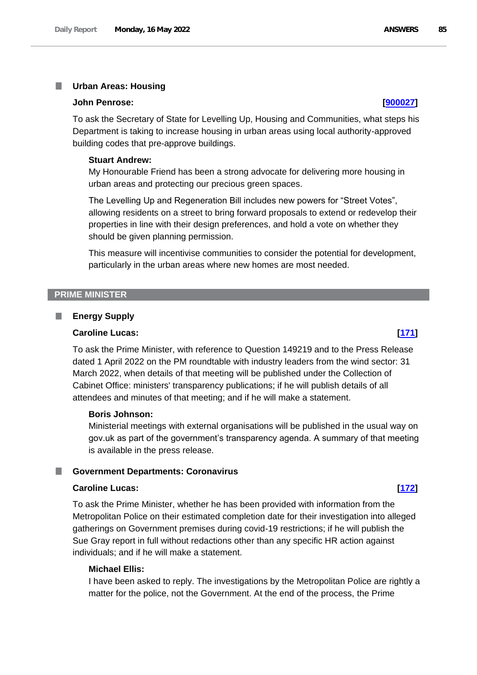#### T. **Urban Areas: Housing**

#### **John Penrose: [\[900027\]](http://www.parliament.uk/business/publications/written-questions-answers-statements/written-question/Commons/2022-05-16/900027)**

To ask the Secretary of State for Levelling Up, Housing and Communities, what steps his Department is taking to increase housing in urban areas using local authority-approved building codes that pre-approve buildings.

#### **Stuart Andrew:**

My Honourable Friend has been a strong advocate for delivering more housing in urban areas and protecting our precious green spaces.

The Levelling Up and Regeneration Bill includes new powers for "Street Votes", allowing residents on a street to bring forward proposals to extend or redevelop their properties in line with their design preferences, and hold a vote on whether they should be given planning permission.

This measure will incentivise communities to consider the potential for development, particularly in the urban areas where new homes are most needed.

# **PRIME MINISTER**

#### **Energy Supply** ш

#### **Caroline Lucas: [\[171\]](http://www.parliament.uk/business/publications/written-questions-answers-statements/written-question/Commons/2022-05-10/171)**

To ask the Prime Minister, with reference to Question 149219 and to the Press Release dated 1 April 2022 on the PM roundtable with industry leaders from the wind sector: 31 March 2022, when details of that meeting will be published under the Collection of Cabinet Office: ministers' transparency publications; if he will publish details of all attendees and minutes of that meeting; and if he will make a statement.

#### **Boris Johnson:**

Ministerial meetings with external organisations will be published in the usual way on gov.uk as part of the government's transparency agenda. A summary of that meeting is available in the press release.

#### **Government Departments: Coronavirus** a a s

#### **Caroline Lucas: [\[172\]](http://www.parliament.uk/business/publications/written-questions-answers-statements/written-question/Commons/2022-05-10/172)**

To ask the Prime Minister, whether he has been provided with information from the Metropolitan Police on their estimated completion date for their investigation into alleged gatherings on Government premises during covid-19 restrictions; if he will publish the Sue Gray report in full without redactions other than any specific HR action against individuals; and if he will make a statement.

#### **Michael Ellis:**

I have been asked to reply. The investigations by the Metropolitan Police are rightly a matter for the police, not the Government. At the end of the process, the Prime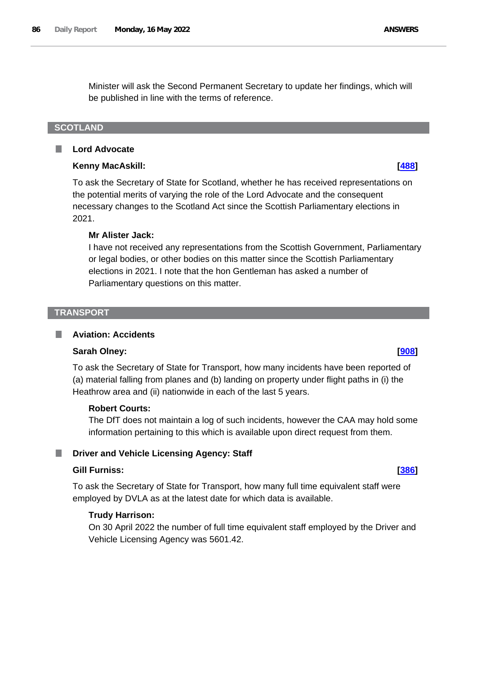Minister will ask the Second Permanent Secretary to update her findings, which will be published in line with the terms of reference.

# **SCOTLAND**

#### П **Lord Advocate**

# **Kenny MacAskill: [\[488\]](http://www.parliament.uk/business/publications/written-questions-answers-statements/written-question/Commons/2022-05-10/488)**

To ask the Secretary of State for Scotland, whether he has received representations on the potential merits of varying the role of the Lord Advocate and the consequent necessary changes to the Scotland Act since the Scottish Parliamentary elections in 2021.

# **Mr Alister Jack:**

I have not received any representations from the Scottish Government, Parliamentary or legal bodies, or other bodies on this matter since the Scottish Parliamentary elections in 2021. I note that the hon Gentleman has asked a number of Parliamentary questions on this matter.

## **TRANSPORT**

L.

### **Aviation: Accidents**

# **Sarah Olney: [\[908\]](http://www.parliament.uk/business/publications/written-questions-answers-statements/written-question/Commons/2022-05-11/908)**

To ask the Secretary of State for Transport, how many incidents have been reported of (a) material falling from planes and (b) landing on property under flight paths in (i) the Heathrow area and (ii) nationwide in each of the last 5 years.

# **Robert Courts:**

The DfT does not maintain a log of such incidents, however the CAA may hold some information pertaining to this which is available upon direct request from them.

#### **Driver and Vehicle Licensing Agency: Staff** ш

# **Gill Furniss: [\[386\]](http://www.parliament.uk/business/publications/written-questions-answers-statements/written-question/Commons/2022-05-10/386)**

To ask the Secretary of State for Transport, how many full time equivalent staff were employed by DVLA as at the latest date for which data is available.

# **Trudy Harrison:**

On 30 April 2022 the number of full time equivalent staff employed by the Driver and Vehicle Licensing Agency was 5601.42.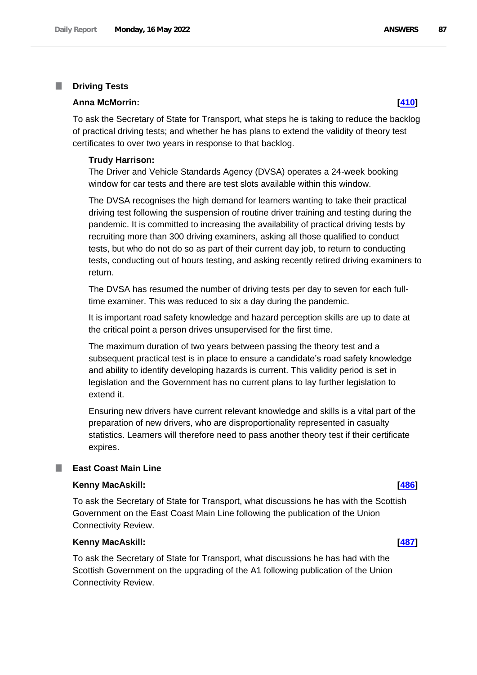#### T. **Driving Tests**

#### **Anna McMorrin: [\[410\]](http://www.parliament.uk/business/publications/written-questions-answers-statements/written-question/Commons/2022-05-10/410)**

To ask the Secretary of State for Transport, what steps he is taking to reduce the backlog of practical driving tests; and whether he has plans to extend the validity of theory test certificates to over two years in response to that backlog.

#### **Trudy Harrison:**

The Driver and Vehicle Standards Agency (DVSA) operates a 24-week booking window for car tests and there are test slots available within this window.

The DVSA recognises the high demand for learners wanting to take their practical driving test following the suspension of routine driver training and testing during the pandemic. It is committed to increasing the availability of practical driving tests by recruiting more than 300 driving examiners, asking all those qualified to conduct tests, but who do not do so as part of their current day job, to return to conducting tests, conducting out of hours testing, and asking recently retired driving examiners to return.

The DVSA has resumed the number of driving tests per day to seven for each fulltime examiner. This was reduced to six a day during the pandemic.

It is important road safety knowledge and hazard perception skills are up to date at the critical point a person drives unsupervised for the first time.

The maximum duration of two years between passing the theory test and a subsequent practical test is in place to ensure a candidate's road safety knowledge and ability to identify developing hazards is current. This validity period is set in legislation and the Government has no current plans to lay further legislation to extend it.

Ensuring new drivers have current relevant knowledge and skills is a vital part of the preparation of new drivers, who are disproportionality represented in casualty statistics. Learners will therefore need to pass another theory test if their certificate expires.

# **East Coast Main Line**

#### **Kenny MacAskill: [\[486\]](http://www.parliament.uk/business/publications/written-questions-answers-statements/written-question/Commons/2022-05-10/486)**

To ask the Secretary of State for Transport, what discussions he has with the Scottish Government on the East Coast Main Line following the publication of the Union Connectivity Review.

### **Kenny MacAskill: [\[487\]](http://www.parliament.uk/business/publications/written-questions-answers-statements/written-question/Commons/2022-05-10/487)**

To ask the Secretary of State for Transport, what discussions he has had with the Scottish Government on the upgrading of the A1 following publication of the Union Connectivity Review.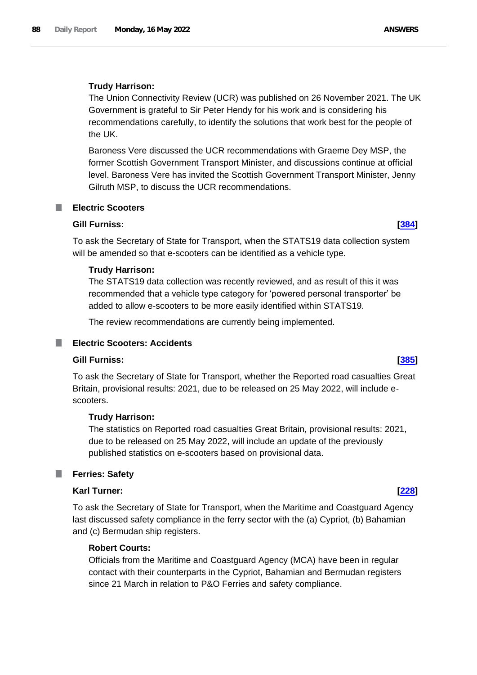# **Trudy Harrison:**

The Union Connectivity Review (UCR) was published on 26 November 2021. The UK Government is grateful to Sir Peter Hendy for his work and is considering his recommendations carefully, to identify the solutions that work best for the people of the UK.

Baroness Vere discussed the UCR recommendations with Graeme Dey MSP, the former Scottish Government Transport Minister, and discussions continue at official level. Baroness Vere has invited the Scottish Government Transport Minister, Jenny Gilruth MSP, to discuss the UCR recommendations.

# **Electric Scooters**

# **Gill Furniss: [\[384\]](http://www.parliament.uk/business/publications/written-questions-answers-statements/written-question/Commons/2022-05-10/384)**

To ask the Secretary of State for Transport, when the STATS19 data collection system will be amended so that e-scooters can be identified as a vehicle type.

# **Trudy Harrison:**

The STATS19 data collection was recently reviewed, and as result of this it was recommended that a vehicle type category for 'powered personal transporter' be added to allow e-scooters to be more easily identified within STATS19.

The review recommendations are currently being implemented.

# **Electric Scooters: Accidents**

# **Gill Furniss: [\[385\]](http://www.parliament.uk/business/publications/written-questions-answers-statements/written-question/Commons/2022-05-10/385)**

To ask the Secretary of State for Transport, whether the Reported road casualties Great Britain, provisional results: 2021, due to be released on 25 May 2022, will include escooters.

# **Trudy Harrison:**

The statistics on Reported road casualties Great Britain, provisional results: 2021, due to be released on 25 May 2022, will include an update of the previously published statistics on e-scooters based on provisional data.

# **Ferries: Safety**

# **Karl Turner: [\[228\]](http://www.parliament.uk/business/publications/written-questions-answers-statements/written-question/Commons/2022-05-10/228)**

To ask the Secretary of State for Transport, when the Maritime and Coastguard Agency last discussed safety compliance in the ferry sector with the (a) Cypriot, (b) Bahamian and (c) Bermudan ship registers.

# **Robert Courts:**

Officials from the Maritime and Coastguard Agency (MCA) have been in regular contact with their counterparts in the Cypriot, Bahamian and Bermudan registers since 21 March in relation to P&O Ferries and safety compliance.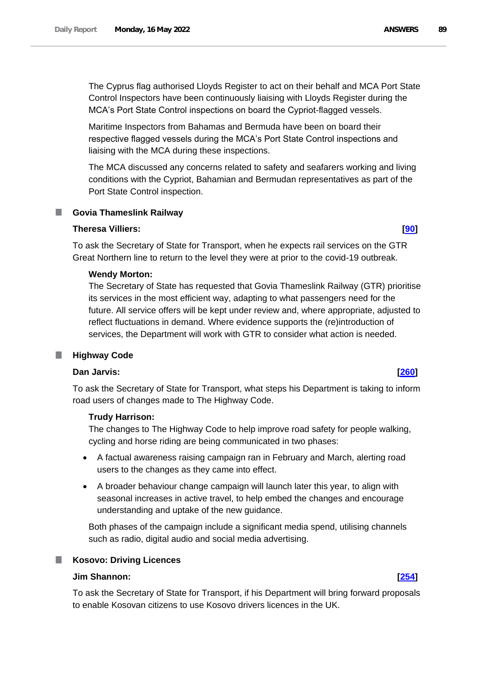The Cyprus flag authorised Lloyds Register to act on their behalf and MCA Port State Control Inspectors have been continuously liaising with Lloyds Register during the MCA's Port State Control inspections on board the Cypriot-flagged vessels.

Maritime Inspectors from Bahamas and Bermuda have been on board their respective flagged vessels during the MCA's Port State Control inspections and liaising with the MCA during these inspections.

The MCA discussed any concerns related to safety and seafarers working and living conditions with the Cypriot, Bahamian and Bermudan representatives as part of the Port State Control inspection.

# **Govia Thameslink Railway**

# **Theresa Villiers: [\[90\]](http://www.parliament.uk/business/publications/written-questions-answers-statements/written-question/Commons/2022-05-10/90)**

To ask the Secretary of State for Transport, when he expects rail services on the GTR Great Northern line to return to the level they were at prior to the covid-19 outbreak.

# **Wendy Morton:**

The Secretary of State has requested that Govia Thameslink Railway (GTR) prioritise its services in the most efficient way, adapting to what passengers need for the future. All service offers will be kept under review and, where appropriate, adjusted to reflect fluctuations in demand. Where evidence supports the (re)introduction of services, the Department will work with GTR to consider what action is needed.

# **Highway Code**

# **Dan Jarvis: [\[260\]](http://www.parliament.uk/business/publications/written-questions-answers-statements/written-question/Commons/2022-05-10/260)**

To ask the Secretary of State for Transport, what steps his Department is taking to inform road users of changes made to The Highway Code.

# **Trudy Harrison:**

The changes to The Highway Code to help improve road safety for people walking, cycling and horse riding are being communicated in two phases:

- A factual awareness raising campaign ran in February and March, alerting road users to the changes as they came into effect.
- A broader behaviour change campaign will launch later this year, to align with seasonal increases in active travel, to help embed the changes and encourage understanding and uptake of the new guidance.

Both phases of the campaign include a significant media spend, utilising channels such as radio, digital audio and social media advertising.

# **Kosovo: Driving Licences**

# **Jim Shannon: [\[254\]](http://www.parliament.uk/business/publications/written-questions-answers-statements/written-question/Commons/2022-05-10/254)**

To ask the Secretary of State for Transport, if his Department will bring forward proposals to enable Kosovan citizens to use Kosovo drivers licences in the UK.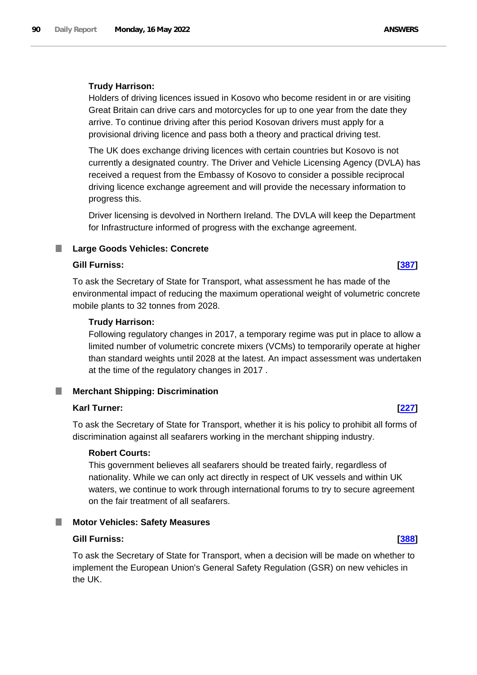### **Trudy Harrison:**

Holders of driving licences issued in Kosovo who become resident in or are visiting Great Britain can drive cars and motorcycles for up to one year from the date they arrive. To continue driving after this period Kosovan drivers must apply for a provisional driving licence and pass both a theory and practical driving test.

The UK does exchange driving licences with certain countries but Kosovo is not currently a designated country. The Driver and Vehicle Licensing Agency (DVLA) has received a request from the Embassy of Kosovo to consider a possible reciprocal driving licence exchange agreement and will provide the necessary information to progress this.

Driver licensing is devolved in Northern Ireland. The DVLA will keep the Department for Infrastructure informed of progress with the exchange agreement.

#### n. **Large Goods Vehicles: Concrete**

## **Gill Furniss: [\[387\]](http://www.parliament.uk/business/publications/written-questions-answers-statements/written-question/Commons/2022-05-10/387)**

To ask the Secretary of State for Transport, what assessment he has made of the environmental impact of reducing the maximum operational weight of volumetric concrete mobile plants to 32 tonnes from 2028.

### **Trudy Harrison:**

Following regulatory changes in 2017, a temporary regime was put in place to allow a limited number of volumetric concrete mixers (VCMs) to temporarily operate at higher than standard weights until 2028 at the latest. An impact assessment was undertaken at the time of the regulatory changes in 2017 .

# **Merchant Shipping: Discrimination**

#### **Karl Turner: [\[227\]](http://www.parliament.uk/business/publications/written-questions-answers-statements/written-question/Commons/2022-05-10/227)**

To ask the Secretary of State for Transport, whether it is his policy to prohibit all forms of discrimination against all seafarers working in the merchant shipping industry.

# **Robert Courts:**

This government believes all seafarers should be treated fairly, regardless of nationality. While we can only act directly in respect of UK vessels and within UK waters, we continue to work through international forums to try to secure agreement on the fair treatment of all seafarers.

#### **Motor Vehicles: Safety Measures** ш

# **Gill Furniss: [\[388\]](http://www.parliament.uk/business/publications/written-questions-answers-statements/written-question/Commons/2022-05-10/388)**

To ask the Secretary of State for Transport, when a decision will be made on whether to implement the European Union's General Safety Regulation (GSR) on new vehicles in the UK.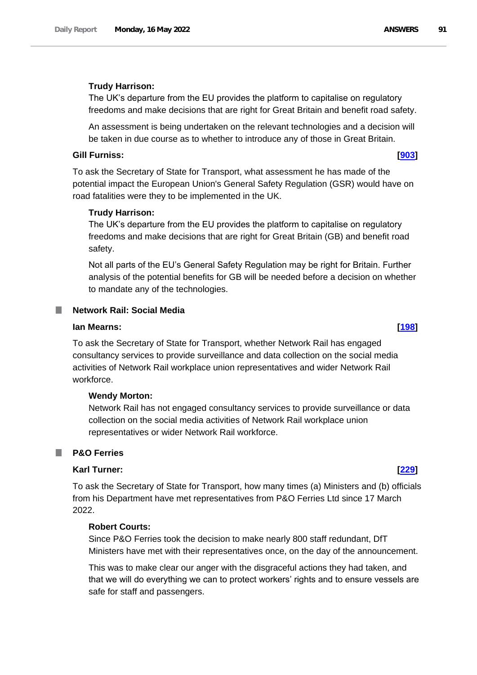## **Trudy Harrison:**

The UK's departure from the EU provides the platform to capitalise on regulatory freedoms and make decisions that are right for Great Britain and benefit road safety.

An assessment is being undertaken on the relevant technologies and a decision will be taken in due course as to whether to introduce any of those in Great Britain.

#### **Gill Furniss: [\[903\]](http://www.parliament.uk/business/publications/written-questions-answers-statements/written-question/Commons/2022-05-11/903)**

To ask the Secretary of State for Transport, what assessment he has made of the potential impact the European Union's General Safety Regulation (GSR) would have on road fatalities were they to be implemented in the UK.

#### **Trudy Harrison:**

The UK's departure from the EU provides the platform to capitalise on regulatory freedoms and make decisions that are right for Great Britain (GB) and benefit road safety.

Not all parts of the EU's General Safety Regulation may be right for Britain. Further analysis of the potential benefits for GB will be needed before a decision on whether to mandate any of the technologies.

#### **Network Rail: Social Media**

### **Ian Mearns: [\[198\]](http://www.parliament.uk/business/publications/written-questions-answers-statements/written-question/Commons/2022-05-10/198)**

To ask the Secretary of State for Transport, whether Network Rail has engaged consultancy services to provide surveillance and data collection on the social media activities of Network Rail workplace union representatives and wider Network Rail workforce.

#### **Wendy Morton:**

Network Rail has not engaged consultancy services to provide surveillance or data collection on the social media activities of Network Rail workplace union representatives or wider Network Rail workforce.

#### **P&O Ferries**

#### **Karl Turner: [\[229\]](http://www.parliament.uk/business/publications/written-questions-answers-statements/written-question/Commons/2022-05-10/229)**

To ask the Secretary of State for Transport, how many times (a) Ministers and (b) officials from his Department have met representatives from P&O Ferries Ltd since 17 March 2022.

#### **Robert Courts:**

Since P&O Ferries took the decision to make nearly 800 staff redundant, DfT Ministers have met with their representatives once, on the day of the announcement.

This was to make clear our anger with the disgraceful actions they had taken, and that we will do everything we can to protect workers' rights and to ensure vessels are safe for staff and passengers.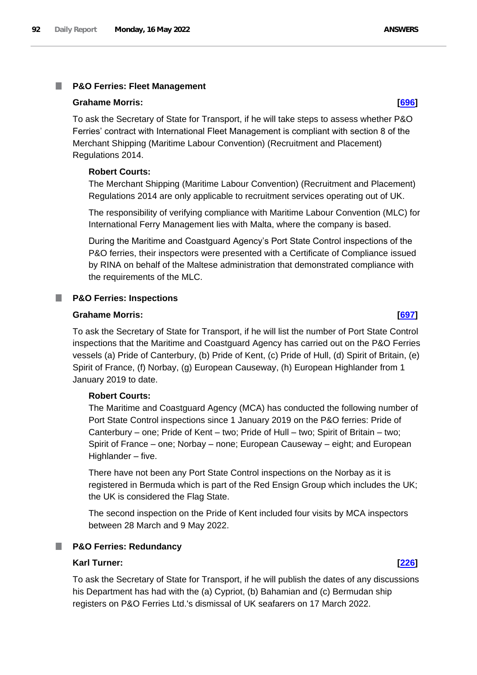### **Grahame Morris: [\[696\]](http://www.parliament.uk/business/publications/written-questions-answers-statements/written-question/Commons/2022-05-11/696)**

To ask the Secretary of State for Transport, if he will take steps to assess whether P&O Ferries' contract with International Fleet Management is compliant with section 8 of the Merchant Shipping (Maritime Labour Convention) (Recruitment and Placement) Regulations 2014.

# **Robert Courts:**

The Merchant Shipping (Maritime Labour Convention) (Recruitment and Placement) Regulations 2014 are only applicable to recruitment services operating out of UK.

The responsibility of verifying compliance with Maritime Labour Convention (MLC) for International Ferry Management lies with Malta, where the company is based.

During the Maritime and Coastguard Agency's Port State Control inspections of the P&O ferries, their inspectors were presented with a Certificate of Compliance issued by RINA on behalf of the Maltese administration that demonstrated compliance with the requirements of the MLC.

# **P&O Ferries: Inspections**

### **Grahame Morris: [\[697\]](http://www.parliament.uk/business/publications/written-questions-answers-statements/written-question/Commons/2022-05-11/697)**

To ask the Secretary of State for Transport, if he will list the number of Port State Control inspections that the Maritime and Coastguard Agency has carried out on the P&O Ferries vessels (a) Pride of Canterbury, (b) Pride of Kent, (c) Pride of Hull, (d) Spirit of Britain, (e) Spirit of France, (f) Norbay, (g) European Causeway, (h) European Highlander from 1 January 2019 to date.

# **Robert Courts:**

The Maritime and Coastguard Agency (MCA) has conducted the following number of Port State Control inspections since 1 January 2019 on the P&O ferries: Pride of Canterbury – one; Pride of Kent – two; Pride of Hull – two; Spirit of Britain – two; Spirit of France – one; Norbay – none; European Causeway – eight; and European Highlander – five.

There have not been any Port State Control inspections on the Norbay as it is registered in Bermuda which is part of the Red Ensign Group which includes the UK; the UK is considered the Flag State.

The second inspection on the Pride of Kent included four visits by MCA inspectors between 28 March and 9 May 2022.

# **P&O Ferries: Redundancy**

### **Karl Turner: [\[226\]](http://www.parliament.uk/business/publications/written-questions-answers-statements/written-question/Commons/2022-05-10/226)**

To ask the Secretary of State for Transport, if he will publish the dates of any discussions his Department has had with the (a) Cypriot, (b) Bahamian and (c) Bermudan ship registers on P&O Ferries Ltd.'s dismissal of UK seafarers on 17 March 2022.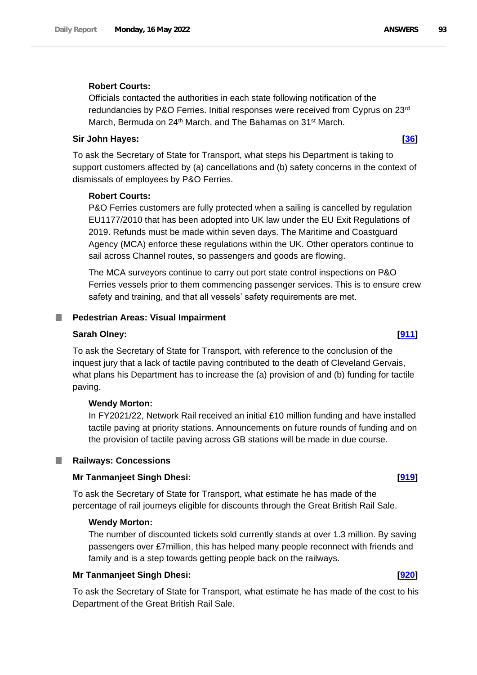# **Robert Courts:**

Officials contacted the authorities in each state following notification of the redundancies by P&O Ferries. Initial responses were received from Cyprus on 23rd March, Bermuda on 24<sup>th</sup> March, and The Bahamas on 31<sup>st</sup> March.

## **Sir John Hayes: [\[36\]](http://www.parliament.uk/business/publications/written-questions-answers-statements/written-question/Commons/2022-05-10/36)**

To ask the Secretary of State for Transport, what steps his Department is taking to support customers affected by (a) cancellations and (b) safety concerns in the context of dismissals of employees by P&O Ferries.

### **Robert Courts:**

P&O Ferries customers are fully protected when a sailing is cancelled by regulation EU1177/2010 that has been adopted into UK law under the EU Exit Regulations of 2019. Refunds must be made within seven days. The Maritime and Coastguard Agency (MCA) enforce these regulations within the UK. Other operators continue to sail across Channel routes, so passengers and goods are flowing.

The MCA surveyors continue to carry out port state control inspections on P&O Ferries vessels prior to them commencing passenger services. This is to ensure crew safety and training, and that all vessels' safety requirements are met.

### **Pedestrian Areas: Visual Impairment**

#### **Sarah Olney: [\[911\]](http://www.parliament.uk/business/publications/written-questions-answers-statements/written-question/Commons/2022-05-11/911)**

To ask the Secretary of State for Transport, with reference to the conclusion of the inquest jury that a lack of tactile paving contributed to the death of Cleveland Gervais, what plans his Department has to increase the (a) provision of and (b) funding for tactile paving.

#### **Wendy Morton:**

In FY2021/22, Network Rail received an initial £10 million funding and have installed tactile paving at priority stations. Announcements on future rounds of funding and on the provision of tactile paving across GB stations will be made in due course.

#### **Railways: Concessions**

ш

### **Mr Tanmanjeet Singh Dhesi: [\[919\]](http://www.parliament.uk/business/publications/written-questions-answers-statements/written-question/Commons/2022-05-11/919)**

To ask the Secretary of State for Transport, what estimate he has made of the percentage of rail journeys eligible for discounts through the Great British Rail Sale.

# **Wendy Morton:**

The number of discounted tickets sold currently stands at over 1.3 million. By saving passengers over £7million, this has helped many people reconnect with friends and family and is a step towards getting people back on the railways.

#### **Mr Tanmanjeet Singh Dhesi: [\[920\]](http://www.parliament.uk/business/publications/written-questions-answers-statements/written-question/Commons/2022-05-11/920)**

To ask the Secretary of State for Transport, what estimate he has made of the cost to his Department of the Great British Rail Sale.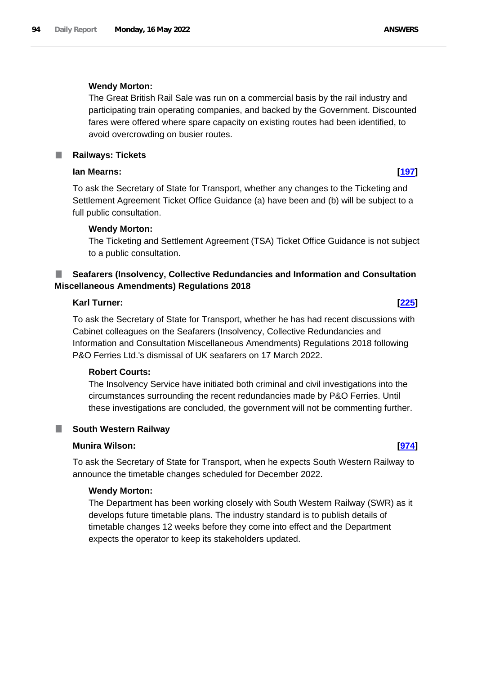### **Wendy Morton:**

The Great British Rail Sale was run on a commercial basis by the rail industry and participating train operating companies, and backed by the Government. Discounted fares were offered where spare capacity on existing routes had been identified, to avoid overcrowding on busier routes.

**Railways: Tickets**

# **Ian Mearns: [\[197\]](http://www.parliament.uk/business/publications/written-questions-answers-statements/written-question/Commons/2022-05-10/197)**

To ask the Secretary of State for Transport, whether any changes to the Ticketing and Settlement Agreement Ticket Office Guidance (a) have been and (b) will be subject to a full public consultation.

### **Wendy Morton:**

The Ticketing and Settlement Agreement (TSA) Ticket Office Guidance is not subject to a public consultation.

# **Seafarers (Insolvency, Collective Redundancies and Information and Consultation Miscellaneous Amendments) Regulations 2018**

# **Karl Turner: [\[225\]](http://www.parliament.uk/business/publications/written-questions-answers-statements/written-question/Commons/2022-05-10/225)**

To ask the Secretary of State for Transport, whether he has had recent discussions with Cabinet colleagues on the Seafarers (Insolvency, Collective Redundancies and Information and Consultation Miscellaneous Amendments) Regulations 2018 following P&O Ferries Ltd.'s dismissal of UK seafarers on 17 March 2022.

# **Robert Courts:**

The Insolvency Service have initiated both criminal and civil investigations into the circumstances surrounding the recent redundancies made by P&O Ferries. Until these investigations are concluded, the government will not be commenting further.

# **South Western Railway**

# **Munira Wilson: [\[974\]](http://www.parliament.uk/business/publications/written-questions-answers-statements/written-question/Commons/2022-05-11/974)**

To ask the Secretary of State for Transport, when he expects South Western Railway to announce the timetable changes scheduled for December 2022.

#### **Wendy Morton:**

The Department has been working closely with South Western Railway (SWR) as it develops future timetable plans. The industry standard is to publish details of timetable changes 12 weeks before they come into effect and the Department expects the operator to keep its stakeholders updated.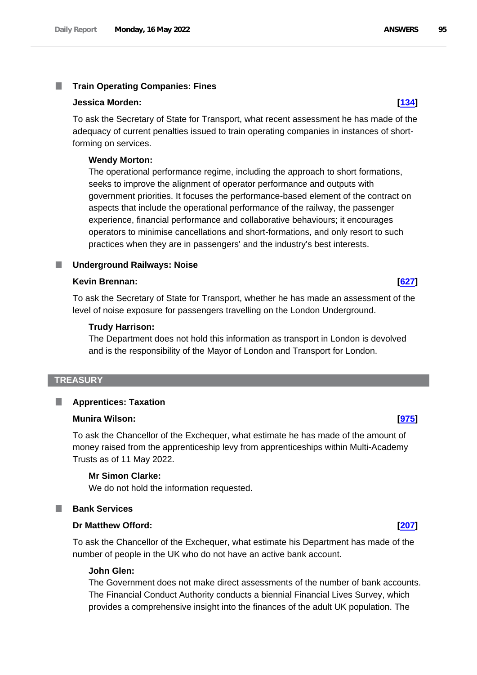#### T. **Train Operating Companies: Fines**

# **Jessica Morden: [\[134\]](http://www.parliament.uk/business/publications/written-questions-answers-statements/written-question/Commons/2022-05-10/134)**

To ask the Secretary of State for Transport, what recent assessment he has made of the adequacy of current penalties issued to train operating companies in instances of shortforming on services.

# **Wendy Morton:**

The operational performance regime, including the approach to short formations, seeks to improve the alignment of operator performance and outputs with government priorities. It focuses the performance-based element of the contract on aspects that include the operational performance of the railway, the passenger experience, financial performance and collaborative behaviours; it encourages operators to minimise cancellations and short-formations, and only resort to such practices when they are in passengers' and the industry's best interests.

# **Underground Railways: Noise**

# **Kevin Brennan: [\[627\]](http://www.parliament.uk/business/publications/written-questions-answers-statements/written-question/Commons/2022-05-11/627)**

To ask the Secretary of State for Transport, whether he has made an assessment of the level of noise exposure for passengers travelling on the London Underground.

# **Trudy Harrison:**

The Department does not hold this information as transport in London is devolved and is the responsibility of the Mayor of London and Transport for London.

# **TREASURY**

#### **Apprentices: Taxation** П

# **Munira Wilson: [\[975\]](http://www.parliament.uk/business/publications/written-questions-answers-statements/written-question/Commons/2022-05-11/975)**

To ask the Chancellor of the Exchequer, what estimate he has made of the amount of money raised from the apprenticeship levy from apprenticeships within Multi-Academy Trusts as of 11 May 2022.

# **Mr Simon Clarke:**

We do not hold the information requested.

# **Bank Services**

# **Dr Matthew Offord: [\[207\]](http://www.parliament.uk/business/publications/written-questions-answers-statements/written-question/Commons/2022-05-10/207)**

To ask the Chancellor of the Exchequer, what estimate his Department has made of the number of people in the UK who do not have an active bank account.

#### **John Glen:**

The Government does not make direct assessments of the number of bank accounts. The Financial Conduct Authority conducts a biennial Financial Lives Survey, which provides a comprehensive insight into the finances of the adult UK population. The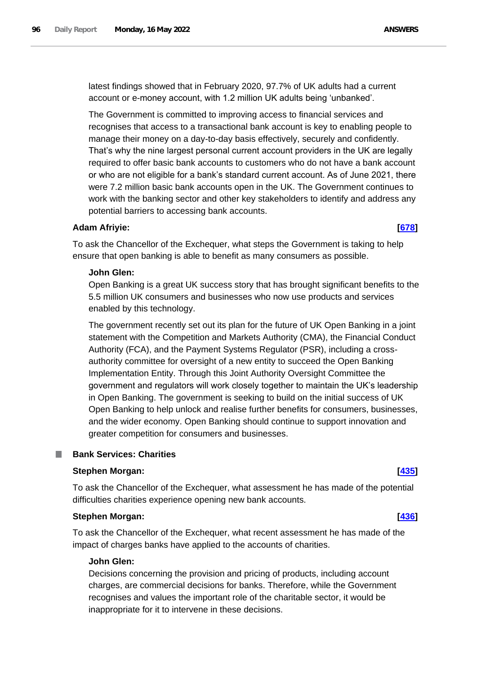latest findings showed that in February 2020, 97.7% of UK adults had a current account or e-money account, with 1.2 million UK adults being 'unbanked'.

The Government is committed to improving access to financial services and recognises that access to a transactional bank account is key to enabling people to manage their money on a day-to-day basis effectively, securely and confidently. That's why the nine largest personal current account providers in the UK are legally required to offer basic bank accounts to customers who do not have a bank account or who are not eligible for a bank's standard current account. As of June 2021, there were 7.2 million basic bank accounts open in the UK. The Government continues to work with the banking sector and other key stakeholders to identify and address any potential barriers to accessing bank accounts.

# **Adam Afriyie: [\[678\]](http://www.parliament.uk/business/publications/written-questions-answers-statements/written-question/Commons/2022-05-11/678)**

To ask the Chancellor of the Exchequer, what steps the Government is taking to help ensure that open banking is able to benefit as many consumers as possible.

# **John Glen:**

Open Banking is a great UK success story that has brought significant benefits to the 5.5 million UK consumers and businesses who now use products and services enabled by this technology.

The government recently set out its plan for the future of UK Open Banking in a joint statement with the Competition and Markets Authority (CMA), the Financial Conduct Authority (FCA), and the Payment Systems Regulator (PSR), including a crossauthority committee for oversight of a new entity to succeed the Open Banking Implementation Entity. Through this Joint Authority Oversight Committee the government and regulators will work closely together to maintain the UK's leadership in Open Banking. The government is seeking to build on the initial success of UK Open Banking to help unlock and realise further benefits for consumers, businesses, and the wider economy. Open Banking should continue to support innovation and greater competition for consumers and businesses.

# **Bank Services: Charities**

# **Stephen Morgan: [\[435\]](http://www.parliament.uk/business/publications/written-questions-answers-statements/written-question/Commons/2022-05-10/435)**

To ask the Chancellor of the Exchequer, what assessment he has made of the potential difficulties charities experience opening new bank accounts.

#### **Stephen Morgan: [\[436\]](http://www.parliament.uk/business/publications/written-questions-answers-statements/written-question/Commons/2022-05-10/436)**

To ask the Chancellor of the Exchequer, what recent assessment he has made of the impact of charges banks have applied to the accounts of charities.

#### **John Glen:**

Decisions concerning the provision and pricing of products, including account charges, are commercial decisions for banks. Therefore, while the Government recognises and values the important role of the charitable sector, it would be inappropriate for it to intervene in these decisions.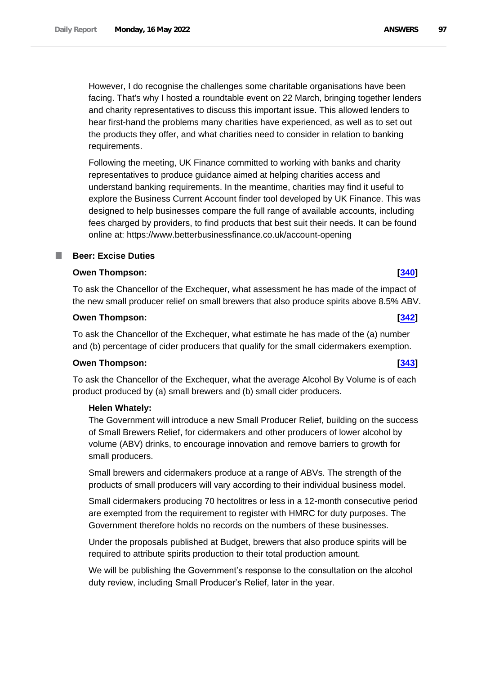However, I do recognise the challenges some charitable organisations have been facing. That's why I hosted a roundtable event on 22 March, bringing together lenders and charity representatives to discuss this important issue. This allowed lenders to hear first-hand the problems many charities have experienced, as well as to set out the products they offer, and what charities need to consider in relation to banking requirements.

Following the meeting, UK Finance committed to working with banks and charity representatives to produce guidance aimed at helping charities access and understand banking requirements. In the meantime, charities may find it useful to explore the Business Current Account finder tool developed by UK Finance. This was designed to help businesses compare the full range of available accounts, including fees charged by providers, to find products that best suit their needs. It can be found online at: https://www.betterbusinessfinance.co.uk/account-opening

# **Beer: Excise Duties**

# **Owen Thompson: [\[340\]](http://www.parliament.uk/business/publications/written-questions-answers-statements/written-question/Commons/2022-05-10/340)**

To ask the Chancellor of the Exchequer, what assessment he has made of the impact of the new small producer relief on small brewers that also produce spirits above 8.5% ABV.

# **Owen Thompson: [\[342\]](http://www.parliament.uk/business/publications/written-questions-answers-statements/written-question/Commons/2022-05-10/342)**

To ask the Chancellor of the Exchequer, what estimate he has made of the (a) number and (b) percentage of cider producers that qualify for the small cidermakers exemption.

# **Owen Thompson: [\[343\]](http://www.parliament.uk/business/publications/written-questions-answers-statements/written-question/Commons/2022-05-10/343)**

To ask the Chancellor of the Exchequer, what the average Alcohol By Volume is of each product produced by (a) small brewers and (b) small cider producers.

# **Helen Whately:**

The Government will introduce a new Small Producer Relief, building on the success of Small Brewers Relief, for cidermakers and other producers of lower alcohol by volume (ABV) drinks, to encourage innovation and remove barriers to growth for small producers.

Small brewers and cidermakers produce at a range of ABVs. The strength of the products of small producers will vary according to their individual business model.

Small cidermakers producing 70 hectolitres or less in a 12-month consecutive period are exempted from the requirement to register with HMRC for duty purposes. The Government therefore holds no records on the numbers of these businesses.

Under the proposals published at Budget, brewers that also produce spirits will be required to attribute spirits production to their total production amount.

We will be publishing the Government's response to the consultation on the alcohol duty review, including Small Producer's Relief, later in the year.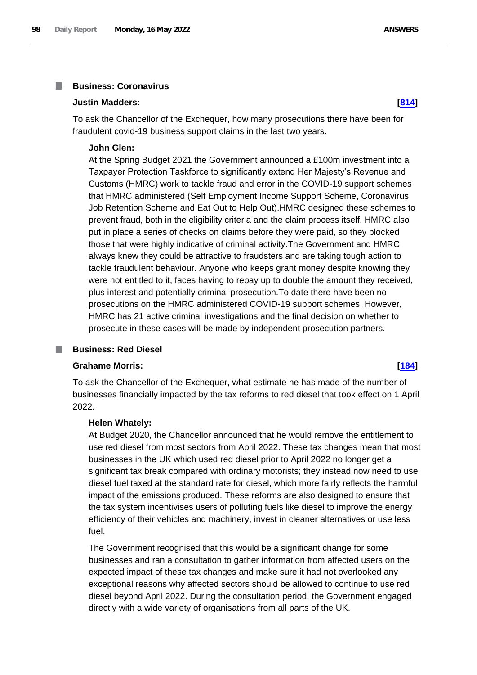#### **Business: Coronavirus I**

#### **Justin Madders: [\[814\]](http://www.parliament.uk/business/publications/written-questions-answers-statements/written-question/Commons/2022-05-11/814)**

To ask the Chancellor of the Exchequer, how many prosecutions there have been for fraudulent covid-19 business support claims in the last two years.

#### **John Glen:**

At the Spring Budget 2021 the Government announced a £100m investment into a Taxpayer Protection Taskforce to significantly extend Her Majesty's Revenue and Customs (HMRC) work to tackle fraud and error in the COVID-19 support schemes that HMRC administered (Self Employment Income Support Scheme, Coronavirus Job Retention Scheme and Eat Out to Help Out).HMRC designed these schemes to prevent fraud, both in the eligibility criteria and the claim process itself. HMRC also put in place a series of checks on claims before they were paid, so they blocked those that were highly indicative of criminal activity.The Government and HMRC always knew they could be attractive to fraudsters and are taking tough action to tackle fraudulent behaviour. Anyone who keeps grant money despite knowing they were not entitled to it, faces having to repay up to double the amount they received, plus interest and potentially criminal prosecution.To date there have been no prosecutions on the HMRC administered COVID-19 support schemes. However, HMRC has 21 active criminal investigations and the final decision on whether to prosecute in these cases will be made by independent prosecution partners.

# **Business: Red Diesel**

#### **Grahame Morris: [\[184\]](http://www.parliament.uk/business/publications/written-questions-answers-statements/written-question/Commons/2022-05-10/184)**

To ask the Chancellor of the Exchequer, what estimate he has made of the number of businesses financially impacted by the tax reforms to red diesel that took effect on 1 April 2022.

#### **Helen Whately:**

At Budget 2020, the Chancellor announced that he would remove the entitlement to use red diesel from most sectors from April 2022. These tax changes mean that most businesses in the UK which used red diesel prior to April 2022 no longer get a significant tax break compared with ordinary motorists; they instead now need to use diesel fuel taxed at the standard rate for diesel, which more fairly reflects the harmful impact of the emissions produced. These reforms are also designed to ensure that the tax system incentivises users of polluting fuels like diesel to improve the energy efficiency of their vehicles and machinery, invest in cleaner alternatives or use less fuel.

The Government recognised that this would be a significant change for some businesses and ran a consultation to gather information from affected users on the expected impact of these tax changes and make sure it had not overlooked any exceptional reasons why affected sectors should be allowed to continue to use red diesel beyond April 2022. During the consultation period, the Government engaged directly with a wide variety of organisations from all parts of the UK.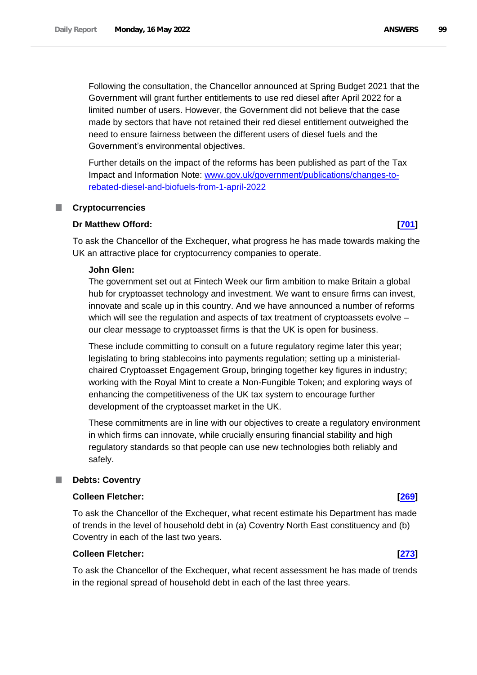Following the consultation, the Chancellor announced at Spring Budget 2021 that the Government will grant further entitlements to use red diesel after April 2022 for a limited number of users. However, the Government did not believe that the case made by sectors that have not retained their red diesel entitlement outweighed the need to ensure fairness between the different users of diesel fuels and the Government's environmental objectives.

Further details on the impact of the reforms has been published as part of the Tax Impact and Information Note: [www.gov.uk/government/publications/changes-to](http://www.gov.uk/government/publications/changes-to-rebated-diesel-and-biofuels-from-1-april-2022)[rebated-diesel-and-biofuels-from-1-april-2022](http://www.gov.uk/government/publications/changes-to-rebated-diesel-and-biofuels-from-1-april-2022)

### **Cryptocurrencies**

### **Dr Matthew Offord: [\[701\]](http://www.parliament.uk/business/publications/written-questions-answers-statements/written-question/Commons/2022-05-11/701)**

To ask the Chancellor of the Exchequer, what progress he has made towards making the UK an attractive place for cryptocurrency companies to operate.

#### **John Glen:**

The government set out at Fintech Week our firm ambition to make Britain a global hub for cryptoasset technology and investment. We want to ensure firms can invest, innovate and scale up in this country. And we have announced a number of reforms which will see the regulation and aspects of tax treatment of cryptoassets evolve – our clear message to cryptoasset firms is that the UK is open for business.

These include committing to consult on a future regulatory regime later this year; legislating to bring stablecoins into payments regulation; setting up a ministerialchaired Cryptoasset Engagement Group, bringing together key figures in industry; working with the Royal Mint to create a Non-Fungible Token; and exploring ways of enhancing the competitiveness of the UK tax system to encourage further development of the cryptoasset market in the UK.

These commitments are in line with our objectives to create a regulatory environment in which firms can innovate, while crucially ensuring financial stability and high regulatory standards so that people can use new technologies both reliably and safely.

# **Debts: Coventry**

# **Colleen Fletcher: [\[269\]](http://www.parliament.uk/business/publications/written-questions-answers-statements/written-question/Commons/2022-05-10/269)**

To ask the Chancellor of the Exchequer, what recent estimate his Department has made of trends in the level of household debt in (a) Coventry North East constituency and (b) Coventry in each of the last two years.

### **Colleen Fletcher: [\[273\]](http://www.parliament.uk/business/publications/written-questions-answers-statements/written-question/Commons/2022-05-10/273)**

To ask the Chancellor of the Exchequer, what recent assessment he has made of trends in the regional spread of household debt in each of the last three years.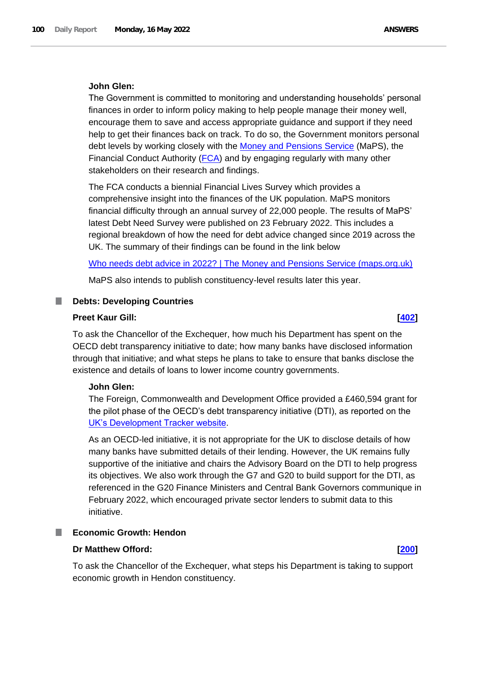### **John Glen:**

The Government is committed to monitoring and understanding households' personal finances in order to inform policy making to help people manage their money well, encourage them to save and access appropriate guidance and support if they need help to get their finances back on track. To do so, the Government monitors personal debt levels by working closely with the Money and Pensions Service (MaPS), the Financial Conduct Authority (FCA) and by engaging regularly with many other stakeholders on their research and findings.

The FCA conducts a biennial Financial Lives Survey which provides a comprehensive insight into the finances of the UK population. MaPS monitors financial difficulty through an annual survey of 22,000 people. The results of MaPS' latest Debt Need Survey were published on 23 February 2022. This includes a regional breakdown of how the need for debt advice changed since 2019 across the UK. The summary of their findings can be found in the link below

[Who needs debt advice in 2022? | The Money and Pensions Service \(maps.org.uk\)](https://www.maps.org.uk/2022/02/23/who-needs-debt-advice-in-2022/?msclkid=79e864bcd13511ecbfe47637e6b4cf42)

MaPS also intends to publish constituency-level results later this year.

### **Debts: Developing Countries**

#### **Preet Kaur Gill: [\[402\]](http://www.parliament.uk/business/publications/written-questions-answers-statements/written-question/Commons/2022-05-10/402)**

To ask the Chancellor of the Exchequer, how much his Department has spent on the OECD debt transparency initiative to date; how many banks have disclosed information through that initiative; and what steps he plans to take to ensure that banks disclose the existence and details of loans to lower income country governments.

#### **John Glen:**

The Foreign, Commonwealth and Development Office provided a £460,594 grant for the pilot phase of the OECD's debt transparency initiative (DTI), as reported on the UK's Development Tracker website.

As an OECD-led initiative, it is not appropriate for the UK to disclose details of how many banks have submitted details of their lending. However, the UK remains fully supportive of the initiative and chairs the Advisory Board on the DTI to help progress its objectives. We also work through the G7 and G20 to build support for the DTI, as referenced in the G20 Finance Ministers and Central Bank Governors communique in February 2022, which encouraged private sector lenders to submit data to this initiative.

# **Economic Growth: Hendon**

# **Dr Matthew Offord: [\[200\]](http://www.parliament.uk/business/publications/written-questions-answers-statements/written-question/Commons/2022-05-10/200)**

To ask the Chancellor of the Exchequer, what steps his Department is taking to support economic growth in Hendon constituency.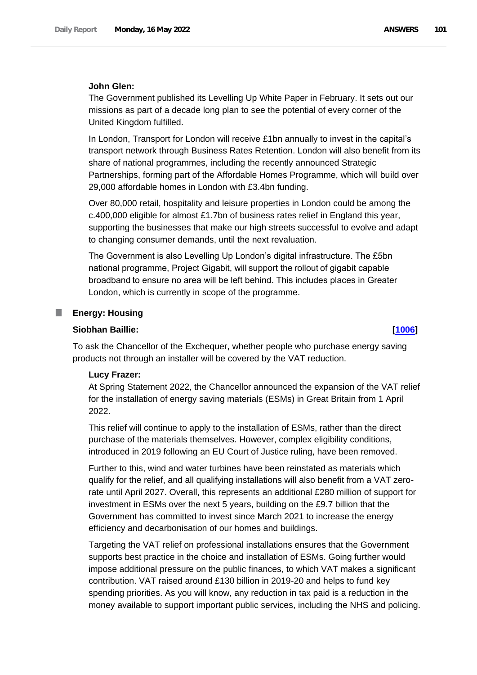## **John Glen:**

The Government published its Levelling Up White Paper in February. It sets out our missions as part of a decade long plan to see the potential of every corner of the United Kingdom fulfilled.

In London, Transport for London will receive £1bn annually to invest in the capital's transport network through Business Rates Retention. London will also benefit from its share of national programmes, including the recently announced Strategic Partnerships, forming part of the Affordable Homes Programme, which will build over 29,000 affordable homes in London with £3.4bn funding.

Over 80,000 retail, hospitality and leisure properties in London could be among the c.400,000 eligible for almost £1.7bn of business rates relief in England this year, supporting the businesses that make our high streets successful to evolve and adapt to changing consumer demands, until the next revaluation.

The Government is also Levelling Up London's digital infrastructure. The £5bn national programme, Project Gigabit, will support the rollout of gigabit capable broadband to ensure no area will be left behind. This includes places in Greater London, which is currently in scope of the programme.

# **Energy: Housing**

T.

# **Siobhan Baillie: [\[1006\]](http://www.parliament.uk/business/publications/written-questions-answers-statements/written-question/Commons/2022-05-11/1006)**

To ask the Chancellor of the Exchequer, whether people who purchase energy saving products not through an installer will be covered by the VAT reduction.

#### **Lucy Frazer:**

At Spring Statement 2022, the Chancellor announced the expansion of the VAT relief for the installation of energy saving materials (ESMs) in Great Britain from 1 April 2022.

This relief will continue to apply to the installation of ESMs, rather than the direct purchase of the materials themselves. However, complex eligibility conditions, introduced in 2019 following an EU Court of Justice ruling, have been removed.

Further to this, wind and water turbines have been reinstated as materials which qualify for the relief, and all qualifying installations will also benefit from a VAT zerorate until April 2027. Overall, this represents an additional £280 million of support for investment in ESMs over the next 5 years, building on the £9.7 billion that the Government has committed to invest since March 2021 to increase the energy efficiency and decarbonisation of our homes and buildings.

Targeting the VAT relief on professional installations ensures that the Government supports best practice in the choice and installation of ESMs. Going further would impose additional pressure on the public finances, to which VAT makes a significant contribution. VAT raised around £130 billion in 2019-20 and helps to fund key spending priorities. As you will know, any reduction in tax paid is a reduction in the money available to support important public services, including the NHS and policing.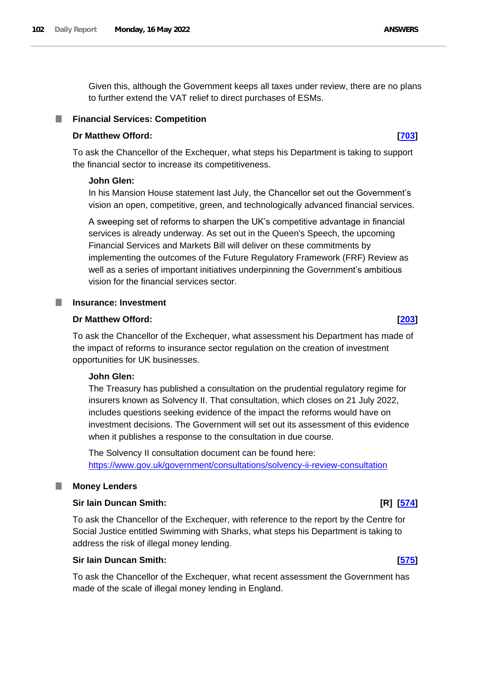Given this, although the Government keeps all taxes under review, there are no plans to further extend the VAT relief to direct purchases of ESMs.

# **Financial Services: Competition**

### **Dr Matthew Offord: [\[703\]](http://www.parliament.uk/business/publications/written-questions-answers-statements/written-question/Commons/2022-05-11/703)**

To ask the Chancellor of the Exchequer, what steps his Department is taking to support the financial sector to increase its competitiveness.

### **John Glen:**

In his Mansion House statement last July, the Chancellor set out the Government's vision an open, competitive, green, and technologically advanced financial services.

A sweeping set of reforms to sharpen the UK's competitive advantage in financial services is already underway. As set out in the Queen's Speech, the upcoming Financial Services and Markets Bill will deliver on these commitments by implementing the outcomes of the Future Regulatory Framework (FRF) Review as well as a series of important initiatives underpinning the Government's ambitious vision for the financial services sector.

#### **I Insurance: Investment**

#### **Dr Matthew Offord: [\[203\]](http://www.parliament.uk/business/publications/written-questions-answers-statements/written-question/Commons/2022-05-10/203)**

To ask the Chancellor of the Exchequer, what assessment his Department has made of the impact of reforms to insurance sector regulation on the creation of investment opportunities for UK businesses.

#### **John Glen:**

The Treasury has published a consultation on the prudential regulatory regime for insurers known as Solvency II. That consultation, which closes on 21 July 2022, includes questions seeking evidence of the impact the reforms would have on investment decisions. The Government will set out its assessment of this evidence when it publishes a response to the consultation in due course.

The Solvency II consultation document can be found here: <https://www.gov.uk/government/consultations/solvency-ii-review-consultation>

# **Money Lenders**

### **Sir Iain Duncan Smith: [R] [\[574\]](http://www.parliament.uk/business/publications/written-questions-answers-statements/written-question/Commons/2022-05-11/574)**

To ask the Chancellor of the Exchequer, with reference to the report by the Centre for Social Justice entitled Swimming with Sharks, what steps his Department is taking to address the risk of illegal money lending.

#### **Sir Iain Duncan Smith: [\[575\]](http://www.parliament.uk/business/publications/written-questions-answers-statements/written-question/Commons/2022-05-11/575)**

To ask the Chancellor of the Exchequer, what recent assessment the Government has made of the scale of illegal money lending in England.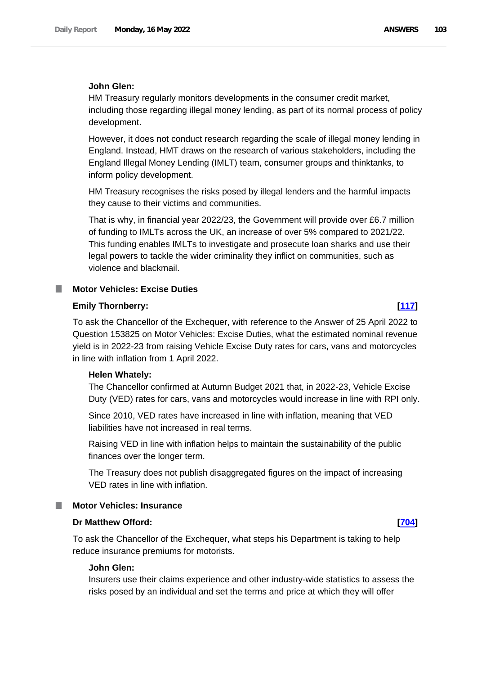# **John Glen:**

HM Treasury regularly monitors developments in the consumer credit market, including those regarding illegal money lending, as part of its normal process of policy development.

However, it does not conduct research regarding the scale of illegal money lending in England. Instead, HMT draws on the research of various stakeholders, including the England Illegal Money Lending (IMLT) team, consumer groups and thinktanks, to inform policy development.

HM Treasury recognises the risks posed by illegal lenders and the harmful impacts they cause to their victims and communities.

That is why, in financial year 2022/23, the Government will provide over £6.7 million of funding to IMLTs across the UK, an increase of over 5% compared to 2021/22. This funding enables IMLTs to investigate and prosecute loan sharks and use their legal powers to tackle the wider criminality they inflict on communities, such as violence and blackmail.

### **Motor Vehicles: Excise Duties**

### **Emily Thornberry: [\[117\]](http://www.parliament.uk/business/publications/written-questions-answers-statements/written-question/Commons/2022-05-10/117)**

To ask the Chancellor of the Exchequer, with reference to the Answer of 25 April 2022 to Question 153825 on Motor Vehicles: Excise Duties, what the estimated nominal revenue yield is in 2022-23 from raising Vehicle Excise Duty rates for cars, vans and motorcycles in line with inflation from 1 April 2022.

### **Helen Whately:**

The Chancellor confirmed at Autumn Budget 2021 that, in 2022-23, Vehicle Excise Duty (VED) rates for cars, vans and motorcycles would increase in line with RPI only.

Since 2010, VED rates have increased in line with inflation, meaning that VED liabilities have not increased in real terms.

Raising VED in line with inflation helps to maintain the sustainability of the public finances over the longer term.

The Treasury does not publish disaggregated figures on the impact of increasing VED rates in line with inflation.

#### **Motor Vehicles: Insurance**

## **Dr Matthew Offord: [\[704\]](http://www.parliament.uk/business/publications/written-questions-answers-statements/written-question/Commons/2022-05-11/704)**

To ask the Chancellor of the Exchequer, what steps his Department is taking to help reduce insurance premiums for motorists.

### **John Glen:**

Insurers use their claims experience and other industry-wide statistics to assess the risks posed by an individual and set the terms and price at which they will offer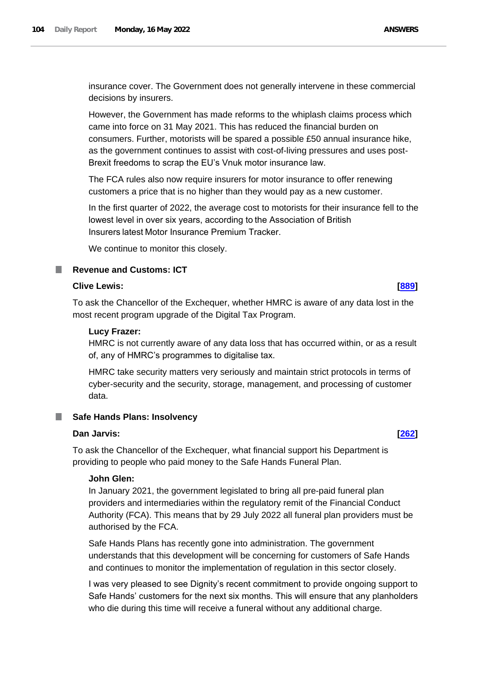insurance cover. The Government does not generally intervene in these commercial decisions by insurers.

However, the Government has made reforms to the whiplash claims process which came into force on 31 May 2021. This has reduced the financial burden on consumers. Further, motorists will be spared a possible £50 annual insurance hike, as the government continues to assist with cost-of-living pressures and uses post-Brexit freedoms to scrap the EU's Vnuk motor insurance law.

The FCA rules also now require insurers for motor insurance to offer renewing customers a price that is no higher than they would pay as a new customer.

In the first quarter of 2022, the average cost to motorists for their insurance fell to the lowest level in over six years, according to the Association of British Insurers latest Motor Insurance Premium Tracker.

We continue to monitor this closely.

# **Revenue and Customs: ICT**

# **Clive Lewis: [\[889\]](http://www.parliament.uk/business/publications/written-questions-answers-statements/written-question/Commons/2022-05-11/889)**

To ask the Chancellor of the Exchequer, whether HMRC is aware of any data lost in the most recent program upgrade of the Digital Tax Program.

#### **Lucy Frazer:**

HMRC is not currently aware of any data loss that has occurred within, or as a result of, any of HMRC's programmes to digitalise tax.

HMRC take security matters very seriously and maintain strict protocols in terms of cyber-security and the security, storage, management, and processing of customer data.

# **Safe Hands Plans: Insolvency**

# **Dan Jarvis: [\[262\]](http://www.parliament.uk/business/publications/written-questions-answers-statements/written-question/Commons/2022-05-10/262)**

To ask the Chancellor of the Exchequer, what financial support his Department is providing to people who paid money to the Safe Hands Funeral Plan.

# **John Glen:**

In January 2021, the government legislated to bring all pre-paid funeral plan providers and intermediaries within the regulatory remit of the Financial Conduct Authority (FCA). This means that by 29 July 2022 all funeral plan providers must be authorised by the FCA.

Safe Hands Plans has recently gone into administration. The government understands that this development will be concerning for customers of Safe Hands and continues to monitor the implementation of regulation in this sector closely.

I was very pleased to see Dignity's recent commitment to provide ongoing support to Safe Hands' customers for the next six months. This will ensure that any planholders who die during this time will receive a funeral without any additional charge.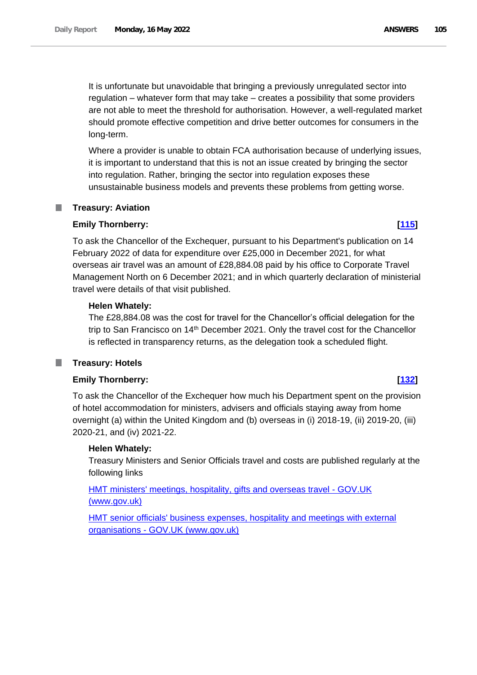It is unfortunate but unavoidable that bringing a previously unregulated sector into regulation – whatever form that may take – creates a possibility that some providers are not able to meet the threshold for authorisation. However, a well-regulated market should promote effective competition and drive better outcomes for consumers in the long-term.

Where a provider is unable to obtain FCA authorisation because of underlying issues, it is important to understand that this is not an issue created by bringing the sector into regulation. Rather, bringing the sector into regulation exposes these unsustainable business models and prevents these problems from getting worse.

#### **Treasury: Aviation** .

# **Emily Thornberry: [\[115\]](http://www.parliament.uk/business/publications/written-questions-answers-statements/written-question/Commons/2022-05-10/115)**

To ask the Chancellor of the Exchequer, pursuant to his Department's publication on 14 February 2022 of data for expenditure over £25,000 in December 2021, for what overseas air travel was an amount of £28,884.08 paid by his office to Corporate Travel Management North on 6 December 2021; and in which quarterly declaration of ministerial travel were details of that visit published.

# **Helen Whately:**

The £28,884.08 was the cost for travel for the Chancellor's official delegation for the trip to San Francisco on 14<sup>th</sup> December 2021. Only the travel cost for the Chancellor is reflected in transparency returns, as the delegation took a scheduled flight.

#### **Treasury: Hotels** ш

# **Emily Thornberry: [\[132\]](http://www.parliament.uk/business/publications/written-questions-answers-statements/written-question/Commons/2022-05-10/132)**

To ask the Chancellor of the Exchequer how much his Department spent on the provision of hotel accommodation for ministers, advisers and officials staying away from home overnight (a) within the United Kingdom and (b) overseas in (i) 2018-19, (ii) 2019-20, (iii) 2020-21, and (iv) 2021-22.

# **Helen Whately:**

Treasury Ministers and Senior Officials travel and costs are published regularly at the following links

[HMT ministers' meetings, hospitality, gifts and overseas travel -](https://www.gov.uk/government/collections/hmt-ministers-meetings-hospitality-gifts-and-overseas-travel) GOV.UK [\(www.gov.uk\)](https://www.gov.uk/government/collections/hmt-ministers-meetings-hospitality-gifts-and-overseas-travel)

[HMT senior officials' business expenses, hospitality and meetings with external](https://www.gov.uk/government/collections/senior-officials-expenses)  organisations - [GOV.UK \(www.gov.uk\)](https://www.gov.uk/government/collections/senior-officials-expenses)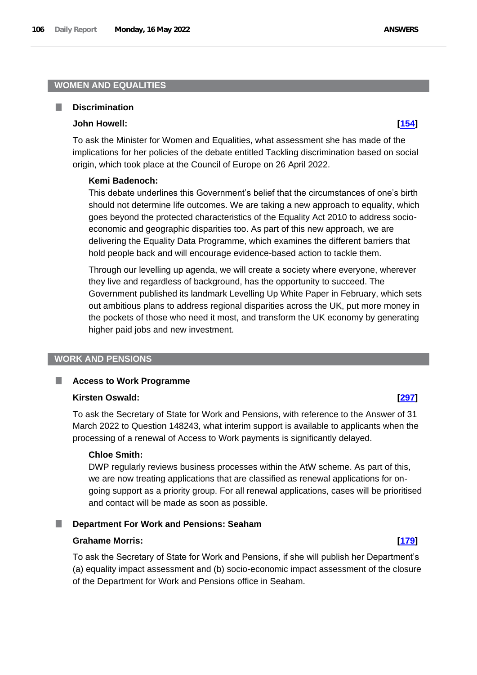# **WOMEN AND EQUALITIES**

#### П **Discrimination**

#### **John Howell: [\[154\]](http://www.parliament.uk/business/publications/written-questions-answers-statements/written-question/Commons/2022-05-10/154)**

To ask the Minister for Women and Equalities, what assessment she has made of the implications for her policies of the debate entitled Tackling discrimination based on social origin, which took place at the Council of Europe on 26 April 2022.

#### **Kemi Badenoch:**

This debate underlines this Government's belief that the circumstances of one's birth should not determine life outcomes. We are taking a new approach to equality, which goes beyond the protected characteristics of the Equality Act 2010 to address socioeconomic and geographic disparities too. As part of this new approach, we are delivering the Equality Data Programme, which examines the different barriers that hold people back and will encourage evidence-based action to tackle them.

Through our levelling up agenda, we will create a society where everyone, wherever they live and regardless of background, has the opportunity to succeed. The Government published its landmark Levelling Up White Paper in February, which sets out ambitious plans to address regional disparities across the UK, put more money in the pockets of those who need it most, and transform the UK economy by generating higher paid jobs and new investment.

### **WORK AND PENSIONS**

#### **Access to Work Programme** ш

#### **Kirsten Oswald: [\[297\]](http://www.parliament.uk/business/publications/written-questions-answers-statements/written-question/Commons/2022-05-10/297)**

To ask the Secretary of State for Work and Pensions, with reference to the Answer of 31 March 2022 to Question 148243, what interim support is available to applicants when the processing of a renewal of Access to Work payments is significantly delayed.

# **Chloe Smith:**

DWP regularly reviews business processes within the AtW scheme. As part of this, we are now treating applications that are classified as renewal applications for ongoing support as a priority group. For all renewal applications, cases will be prioritised and contact will be made as soon as possible.

#### **Department For Work and Pensions: Seaham**

### **Grahame Morris: [\[179\]](http://www.parliament.uk/business/publications/written-questions-answers-statements/written-question/Commons/2022-05-10/179)**

To ask the Secretary of State for Work and Pensions, if she will publish her Department's (a) equality impact assessment and (b) socio-economic impact assessment of the closure of the Department for Work and Pensions office in Seaham.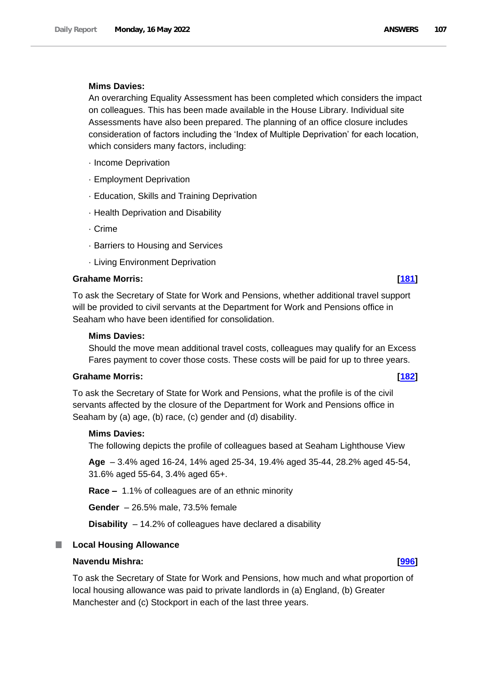## **Mims Davies:**

An overarching Equality Assessment has been completed which considers the impact on colleagues. This has been made available in the House Library. Individual site Assessments have also been prepared. The planning of an office closure includes consideration of factors including the 'Index of Multiple Deprivation' for each location, which considers many factors, including:

- · Income Deprivation
- · Employment Deprivation
- · Education, Skills and Training Deprivation
- · Health Deprivation and Disability
- · Crime
- · Barriers to Housing and Services
- · Living Environment Deprivation

#### **Grahame Morris: [\[181\]](http://www.parliament.uk/business/publications/written-questions-answers-statements/written-question/Commons/2022-05-10/181)**

To ask the Secretary of State for Work and Pensions, whether additional travel support will be provided to civil servants at the Department for Work and Pensions office in Seaham who have been identified for consolidation.

#### **Mims Davies:**

Should the move mean additional travel costs, colleagues may qualify for an Excess Fares payment to cover those costs. These costs will be paid for up to three years.

#### **Grahame Morris: [\[182\]](http://www.parliament.uk/business/publications/written-questions-answers-statements/written-question/Commons/2022-05-10/182)**

To ask the Secretary of State for Work and Pensions, what the profile is of the civil servants affected by the closure of the Department for Work and Pensions office in Seaham by (a) age, (b) race, (c) gender and (d) disability.

## **Mims Davies:**

The following depicts the profile of colleagues based at Seaham Lighthouse View

**Age** – 3.4% aged 16-24, 14% aged 25-34, 19.4% aged 35-44, 28.2% aged 45-54, 31.6% aged 55-64, 3.4% aged 65+.

**Race –** 1.1% of colleagues are of an ethnic minority

**Gender** – 26.5% male, 73.5% female

**Disability** – 14.2% of colleagues have declared a disability

### **Local Housing Allowance**

# **Navendu Mishra: [\[996\]](http://www.parliament.uk/business/publications/written-questions-answers-statements/written-question/Commons/2022-05-11/996)**

To ask the Secretary of State for Work and Pensions, how much and what proportion of local housing allowance was paid to private landlords in (a) England, (b) Greater Manchester and (c) Stockport in each of the last three years.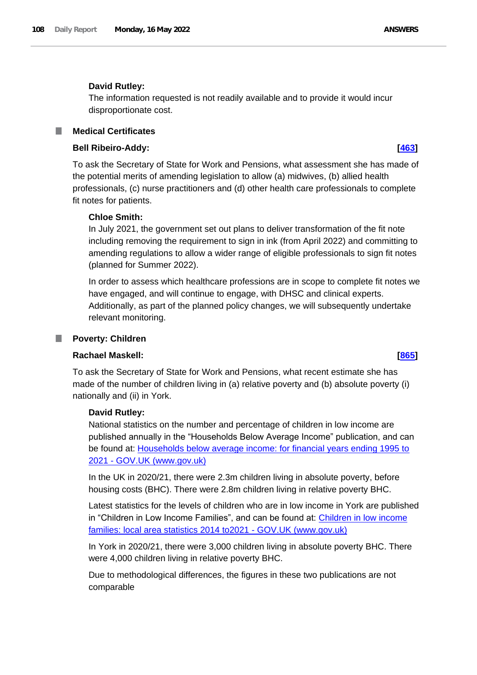## **David Rutley:**

The information requested is not readily available and to provide it would incur disproportionate cost.

# **Medical Certificates**

#### **Bell Ribeiro-Addy: [\[463\]](http://www.parliament.uk/business/publications/written-questions-answers-statements/written-question/Commons/2022-05-10/463)**

To ask the Secretary of State for Work and Pensions, what assessment she has made of the potential merits of amending legislation to allow (a) midwives, (b) allied health professionals, (c) nurse practitioners and (d) other health care professionals to complete fit notes for patients.

# **Chloe Smith:**

In July 2021, the government set out plans to deliver transformation of the fit note including removing the requirement to sign in ink (from April 2022) and committing to amending regulations to allow a wider range of eligible professionals to sign fit notes (planned for Summer 2022).

In order to assess which healthcare professions are in scope to complete fit notes we have engaged, and will continue to engage, with DHSC and clinical experts. Additionally, as part of the planned policy changes, we will subsequently undertake relevant monitoring.

#### T. **Poverty: Children**

### **Rachael Maskell: [\[865\]](http://www.parliament.uk/business/publications/written-questions-answers-statements/written-question/Commons/2022-05-11/865)**

To ask the Secretary of State for Work and Pensions, what recent estimate she has made of the number of children living in (a) relative poverty and (b) absolute poverty (i) nationally and (ii) in York.

### **David Rutley:**

National statistics on the number and percentage of children in low income are published annually in the "Households Below Average Income" publication, and can be found at: Households below average income: for financial years ending 1995 to 2021 - GOV.UK (www.gov.uk)

In the UK in 2020/21, there were 2.3m children living in absolute poverty, before housing costs (BHC). There were 2.8m children living in relative poverty BHC.

Latest statistics for the levels of children who are in low income in York are published in "Children in Low Income Families", and can be found at: [Children in low income](https://www.gov.uk/government/statistics/children-in-low-income-families-local-area-statistics-2014-to-2021)  [families: local area statistics 2014 to2021 -](https://www.gov.uk/government/statistics/children-in-low-income-families-local-area-statistics-2014-to-2021) GOV.UK (www.gov.uk)

In York in 2020/21, there were 3,000 children living in absolute poverty BHC. There were 4,000 children living in relative poverty BHC.

Due to methodological differences, the figures in these two publications are not comparable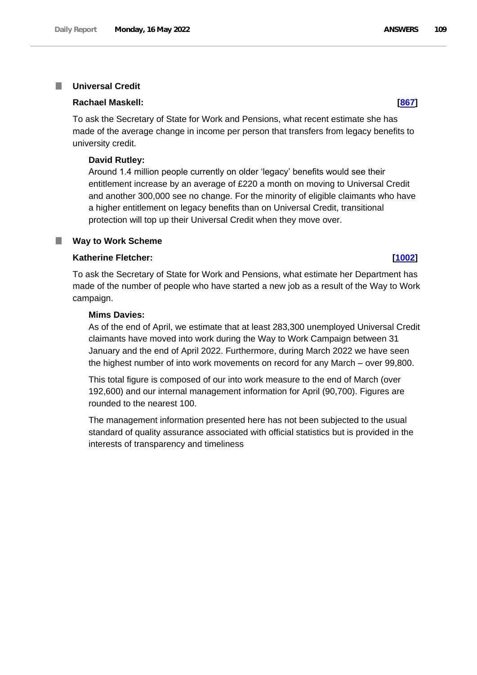#### **Universal Credit** T.

#### **Rachael Maskell: [\[867\]](http://www.parliament.uk/business/publications/written-questions-answers-statements/written-question/Commons/2022-05-11/867)**

To ask the Secretary of State for Work and Pensions, what recent estimate she has made of the average change in income per person that transfers from legacy benefits to university credit.

#### **David Rutley:**

Around 1.4 million people currently on older 'legacy' benefits would see their entitlement increase by an average of £220 a month on moving to Universal Credit and another 300,000 see no change. For the minority of eligible claimants who have a higher entitlement on legacy benefits than on Universal Credit, transitional protection will top up their Universal Credit when they move over.

#### **Way to Work Scheme** T.

#### **Katherine Fletcher: [\[1002\]](http://www.parliament.uk/business/publications/written-questions-answers-statements/written-question/Commons/2022-05-11/1002)**

To ask the Secretary of State for Work and Pensions, what estimate her Department has made of the number of people who have started a new job as a result of the Way to Work campaign.

#### **Mims Davies:**

As of the end of April, we estimate that at least 283,300 unemployed Universal Credit claimants have moved into work during the Way to Work Campaign between 31 January and the end of April 2022. Furthermore, during March 2022 we have seen the highest number of into work movements on record for any March – over 99,800.

This total figure is composed of our into work measure to the end of March (over 192,600) and our internal management information for April (90,700). Figures are rounded to the nearest 100.

The management information presented here has not been subjected to the usual standard of quality assurance associated with official statistics but is provided in the interests of transparency and timeliness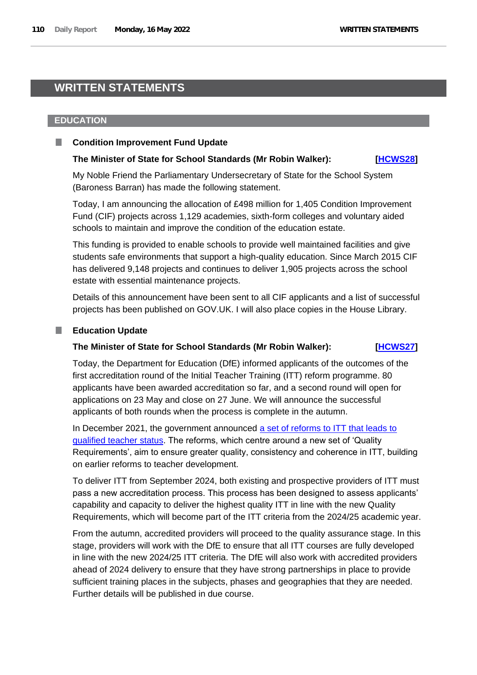# **WRITTEN STATEMENTS**

#### **EDUCATION**

#### **Condition Improvement Fund Update**

#### **The Minister of State for School Standards (Mr Robin Walker): [\[HCWS28\]](http://www.parliament.uk/business/publications/written-questions-answers-statements/written-statement/Commons/2022-05-16/HCWS28/)**

My Noble Friend the Parliamentary Undersecretary of State for the School System (Baroness Barran) has made the following statement.

Today, I am announcing the allocation of £498 million for 1,405 Condition Improvement Fund (CIF) projects across 1,129 academies, sixth-form colleges and voluntary aided schools to maintain and improve the condition of the education estate.

This funding is provided to enable schools to provide well maintained facilities and give students safe environments that support a high-quality education. Since March 2015 CIF has delivered 9,148 projects and continues to deliver 1,905 projects across the school estate with essential maintenance projects.

Details of this announcement have been sent to all CIF applicants and a list of successful projects has been published on GOV.UK. I will also place copies in the House Library.

#### **Education Update**

#### **The Minister of State for School Standards (Mr Robin Walker): [\[HCWS27\]](http://www.parliament.uk/business/publications/written-questions-answers-statements/written-statement/Commons/2022-05-16/HCWS27/)**

Today, the Department for Education (DfE) informed applicants of the outcomes of the first accreditation round of the Initial Teacher Training (ITT) reform programme. 80 applicants have been awarded accreditation so far, and a second round will open for applications on 23 May and close on 27 June. We will announce the successful applicants of both rounds when the process is complete in the autumn.

In December 2021, the government announced a set of reforms to ITT that leads to [qualified teacher status.](https://assets.publishing.service.gov.uk/government/uploads/system/uploads/attachment_data/file/1059746/FOR_PUBLICATION_Government_response_to_the_initial_teacher_training__ITT__market_review_report.pdf) The reforms, which centre around a new set of 'Quality Requirements', aim to ensure greater quality, consistency and coherence in ITT, building on earlier reforms to teacher development.

To deliver ITT from September 2024, both existing and prospective providers of ITT must pass a new accreditation process. This process has been designed to assess applicants' capability and capacity to deliver the highest quality ITT in line with the new Quality Requirements, which will become part of the ITT criteria from the 2024/25 academic year.

From the autumn, accredited providers will proceed to the quality assurance stage. In this stage, providers will work with the DfE to ensure that all ITT courses are fully developed in line with the new 2024/25 ITT criteria. The DfE will also work with accredited providers ahead of 2024 delivery to ensure that they have strong partnerships in place to provide sufficient training places in the subjects, phases and geographies that they are needed. Further details will be published in due course.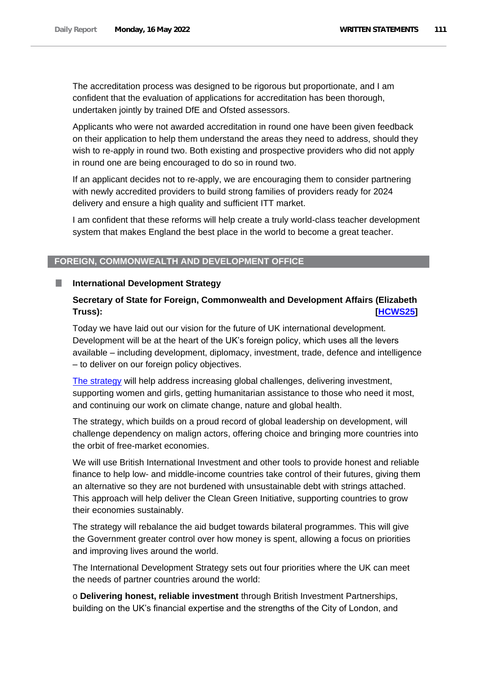The accreditation process was designed to be rigorous but proportionate, and I am confident that the evaluation of applications for accreditation has been thorough, undertaken jointly by trained DfE and Ofsted assessors.

Applicants who were not awarded accreditation in round one have been given feedback on their application to help them understand the areas they need to address, should they wish to re-apply in round two. Both existing and prospective providers who did not apply in round one are being encouraged to do so in round two.

If an applicant decides not to re-apply, we are encouraging them to consider partnering with newly accredited providers to build strong families of providers ready for 2024 delivery and ensure a high quality and sufficient ITT market.

I am confident that these reforms will help create a truly world-class teacher development system that makes England the best place in the world to become a great teacher.

### **FOREIGN, COMMONWEALTH AND DEVELOPMENT OFFICE**

#### **International Development Strategy**

## **Secretary of State for Foreign, Commonwealth and Development Affairs (Elizabeth Truss): [\[HCWS25\]](http://www.parliament.uk/business/publications/written-questions-answers-statements/written-statement/Commons/2022-05-16/HCWS25/)**

Today we have laid out our vision for the future of UK international development. Development will be at the heart of the UK's foreign policy, which uses all the levers available – including development, diplomacy, investment, trade, defence and intelligence – to deliver on our foreign policy objectives.

[The strategy](https://www.gov.uk/government/publications/uk-governments-strategy-for-international-development) will help address increasing global challenges, delivering investment, supporting women and girls, getting humanitarian assistance to those who need it most, and continuing our work on climate change, nature and global health.

The strategy, which builds on a proud record of global leadership on development, will challenge dependency on malign actors, offering choice and bringing more countries into the orbit of free-market economies.

We will use British International Investment and other tools to provide honest and reliable finance to help low- and middle-income countries take control of their futures, giving them an alternative so they are not burdened with unsustainable debt with strings attached. This approach will help deliver the Clean Green Initiative, supporting countries to grow their economies sustainably.

The strategy will rebalance the aid budget towards bilateral programmes. This will give the Government greater control over how money is spent, allowing a focus on priorities and improving lives around the world.

The International Development Strategy sets out four priorities where the UK can meet the needs of partner countries around the world:

o **Delivering honest, reliable investment** through British Investment Partnerships, building on the UK's financial expertise and the strengths of the City of London, and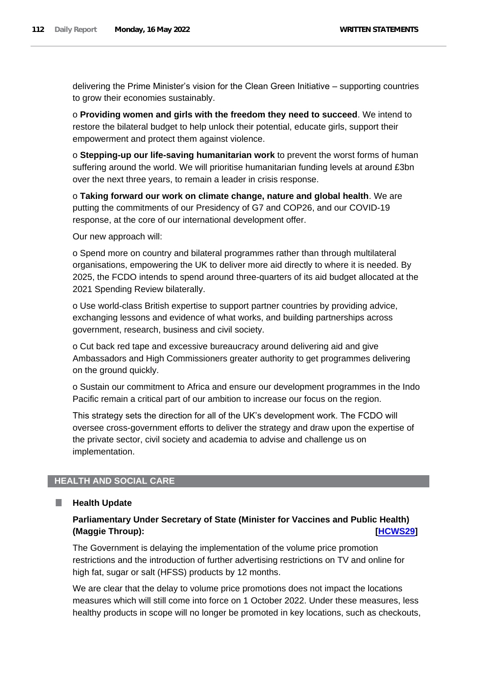delivering the Prime Minister's vision for the Clean Green Initiative – supporting countries to grow their economies sustainably.

o **Providing women and girls with the freedom they need to succeed**. We intend to restore the bilateral budget to help unlock their potential, educate girls, support their empowerment and protect them against violence.

o **Stepping-up our life-saving humanitarian work** to prevent the worst forms of human suffering around the world. We will prioritise humanitarian funding levels at around £3bn over the next three years, to remain a leader in crisis response.

o **Taking forward our work on climate change, nature and global health**. We are putting the commitments of our Presidency of G7 and COP26, and our COVID-19 response, at the core of our international development offer.

Our new approach will:

o Spend more on country and bilateral programmes rather than through multilateral organisations, empowering the UK to deliver more aid directly to where it is needed. By 2025, the FCDO intends to spend around three-quarters of its aid budget allocated at the 2021 Spending Review bilaterally.

o Use world-class British expertise to support partner countries by providing advice, exchanging lessons and evidence of what works, and building partnerships across government, research, business and civil society.

o Cut back red tape and excessive bureaucracy around delivering aid and give Ambassadors and High Commissioners greater authority to get programmes delivering on the ground quickly.

o Sustain our commitment to Africa and ensure our development programmes in the Indo Pacific remain a critical part of our ambition to increase our focus on the region.

This strategy sets the direction for all of the UK's development work. The FCDO will oversee cross-government efforts to deliver the strategy and draw upon the expertise of the private sector, civil society and academia to advise and challenge us on implementation.

## **HEALTH AND SOCIAL CARE**

#### **Health Update**

H

## **Parliamentary Under Secretary of State (Minister for Vaccines and Public Health) (Maggie Throup): [\[HCWS29\]](http://www.parliament.uk/business/publications/written-questions-answers-statements/written-statement/Commons/2022-05-16/HCWS29/)**

The Government is delaying the implementation of the volume price promotion restrictions and the introduction of further advertising restrictions on TV and online for high fat, sugar or salt (HFSS) products by 12 months.

We are clear that the delay to volume price promotions does not impact the locations measures which will still come into force on 1 October 2022. Under these measures, less healthy products in scope will no longer be promoted in key locations, such as checkouts,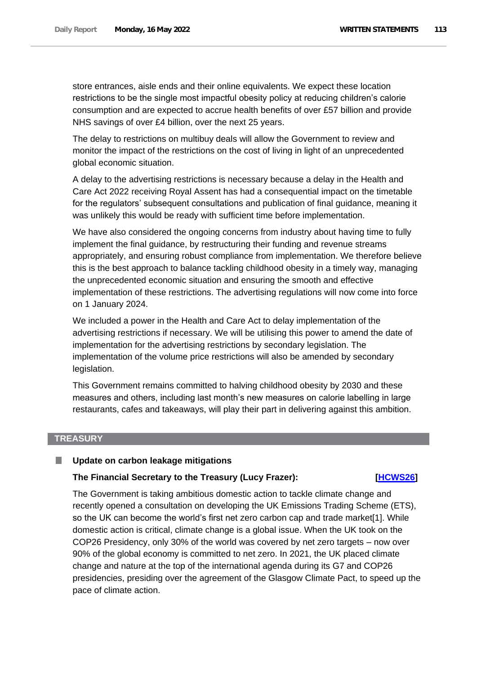store entrances, aisle ends and their online equivalents. We expect these location restrictions to be the single most impactful obesity policy at reducing children's calorie consumption and are expected to accrue health benefits of over £57 billion and provide NHS savings of over £4 billion, over the next 25 years.

The delay to restrictions on multibuy deals will allow the Government to review and monitor the impact of the restrictions on the cost of living in light of an unprecedented global economic situation.

A delay to the advertising restrictions is necessary because a delay in the Health and Care Act 2022 receiving Royal Assent has had a consequential impact on the timetable for the regulators' subsequent consultations and publication of final guidance, meaning it was unlikely this would be ready with sufficient time before implementation.

We have also considered the ongoing concerns from industry about having time to fully implement the final guidance, by restructuring their funding and revenue streams appropriately, and ensuring robust compliance from implementation. We therefore believe this is the best approach to balance tackling childhood obesity in a timely way, managing the unprecedented economic situation and ensuring the smooth and effective implementation of these restrictions. The advertising regulations will now come into force on 1 January 2024.

We included a power in the Health and Care Act to delay implementation of the advertising restrictions if necessary. We will be utilising this power to amend the date of implementation for the advertising restrictions by secondary legislation. The implementation of the volume price restrictions will also be amended by secondary legislation.

This Government remains committed to halving childhood obesity by 2030 and these measures and others, including last month's new measures on calorie labelling in large restaurants, cafes and takeaways, will play their part in delivering against this ambition.

#### **TREASURY**

#### П **Update on carbon leakage mitigations**

### **The Financial Secretary to the Treasury (Lucy Frazer): [\[HCWS26\]](http://www.parliament.uk/business/publications/written-questions-answers-statements/written-statement/Commons/2022-05-16/HCWS26/)**

The Government is taking ambitious domestic action to tackle climate change and recently opened a consultation on developing the UK Emissions Trading Scheme (ETS), so the UK can become the world's first net zero carbon cap and trade market[1]. While domestic action is critical, climate change is a global issue. When the UK took on the COP26 Presidency, only 30% of the world was covered by net zero targets – now over 90% of the global economy is committed to net zero. In 2021, the UK placed climate change and nature at the top of the international agenda during its G7 and COP26 presidencies, presiding over the agreement of the Glasgow Climate Pact, to speed up the pace of climate action.